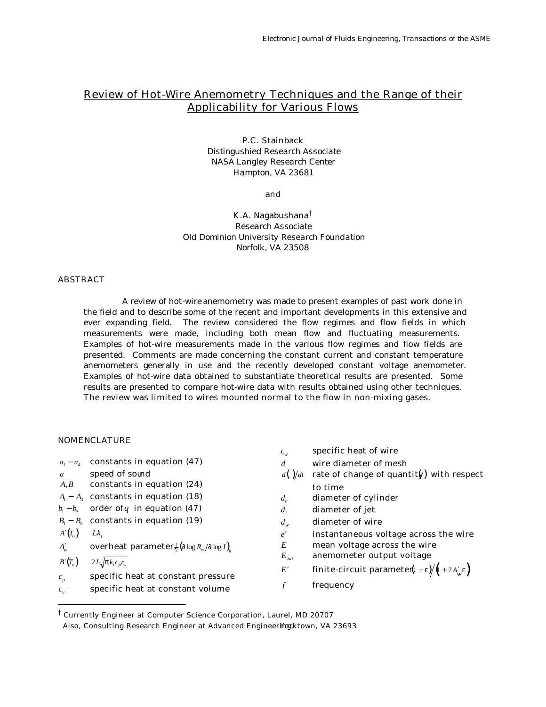# Review of Hot-Wire Anemometry Techniques and the Range of their Applicability for Various Flows

# P.C. Stainback

*Distingushied Research Associate NASA Langley Research Center Hampton, VA 23681*

#### and

## K.A. Nagabushana†

*Research Associate Old Dominion University Research Foundation Norfolk, VA 23508*

# **ABSTRACT**

A review of hot-wire anemometry was made to present examples of past work done in the field and to describe some of the recent and important developments in this extensive and ever expanding field. The review considered the flow regimes and flow fields in which measurements were made, including both mean flow and fluctuating measurements. Examples of hot-wire measurements made in the various flow regimes and flow fields are presented. Comments are made concerning the constant current and constant temperature anemometers generally in use and the recently developed constant voltage anemometer. Examples of hot-wire data obtained to substantiate theoretical results are presented. Some results are presented to compare hot-wire data with results obtained using other techniques. The review was limited to wires mounted normal to the flow in non-mixing gases.

# NOMENCLATURE

ł

|                |                                                                                     | $c_{w}$                  | specific heat of wire                                         |
|----------------|-------------------------------------------------------------------------------------|--------------------------|---------------------------------------------------------------|
|                | $a_1 - a_4$ constants in equation (47)                                              | d                        | wire diameter of mesh                                         |
| $\mathfrak{a}$ | speed of sound                                                                      | $d\left(\right)/dt$      | rate of change of quantity) with respect                      |
| A, B           | constants in equation (24)                                                          |                          | to time                                                       |
|                | $A_1 - A_2$ constants in equation (18)                                              | $d_{c}$                  | diameter of cylinder                                          |
|                | $b_1 - b_3$ order of q in equation (47)                                             | $d_i$                    | diameter of jet                                               |
|                | $B_1 - B_5$ constants in equation (19)                                              | $d_w$                    | diameter of wire                                              |
| $A'(T_o)$      | Lk.                                                                                 | e'                       | instantaneous voltage across the wire                         |
| $A'_w$         | <b>overheat parameter</b> $\frac{1}{2} (\mathbf{I} \log R_w / \mathbf{I} \log I)_h$ | E                        | mean voltage across the wire                                  |
| $B'(T_o)$      | $2L\sqrt{p k_{r} c_{n} r_{w}}$                                                      | $E_{\textit{\tiny out}}$ | anemometer output voltage                                     |
|                |                                                                                     | E'                       | <b>finite-circuit parameter</b> ( $i - e$ )/ $(i + 2A'_{w}e)$ |
| $c_{n}$        | specific heat at constant pressure                                                  | f                        |                                                               |
| $c_{v}$        | specific heat at constant volume                                                    |                          | frequency                                                     |

<sup>†</sup> Currently Engineer at Computer Science Corporation, Laurel, MD 20707

Also, Consulting Research Engineer at Advanced Engineering; ktown, VA 23693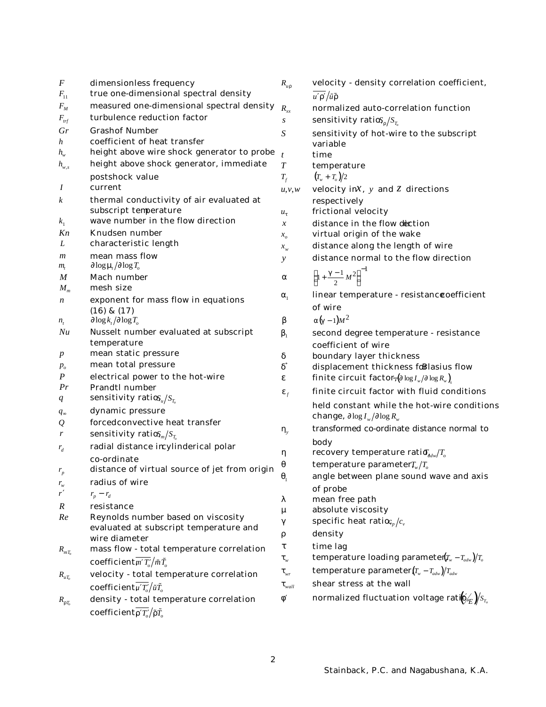| $\boldsymbol{F}$            | dimensionless frequency                                | $R_{ur}$                    | velocity - de                            |
|-----------------------------|--------------------------------------------------------|-----------------------------|------------------------------------------|
| $F_{11}$                    | true one-dimensional spectral density                  |                             | $\overline{u'r'}$ / $\tilde{u}\tilde{r}$ |
| $F_M$                       | measured one-dimensional spectral density              | $R_{xx}$                    | normalized a                             |
| $F_{\text{trf}}$            | turbulence reduction factor                            | S                           | sensitivity ra                           |
| Gr                          | <b>Grashof Number</b>                                  | S                           | sensitivity o                            |
| h                           | coefficient of heat transfer                           |                             | variable                                 |
| $h_{\scriptscriptstyle{w}}$ | height above wire shock generator to probe             | $\boldsymbol{t}$            | time                                     |
| $h_{w,s}$                   | height above shock generator, immediate                | T                           | temperature                              |
|                             | postshock value                                        | $T_f$                       | $(T_w + T_o)/2$                          |
| Ι                           | current                                                | u, v, w                     | velocity in $x$ ,                        |
| k                           | thermal conductivity of air evaluated at               |                             | respectively                             |
|                             | subscript temperature                                  | $u_{t}$                     | frictional vel                           |
| $k_1$                       | wave number in the flow direction                      | $\mathcal{X}$               | distance in t                            |
| Kn                          | <b>Knudsen number</b>                                  | $x_{\alpha}$                | virtual origin                           |
| L                           | characteristic length                                  | $x_{w}$                     | distance alor                            |
| $\boldsymbol{m}$            | mean mass flow                                         | $\mathcal{Y}$               | distance nor                             |
| $m_{\scriptscriptstyle f}$  | $\int \log m / \int \log T_o$                          |                             |                                          |
| M                           | <b>Mach number</b><br>mesh size                        | a                           | $\left(1+\frac{g-1}{2}M^2\right)^{-1}$   |
| $M_{m}$                     |                                                        | $a_{1}$                     | linear tempe                             |
| $\boldsymbol{n}$            | exponent for mass flow in equations<br>$(16)$ & $(17)$ |                             | of wire                                  |
| $n_{t}$                     | $\int \log k_t / \int \log T_o$                        | b                           | $a(g-1)M^2$                              |
| Nu                          | Nusselt number evaluated at subscript                  | $\mathbf{b}_1$              | second degre                             |
|                             | temperature                                            |                             | coefficient o                            |
| $\boldsymbol{p}$            | mean static pressure                                   | d                           | boundary lay                             |
| $p_{o}$                     | mean total pressure                                    | ď                           | displacemen                              |
| P                           | electrical power to the hot-wire                       | e                           | finite circuit                           |
| Pr                          | <b>Prandtl number</b>                                  |                             | finite circuit                           |
| q                           | sensitivity ratio $S_u/S_{T_a}$                        | $\boldsymbol{e}_f$          |                                          |
| $q_{\infty}$                | dynamic pressure                                       |                             | held constan<br>change, ∂log             |
| Q                           | forcedconvective heat transfer                         |                             |                                          |
| r                           | sensitivity ratio $S_m/S_{T_c}$                        | $\bm{h}_{\nu}$              | transformed                              |
| $r_{d}$                     | radial distance incylinderical polar                   |                             | body                                     |
|                             | co-ordinate                                            | h                           | recovery ten                             |
| $r_{p}$                     | distance of virtual source of jet from origin          | q                           | temperature                              |
| $r_{\rm w}$                 | radius of wire                                         | $q_{\scriptscriptstyle 1}$  | angle betwee                             |
| r'                          | $r_p - r_d$                                            |                             | of probe                                 |
| $\boldsymbol{R}$            | resistance                                             | 1                           | mean free pa<br>absolute viso            |
| Re                          | Reynolds number based on viscosity                     | m                           | specific heat                            |
|                             | evaluated at subscript temperature and                 | g                           |                                          |
|                             | wire diameter                                          | r                           | density                                  |
| $R_{mT_c}$                  | mass flow - total temperature correlation              | t                           | time lag                                 |
|                             | coefficient $\overline{m'T'_o}/\tilde{m}\tilde{T}_o$   | $\bm{t}_w$                  | temperature                              |
| $R_{uT_a}$                  | velocity - total temperature correlation               | $t_{\scriptscriptstyle wr}$ | temperature                              |
|                             | coefficient $\overline{\mu'T'_a}/\tilde{u}\tilde{T}_a$ | $t_{\textit{wall}}$         | shear stress                             |
| $R_{rT_c}$                  | density - total temperature correlation                | $\boldsymbol{f}$            | normalized f                             |
|                             | coefficient $\overline{r'T'_a}/\tilde{r}\tilde{T}_a$   |                             |                                          |
|                             |                                                        |                             |                                          |

| $R_{\mu r}$                                    | velocity - density correlation coefficient,                                                              |
|------------------------------------------------|----------------------------------------------------------------------------------------------------------|
|                                                | $\overline{u'r'}$ / $\tilde{u}\tilde{r}$                                                                 |
| $R_{xx}$                                       | normalized auto-correlation function                                                                     |
| $\boldsymbol{S}$                               | sensitivity ratios $\Gamma_r/S_{T_c}$                                                                    |
| S                                              | sensitivity of hot-wire to the subscript                                                                 |
|                                                | variable                                                                                                 |
| t                                              | time                                                                                                     |
| T                                              | temperature                                                                                              |
| $T_{\scriptscriptstyle f}$                     | $(T_w + T_o)/2$                                                                                          |
| u, v, w                                        | velocity in $x$ , $y$ and $z$ directions                                                                 |
|                                                | respectively<br>frictional velocity                                                                      |
| $u_t$                                          | distance in the flow dection                                                                             |
| $\boldsymbol{x}$<br>$x_{\scriptscriptstyle O}$ | virtual origin of the wake                                                                               |
| $x_{w}$                                        | distance along the length of wire                                                                        |
| y                                              | distance normal to the flow direction                                                                    |
|                                                |                                                                                                          |
| a                                              | $\left(1+\frac{g-1}{2}M^2\right)^{-1}$                                                                   |
| $a_{\scriptscriptstyle 1}$                     | linear temperature - resistanccoefficient                                                                |
|                                                | of wire                                                                                                  |
| b                                              | $a(g-1)M^2$                                                                                              |
|                                                | second degree temperature - resistance                                                                   |
| $\bm{b}_1$                                     | coefficient of wire                                                                                      |
| d                                              | boundary layer thickness                                                                                 |
| ď                                              | displacement thickness foBlasius flow                                                                    |
| e                                              | finite circuit factor, $(\int \log I_w / \int \log R_w)$                                                 |
| $\boldsymbol{e}_f$                             | finite circuit factor with fluid conditions                                                              |
|                                                | held constant while the hot-wire conditions                                                              |
|                                                | <b>change,</b> $\partial \log I_{w} / \partial \log R_{w}$                                               |
| $\bm{h}_{\mathrm{v}}$                          | transformed co-ordinate distance normal to                                                               |
|                                                | body                                                                                                     |
| h                                              | recovery temperature rationally $T_o$                                                                    |
| q                                              | temperature parameter $T_{w}/T_{o}$                                                                      |
| $\bm{q}_1$                                     | angle between plane sound wave and axis                                                                  |
|                                                | of probe                                                                                                 |
| l                                              | mean free path                                                                                           |
| m                                              | absolute viscosity                                                                                       |
| g                                              | specific heat ratio $\varsigma_{_{p}}/c_{_{\nu}}$                                                        |
| r                                              | density                                                                                                  |
| t                                              | time lag                                                                                                 |
| $t_{w}$                                        | temperature loading parameter( $T_w - T_{adv}$ )/ $T_o$                                                  |
| $t_{\tiny wr}$                                 | temperature parameter $(T_w - T_{adv})/T_{adv}$                                                          |
| $t_{\textit{wall}}$                            | shear stress at the wall                                                                                 |
| $\bm{f}'$                                      | normalized fluctuation voltage rat $\hat{\mathbf{b}}'_{\mathcal{E}}\big)$ $\!S_{\scriptscriptstyle T_o}$ |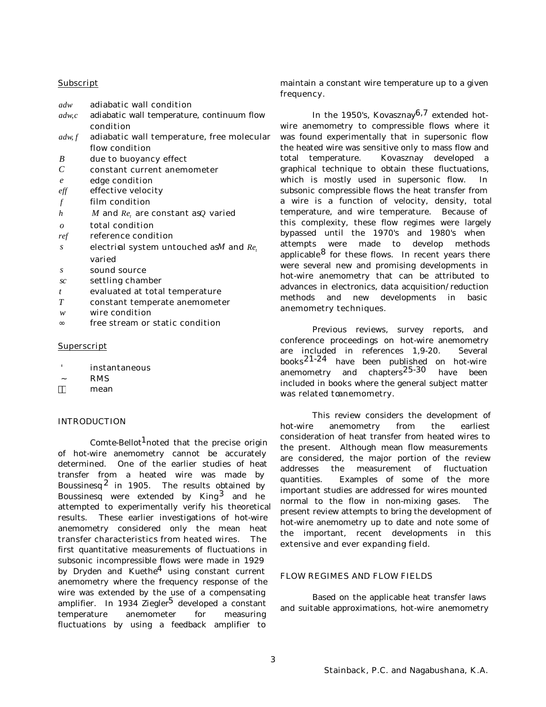## **Subscript**

| adw              | adiabatic wall condition                          |
|------------------|---------------------------------------------------|
| adw, c           | adiabatic wall temperature, continuum flow        |
|                  | condition                                         |
| adw, f           | adiabatic wall temperature, free molecular        |
|                  | flow condition                                    |
| B                | due to buoyancy effect                            |
| $\mathcal{C}$    | constant current anemometer                       |
| $\boldsymbol{e}$ | edge condition                                    |
| $\it eff$        | effective velocity                                |
| $\mathcal{f}$    | film condition                                    |
| $\boldsymbol{h}$ | M and $Re_t$ , are constant as q varied           |
| $\theta$         | total condition                                   |
| ref              | reference condition                               |
| S                | electrial system untouched as <i>M</i> and $Re_t$ |
|                  | varied                                            |
| S                | sound source                                      |
| <sub>SC</sub>    | settling chamber                                  |
| t                | evaluated at total temperature                    |
| T                | constant temperate anemometer                     |
| w                | wire condition                                    |
| $\infty$         | free stream or static condition                   |
|                  |                                                   |

## Superscript

- ' instantaneous
- ~ RMS
- mean

## INTRODUCTION

Comte-Bellot<sup>1</sup>noted that the precise origin of hot-wire anemometry cannot be accurately determined. One of the earlier studies of heat transfer from a heated wire was made by Boussinesq  $2$  in 1905. The results obtained by Boussinesq were extended by King<sup>3</sup> and he attempted to experimentally verify his theoretical results. These earlier investigations of hot-wire anemometry considered only the mean heat transfer characteristics from heated wires. The first quantitative measurements of fluctuations in subsonic incompressible flows were made in 1929 by Dryden and Kuethe<sup>4</sup> using constant current anemometry where the frequency response of the wire was extended by the use of a compensating amplifier. In 1934 Ziegler<sup>5</sup> developed a constant temperature anemometer for measuring fluctuations by using a feedback amplifier to

maintain a constant wire temperature up to a given frequency.

In the 1950's, Kovasznay<sup>6,7</sup> extended hotwire anemometry to compressible flows where it was found experimentally that in supersonic flow the heated wire was sensitive only to mass flow and total temperature. Kovasznay developed a graphical technique to obtain these fluctuations, which is mostly used in supersonic flow. In subsonic compressible flows the heat transfer from a wire is a function of velocity, density, total temperature, and wire temperature. Because of this complexity, these flow regimes were largely bypassed until the 1970's and 1980's when attempts were made to develop methods applicable  $8$  for these flows. In recent years there were several new and promising developments in hot-wire anemometry that can be attributed to advances in electronics, data acquisition/reduction methods and new developments in basic anemometry techniques.

Previous reviews, survey reports, and conference proceedings on hot-wire anemometry are included in references 1,9-20. Several books21-24 have been published on hot-wire anemometry and chapters25-30 have been included in books where the general subject matter was related tonnemometry.

This review considers the development of hot-wire anemometry from the earliest consideration of heat transfer from heated wires to the present. Although mean flow measurements are considered, the major portion of the review addresses the measurement of fluctuation quantities. Examples of some of the more important studies are addressed for wires mounted normal to the flow in non-mixing gases. The present review attempts to bring the development of hot-wire anemometry up to date and note some of the important, recent developments in this extensive and ever expanding field.

## FLOW REGIMES AND FLOW FIELDS

Based on the applicable heat transfer laws and suitable approximations, hot-wire anemometry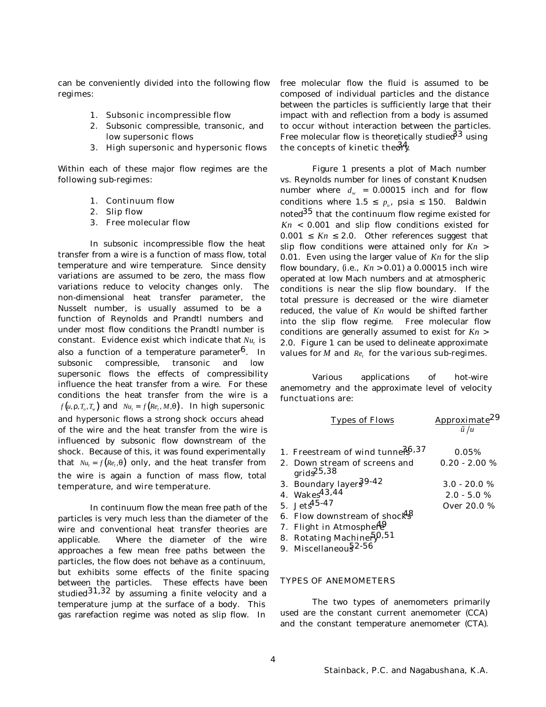can be conveniently divided into the following flow regimes:

- 1. Subsonic incompressible flow
- 2. Subsonic compressible, transonic, and low supersonic flows
- 3. High supersonic and hypersonic flows

Within each of these major flow regimes are the following sub-regimes:

- 1. Continuum flow
- 2. Slip flow
- 3. Free molecular flow

In subsonic incompressible flow the heat transfer from a wire is a function of mass flow, total temperature and wire temperature. Since density variations are assumed to be zero, the mass flow variations reduce to velocity changes only. The non-dimensional heat transfer parameter, the Nusselt number, is usually assumed to be a function of Reynolds and Prandtl numbers and under most flow conditions the Prandtl number is constant. Evidence exist which indicate that  $Nu_t$  is also a function of a temperature parameter<sup>6</sup>. In subsonic compressible, transonic and low supersonic flows the effects of compressibility influence the heat transfer from a wire. For these conditions the heat transfer from the wire is a *f*(*u*,*r*,*T<sub><i>o*</sub></sub>,*T*<sub>*w*</sub>) and  $Nu_t = f(Re_t, M, q)$ . In high supersonic and hypersonic flows a strong shock occurs ahead of the wire and the heat transfer from the wire is influenced by subsonic flow downstream of the shock. Because of this, it was found experimentally that  $Nu_t = f(Re_t, q)$  only, and the heat transfer from the wire is again a function of mass flow, total temperature, and wire temperature.

In continuum flow the mean free path of the particles is very much less than the diameter of the wire and conventional heat transfer theories are applicable. Where the diameter of the wire approaches a few mean free paths between the particles, the flow does not behave as a continuum, but exhibits some effects of the finite spacing between the particles. These effects have been studied $31,32$  by assuming a finite velocity and a temperature jump at the surface of a body. This gas rarefaction regime was noted as slip flow. In

free molecular flow the fluid is assumed to be composed of individual particles and the distance between the particles is sufficiently large that their impact with and reflection from a body is assumed to occur without interaction between the particles. Free molecular flow is theoretically studie $\delta^3$  using the concepts of kinetic the  $\delta \frac{4}{3}$ .

Figure 1 presents a plot of Mach number vs. Reynolds number for lines of constant Knudsen number where  $d_w = 0.00015$  inch and for flow conditions where  $1.5 \leq p_o$ , psia  $\leq 150$ . Baldwin noted35 that the continuum flow regime existed for *Kn* < 0.001 and slip flow conditions existed for  $0.001 \leq Kn \leq 2.0$ . Other references suggest that slip flow conditions were attained only for *Kn* > 0.01. Even using the larger value of *Kn* for the slip flow boundary, (i.e.,  $Kn > 0.01$ ) a 0.00015 inch wire operated at low Mach numbers and at atmospheric conditions is near the slip flow boundary. If the total pressure is decreased or the wire diameter reduced, the value of *Kn* would be shifted farther into the slip flow regime. Free molecular flow conditions are generally assumed to exist for *Kn* > 2.0. Figure 1 can be used to delineate approximate values for  $M$  and  $Re<sub>t</sub>$  for the various sub-regimes.

Various applications of hot-wire anemometry and the approximate level of velocity functuations are:

| <b>Types of Flows</b>                                   | Approximate <sup>29</sup><br>$\tilde{u}/u$ |
|---------------------------------------------------------|--------------------------------------------|
| 1. Freestream of wind tunners <sup>6,37</sup>           | 0.05%                                      |
| 2. Down stream of screens and<br>grids <sup>25,38</sup> | $0.20 - 2.00 %$                            |
| 3. Boundary layer 39-42                                 | $3.0 - 20.0 %$                             |
| 4. Wakes <sup>43,44</sup>                               | $2.0 - 5.0 %$                              |
| 5. Jet $^{45-47}$                                       | Over 20.0 %                                |
| 6. Flow downstream of shocks                            |                                            |
| 7. Flight in Atmosphert <sup>9</sup>                    |                                            |
| 8. Rotating Machiner $\tilde{\mathfrak{H}}^{0,51}$      |                                            |
| EO EQ                                                   |                                            |

9. Miscellaneous<sup>2-56</sup>

## TYPES OF ANEMOMETERS

The two types of anemometers primarily used are the constant current anemometer (CCA) and the constant temperature anemometer (CTA).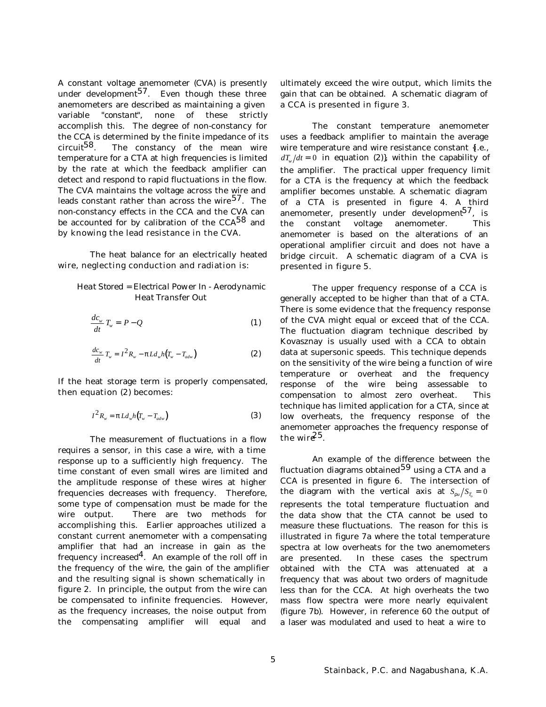A constant voltage anemometer (CVA) is presently under development<sup>57</sup>. Even though these three anemometers are described as maintaining a given variable "*constant*", none of these strictly accomplish this. The degree of non-constancy for the CCA is determined by the finite impedance of its<br>circuit<sup>58</sup>. The constancy of the mean wire The constancy of the mean wire temperature for a CTA at high frequencies is limited by the rate at which the feedback amplifier can detect and respond to rapid fluctuations in the flow. The CVA maintains the voltage across the wire and leads constant rather than across the wire  $57$ . The non-constancy effects in the CCA and the CVA can be accounted for by calibration of the CCA $^{58}$  and by knowing the lead resistance in the CVA.

The heat balance for an electrically heated wire, neglecting conduction and radiation is:

# *Heat Stored = Electrical Power In - Aerodynamic Heat Transfer Out*

$$
\frac{dc_w}{dt}T_w = P - Q \tag{1}
$$

$$
\frac{dc_w}{dt}T_w = I^2 R_w - \mathbf{p} L d_w h (T_w - T_{adv})
$$
\n(2)

If the heat storage term is properly compensated, then equation (2) becomes:

$$
I^2 R_w = \boldsymbol{p} L d_w h (T_w - T_{adv}) \tag{3}
$$

The measurement of fluctuations in a flow requires a sensor, in this case a wire, with a time response up to a sufficiently high frequency. The time constant of even small wires are limited and the amplitude response of these wires at higher frequencies decreases with frequency. Therefore, some type of compensation must be made for the wire output. There are two methods for accomplishing this. Earlier approaches utilized a constant current anemometer with a compensating amplifier that had an increase in gain as the frequency increased<sup>4</sup>. An example of the roll off in the frequency of the wire, the gain of the amplifier and the resulting signal is shown schematically in figure 2. In principle, the output from the wire can be compensated to infinite frequencies. However, as the frequency increases, the noise output from the compensating amplifier will equal and

ultimately exceed the wire output, which limits the gain that can be obtained. A schematic diagram of a CCA is presented in figure 3.

The constant temperature anemometer uses a feedback amplifier to maintain the average wire temperature and wire resistance constant {i.e.,  $dT_w/dt = 0$  in equation (2), within the capability of the amplifier. The practical upper frequency limit for a CTA is the frequency at which the feedback amplifier becomes unstable. A schematic diagram of a CTA is presented in figure 4. A third anemometer, presently under development<sup>57</sup>, is the constant voltage anemometer. This anemometer is based on the alterations of an operational amplifier circuit and does not have a bridge circuit. A schematic diagram of a CVA is presented in figure 5.

The upper frequency response of a CCA is generally accepted to be higher than that of a CTA. There is some evidence that the frequency response of the CVA might equal or exceed that of the CCA. The fluctuation diagram technique described by Kovasznay is usually used with a CCA to obtain data at supersonic speeds. This technique depends on the sensitivity of the wire being a function of wire temperature or overheat and the frequency response of the wire being assessable to compensation to almost zero overheat. This technique has limited application for a CTA, since at low overheats, the frequency response of the anemometer approaches the frequency response of the wir $e^{25}$ .

An example of the difference between the fluctuation diagrams obtained<sup>59</sup> using a CTA and a CCA is presented in figure 6. The intersection of the diagram with the vertical axis at  $S_{ru}/S_{T_o} = 0$ represents the total temperature fluctuation and the data show that the CTA cannot be used to measure these fluctuations. The reason for this is illustrated in figure 7a where the total temperature spectra at low overheats for the two anemometers are presented. In these cases the spectrum obtained with the CTA was attenuated at a frequency that was about two orders of magnitude less than for the CCA. At high overheats the two mass flow spectra were more nearly equivalent (figure 7b). However, in reference 60 the output of a laser was modulated and used to heat a wire to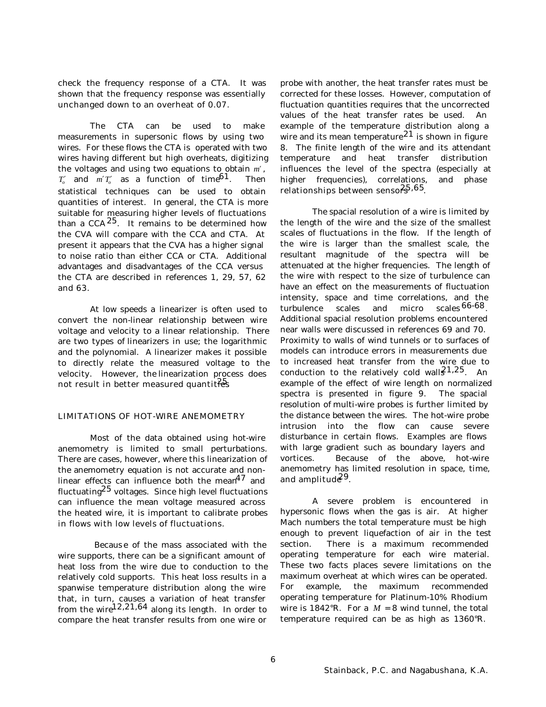check the frequency response of a CTA. It was shown that the frequency response was essentially unchanged down to an overheat of 0.07.

The CTA can be used to make measurements in supersonic flows by using two wires. For these flows the CTA is operated with two wires having different but high overheats, digitizing the voltages and using two equations to obtain *m*′ ,  $T'_{o}$  and  $m' T'_{o}$  as a function of time<sup>61</sup>. Then statistical techniques can be used to obtain quantities of interest. In general, the CTA is more suitable for measuring higher levels of fluctuations than a CCA  $25$ . It remains to be determined how the CVA will compare with the CCA and CTA. At present it appears that the CVA has a higher signal to noise ratio than either CCA or CTA. Additional advantages and disadvantages of the CCA versus the CTA are described in references 1, 29, 57, 62 and 63.

At low speeds a linearizer is often used to convert the non-linear relationship between wire voltage and velocity to a linear relationship. There are two types of linearizers in use; the logarithmic and the polynomial. A linearizer makes it possible to directly relate the measured voltage to the velocity. However, the linearization process does not result in better measured quantities

# LIMITATIONS OF HOT-WIRE ANEMOMETRY

Most of the data obtained using hot-wire anemometry is limited to small perturbations. There are cases, however, where this linearization of the anemometry equation is not accurate and nonlinear effects can influence both the mean $^{47}$  and fluctuating $^{25}$  voltages. Since high level fluctuations can influence the mean voltage measured across the heated wire, it is important to calibrate probes in flows with low levels of fluctuations.

 Because of the mass associated with the wire supports, there can be a significant amount of heat loss from the wire due to conduction to the relatively cold supports. This heat loss results in a spanwise temperature distribution along the wire that, in turn, causes a variation of heat transfer from the wire $^{12,21,64}$  along its length. In order to compare the heat transfer results from one wire or

probe with another, the heat transfer rates must be corrected for these losses. However, computation of fluctuation quantities requires that the uncorrected values of the heat transfer rates be used. An example of the temperature distribution along a wire and its mean temperature<sup>21</sup> is shown in figure 8. The finite length of the wire and its attendant temperature and heat transfer distribution influences the level of the spectra (especially at higher frequencies), correlations, and phase relationships between sensofs<sup>5,65</sup>.

The spacial resolution of a wire is limited by the length of the wire and the size of the smallest scales of fluctuations in the flow. If the length of the wire is larger than the smallest scale, the resultant magnitude of the spectra will be attenuated at the higher frequencies. The length of the wire with respect to the size of turbulence can have an effect on the measurements of fluctuation intensity, space and time correlations, and the turbulence scales and micro scales<sup>66-68</sup>. Additional spacial resolution problems encountered near walls were discussed in references 69 and 70. Proximity to walls of wind tunnels or to surfaces of models can introduce errors in measurements due to increased heat transfer from the wire due to conduction to the relatively cold wall $\mathcal{E}^{1,25}$ . An example of the effect of wire length on normalized spectra is presented in figure 9. The spacial resolution of multi-wire probes is further limited by the distance between the wires. The hot-wire probe intrusion into the flow can cause severe disturbance in certain flows. Examples are flows with large gradient such as boundary layers and vortices. Because of the above, hot-wire anemometry has limited resolution in space, time, and amplitud $e^{29}$ .

A severe problem is encountered in hypersonic flows when the gas is air. At higher Mach numbers the total temperature must be high enough to prevent liquefaction of air in the test section. There is a maximum recommended operating temperature for each wire material. These two facts places severe limitations on the maximum overheat at which wires can be operated. For example, the maximum recommended operating temperature for Platinum-10% Rhodium wire is  $1842^{\circ}$ R. For a  $M = 8$  wind tunnel, the total temperature required can be as high as 1360°R.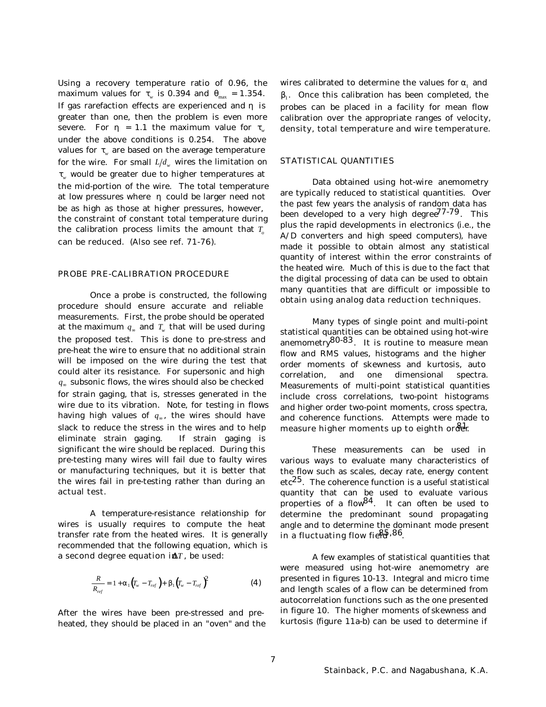Using a recovery temperature ratio of 0.96, the maximum values for  $t_w$  is 0.394 and  $q_{\text{max}} = 1.354$ . If gas rarefaction effects are experienced and *h* is greater than one, then the problem is even more severe. For  $h = 1.1$  the maximum value for  $t_{w}$ under the above conditions is 0.254. The above values for  $\boldsymbol{t}_{\rm w}$  are based on the average temperature for the wire. For small  $L/d_{\scriptscriptstyle w}$  wires the limitation on *tw* would be greater due to higher temperatures at the mid-portion of the wire. The total temperature at low pressures where *h* could be larger need not be as high as those at higher pressures, however, the constraint of constant total temperature during the calibration process limits the amount that  $T_{o}$ can be reduced. (Also see ref. 71-76).

#### PROBE PRE-CALIBRATION PROCEDURE

Once a probe is constructed, the following procedure should ensure accurate and reliable measurements. First, the probe should be operated at the maximum *q*<sup>∞</sup> and *T<sup>w</sup>* that will be used during the proposed test. This is done to pre-stress and pre-heat the wire to ensure that no additional strain will be imposed on the wire during the test that could alter its resistance. For supersonic and high *q*∞ subsonic flows, the wires should also be checked for strain gaging, that is, stresses generated in the wire due to its vibration. Note, for testing in flows having high values of *q*<sup>∞</sup> , the wires should have slack to reduce the stress in the wires and to help eliminate strain gaging. If strain gaging is significant the wire should be replaced. During this pre-testing many wires will fail due to faulty wires or manufacturing techniques, but it is better that the wires fail in pre-testing rather than during an actual test.

A temperature-resistance relationship for wires is usually requires to compute the heat transfer rate from the heated wires. It is generally recommended that the following equation, which is a second degree equation in  $T$ , be used:

$$
\frac{R}{R_{ref}} = 1 + a_1 (T_w - T_{ref}) + b_1 (T_w - T_{ref})^2
$$
 (4)

After the wires have been pre-stressed and preheated, they should be placed in an "*oven*" and the

wires calibrated to determine the values for  $\boldsymbol{a}_1^{\phantom{\dag}}$  and  $b_1$ . Once this calibration has been completed, the probes can be placed in a facility for mean flow calibration over the appropriate ranges of velocity, density, total temperature and wire temperature.

#### STATISTICAL QUANTITIES

Data obtained using hot-wire anemometry are typically reduced to statistical quantities. Over the past few years the analysis of random data has been developed to a very high degree<sup> $77-79$ </sup>. This plus the rapid developments in electronics (i.e., the A/D converters and high speed computers), have made it possible to obtain almost any statistical quantity of interest within the error constraints of the heated wire. Much of this is due to the fact that the digital processing of data can be used to obtain many quantities that are difficult or impossible to obtain using analog data reduction techniques.

Many types of single point and multi-point statistical quantities can be obtained using hot-wire anemometry80-83. It is routine to measure mean flow and RMS values, histograms and the higher order moments of skewness and kurtosis, auto correlation, and one dimensional spectra. Measurements of multi-point statistical quantities include cross correlations, two-point histograms and higher order two-point moments, cross spectra, and coherence functions. Attempts were made to measure higher moments up to eighth order

These measurements can be used in various ways to evaluate many characteristics of the flow such as scales, decay rate, energy content  $etc<sup>25</sup>$ . The coherence function is a useful statistical quantity that can be used to evaluate various properties of a flow $84$ . It can often be used to determine the predominant sound propagating angle and to determine the dominant mode present in a fluctuating flow field $5.86$ .

A few examples of statistical quantities that were measured using hot-wire anemometry are presented in figures 10-13. Integral and micro time and length scales of a flow can be determined from autocorrelation functions such as the one presented in figure 10. The higher moments of skewness and kurtosis (figure 11a-b) can be used to determine if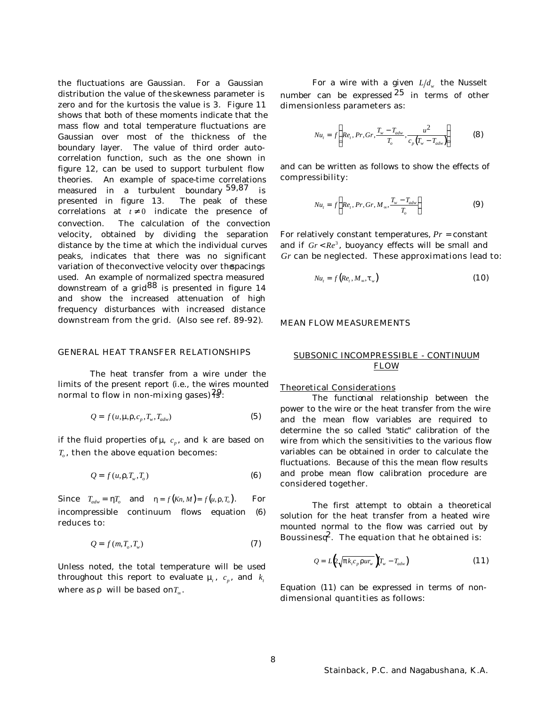the fluctuations are Gaussian. For a Gaussian distribution the value of the skewness parameter is zero and for the kurtosis the value is 3. Figure 11 shows that both of these moments indicate that the mass flow and total temperature fluctuations are Gaussian over most of the thickness of the boundary layer. The value of third order autocorrelation function, such as the one shown in figure 12, can be used to support turbulent flow theories. An example of space-time correlations measured in a turbulent boundary 59,87 is presented in figure 13. The peak of these correlations at  $t \neq 0$  indicate the presence of convection. The calculation of the convection velocity, obtained by dividing the separation distance by the time at which the individual curves peaks, indicates that there was no significant variation of the convective velocity over the pacings used. An example of normalized spectra measured downstream of a grid<sup>88</sup> is presented in figure 14 and show the increased attenuation of high frequency disturbances with increased distance downstream from the grid. (Also see ref. 89-92).

## GENERAL HEAT TRANSFER RELATIONSHIPS

The heat transfer from a wire under the limits of the present report (i.e., the wires mounted normal to flow in non-mixing gases) $\frac{29}{15}$ .

$$
Q = f(u, \mathbf{m} \mathbf{r}, c_p, T_w, T_{adv})
$$
\n(5)

if the fluid properties of *n*,  $c_p$ , and  $k$  are based on *To* , then the above equation becomes:

$$
Q = f(u, r, T_w, T_o)
$$
 (6)

Since  $T_{adv} = hT_o$  and  $h = f(Kn, M) = f(u, r, T_o)$ . For incompressible continuum flows equation (6) reduces to:

$$
Q = f(m, T_o, T_w)
$$
\n(7)

Unless noted, the total temperature will be used throughout this report to evaluate  $m_i$ ,  $c_p$ , and  $k_i$ where as  $r$  will be based on $T_\infty.$ 

For a wire with a given  $L/d_w$  the Nusselt number can be expressed  $25$  in terms of other dimensionless parameters as:

$$
Nu_{t} = f\left(Re_{t}, Pr, Gr, \frac{T_{w} - T_{adv}}{T_{o}}, \frac{u^{2}}{c_{p}(T_{w} - T_{adv})}\right)
$$
(8)

and can be written as follows to show the effects of compressibility:

$$
Nu_t = f\left(Re_t, Pr, Gr, M_\infty, \frac{T_w - T_{adv}}{T_o}\right)
$$
 (9)

For relatively constant temperatures, *Pr* = constant and if  $Gr < Re^3$ , buoyancy effects will be small and *Gr* can be neglected. These approximations lead to:

$$
Nu_{t} = f\left(Re_{t}, M_{\infty}, t_{w}\right) \tag{10}
$$

## MEAN FLOW MEASUREMENTS

# SUBSONIC INCOMPRESSIBLE - CONTINUUM FLOW

#### Theoretical Considerations

The functional relationship between the power to the wire or the heat transfer from the wire and the mean flow variables are required to determine the so called "*static*" calibration of the wire from which the sensitivities to the various flow variables can be obtained in order to calculate the fluctuations. Because of this the mean flow results and probe mean flow calibration procedure are considered together.

The first attempt to obtain a theoretical solution for the heat transfer from a heated wire mounted normal to the flow was carried out by Boussinesq<sup>2</sup>. The equation that he obtained is:

$$
Q = L\left(\sqrt{\mathbf{p}k_{i}c_{p}\mathbf{r}ur_{w}}\right)\mathbf{T}_{w} - T_{adv}\right) \tag{11}
$$

Equation (11) can be expressed in terms of nondimensional quantities as follows: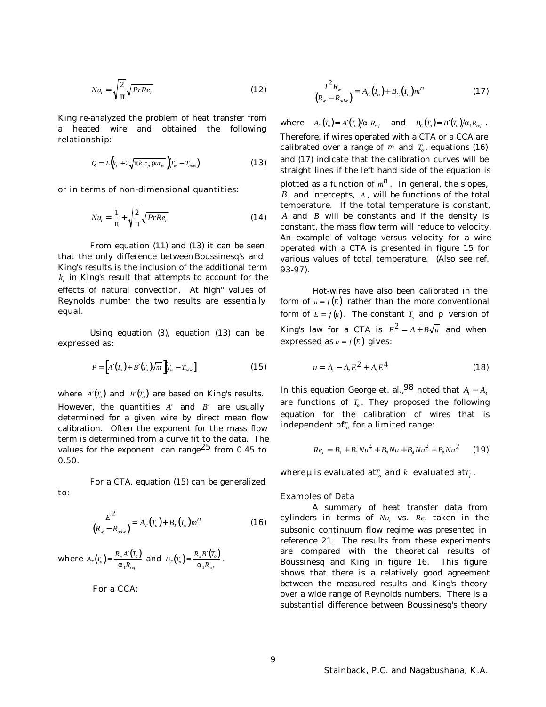$$
Nu_{i} = \sqrt{\frac{2}{p}} \sqrt{PrRe_{i}}
$$
 (12)

King re-analyzed the problem of heat transfer from a heated wire and obtained the following relationship:

$$
Q = L\left(k_t + 2\sqrt{p k_t c_p r u r_w}\right) T_w - T_{adv}\right)
$$
 (13)

or in terms of non-dimensional quantities:

$$
Nu_{t} = \frac{1}{p} + \sqrt{\frac{2}{p}} \sqrt{PrRe_{t}}
$$
 (14)

From equation (11) and (13) it can be seen that the only difference between Boussinesq's and King's results is the inclusion of the additional term  $k_{\mathrm{\scriptscriptstyle f}}$  in King's result that attempts to account for the effects of natural convection. At 'high' values of Reynolds number the two results are essentially equal.

Using equation (3), equation (13) can be expressed as:

$$
P = \left[ A'(T_o) + B'(T_o)\sqrt{m} \right] T_w - T_{adv} \tag{15}
$$

where  $A'(T)$  and  $B'(T)$  are based on King's results. However, the quantities  $A'$  and  $B'$  are usually determined for a given wire by direct mean flow calibration. Often the exponent for the mass flow term is determined from a curve fit to the data. The values for the exponent can range<sup>25</sup> from 0.45 to 0.50.

For a CTA, equation (15) can be generalized

$$
\frac{E^2}{(R_w - R_{adv})} = A_T(T_o) + B_T(T_o) m^n
$$
 (16)

**where**  $A_T(T_o) = \frac{R_w A'(T_o)}{R}$  $T(T_o) = \frac{R_w A V_o}{a_1 R_{ref}}$ *ref*  $=\frac{R_w A'}{A}$  $\frac{R_w A'(T_o)}{a_1 R_{ref}}$  and  $B_T(T_o) = \frac{R_w B'(T_o)}{a_1 R_{ref}}$  $T(T_o) = \frac{R_w D (I_o)}{a_1 R_{ref}}$ *ref*  $=\frac{R_w B'}{A}$  $\frac{a_0 P_{ref}}{a_1 R_{ref}}$ .

For a CCA:

to:

$$
\frac{I^2 R_w}{(R_w - R_{adv})} = A_C(T_o) + B_C(T_o) m^n
$$
 (17)

where  $A_c(T_o) = A'(T_o)/a_1 R_{ref}$  and  $B_c(T_o) = B'(T_o)/a_1 R_{ref}$ . Therefore, if wires operated with a CTA or a CCA are calibrated over a range of  $m$  and  $T_o$ , equations (16) and (17) indicate that the calibration curves will be straight lines if the left hand side of the equation is plotted as a function of  $m^n$  . In general, the slopes, *B*, and intercepts, *A* , will be functions of the total temperature. If the total temperature is constant, *A* and *B* will be constants and if the density is constant, the mass flow term will reduce to velocity. An example of voltage versus velocity for a wire operated with a CTA is presented in figure 15 for various values of total temperature. (Also see ref. 93-97).

Hot-wires have also been calibrated in the form of  $u = f(E)$  rather than the more conventional form of  $E = f(u)$ . The constant  $T_o$  and  $r$  version of King's law for a CTA is  $E^2 = A + B\sqrt{u}$  and when expressed as  $u = f(E)$  gives:

$$
u = A_1 - A_2 E^2 + A_3 E^4
$$
 (18)

In this equation George et. al.,<sup>98</sup> noted that  $A_1 - A_2$ are functions of *T<sup>o</sup>* . They proposed the following equation for the calibration of wires that is independent of *[, f*or a limited range:

$$
Re_t = B_1 + B_2 N u^{\frac{1}{2}} + B_3 N u + B_4 N u^{\frac{3}{2}} + B_5 N u^2 \qquad (19)
$$

where  $\pmb{\pi}$  is evaluated at $T_{_{\rho}}$  and  $k$  evaluated at $T_{_{f}}$  .

#### Examples of Data

A summary of heat transfer data from cylinders in terms of  $Nu_t$  vs.  $Re_t$  taken in the subsonic continuum flow regime was presented in reference 21. The results from these experiments are compared with the theoretical results of Boussinesq and King in figure 16. This figure shows that there is a relatively good agreement between the measured results and King's theory over a wide range of Reynolds numbers. There is a substantial difference between Boussinesq's theory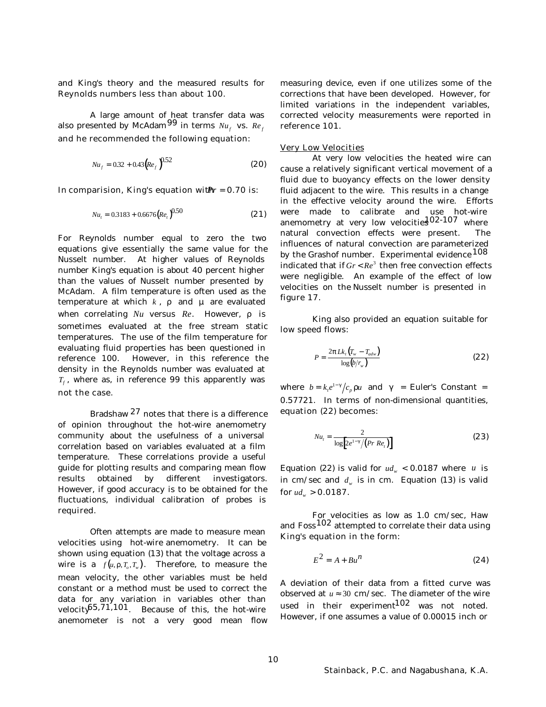and King's theory and the measured results for Reynolds numbers less than about 100.

A large amount of heat transfer data was also presented by McAdam $99$  in terms  $\it Nu_f$  vs.  $\it Re_f$ and he recommended the following equation:

$$
Nu_f = 0.32 + 0.43 \left( Re_f \right)^{0.52} \tag{20}
$$

In comparision, King's equation with **Priority** = 0.70 is:

$$
Nu_t = 0.3183 + 0.6676 \left(Re_t\right)^{0.50} \tag{21}
$$

For Reynolds number equal to zero the two equations give essentially the same value for the Nusselt number. At higher values of Reynolds number King's equation is about 40 percent higher than the values of Nusselt number presented by McAdam. A film temperature is often used as the temperature at which *k* , *r* and *m* are evaluated when correlating *Nu* versus *Re*. However, *r* is sometimes evaluated at the free stream static temperatures. The use of the film temperature for evaluating fluid properties has been questioned in reference 100. However, in this reference the density in the Reynolds number was evaluated at  $T_f$ , where as, in reference 99 this apparently was not the case.

Bradshaw 27 notes that there is a difference of opinion throughout the hot-wire anemometry community about the usefulness of a universal correlation based on variables evaluated at a film temperature. These correlations provide a useful guide for plotting results and comparing mean flow results obtained by different investigators. However, if good accuracy is to be obtained for the fluctuations, individual calibration of probes is required.

Often attempts are made to measure mean velocities using hot-wire anemometry. It can be shown using equation (13) that the voltage across a wire is a  $f(u, r, T_o, T_w)$ . Therefore, to measure the mean velocity, the other variables must be held constant or a method must be used to correct the data for any variation in variables other than velocity $65,71,101$ . Because of this, the hot-wire anemometer is not a very good mean flow measuring device, even if one utilizes some of the corrections that have been developed. However, for limited variations in the independent variables, corrected velocity measurements were reported in reference 101.

## Very Low Velocities

At very low velocities the heated wire can cause a relatively significant vertical movement of a fluid due to buoyancy effects on the lower density fluid adjacent to the wire. This results in a change in the effective velocity around the wire. Efforts were made to calibrate and use hot-wire anemometry at very low velocitie $\mathrm{\mathbf{1^{02\textrm{-}107}}}$  where natural convection effects were present. The influences of natural convection are parameterized by the Grashof number. Experimental evidence <sup>108</sup> indicated that if  $Gr < Re^3$  then free convection effects were negligible. An example of the effect of low velocities on the Nusselt number is presented in figure 17.

King also provided an equation suitable for low speed flows:

$$
P = \frac{2p L k_r (T_w - T_{adv})}{\log(b/r_w)}
$$
\n(22)

where  $b = k_{\iota}e^{1-g}/c_{p}r u$  and  $g$  = Euler's Constant = 0.57721. In terms of non-dimensional quantities, equation (22) becomes:

$$
Nu_{t} = \frac{2}{\log\left[2e^{1-\frac{s}{\sqrt{p_r}}}\left(\frac{Pr\ Re_{t}}{Pr\ Re_{t}}\right)\right]}
$$
(23)

Equation (22) is valid for  $ud_w < 0.0187$  where *u* is in cm/sec and  $d_w$  is in cm. Equation (13) is valid for  $ud_w > 0.0187$ .

For velocities as low as 1.0 cm/sec, Haw and Foss<sup>102</sup> attempted to correlate their data using King's equation in the form:

$$
E^2 = A + Bu^n \tag{24}
$$

A deviation of their data from a fitted curve was observed at  $u \approx 30$  cm/sec. The diameter of the wire used in their experiment $102$  was not noted. However, if one assumes a value of 0.00015 inch or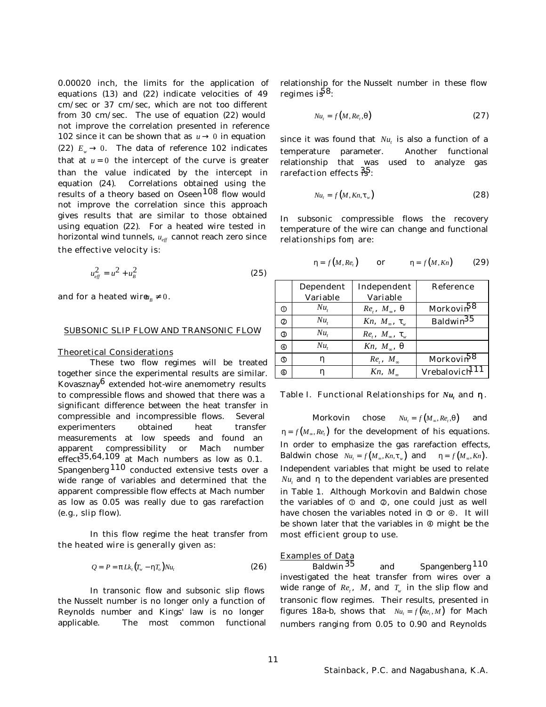0.00020 inch, the limits for the application of equations (13) and (22) indicate velocities of 49 cm/sec or 37 cm/sec, which are not too different from 30 cm/sec. The use of equation (22) would not improve the correlation presented in reference 102 since it can be shown that as  $u \to 0$  in equation (22)  $E_w \rightarrow 0$ . The data of reference 102 indicates that at  $u = 0$  the intercept of the curve is greater than the value indicated by the intercept in equation (24). Correlations obtained using the results of a theory based on Oseen<sup>108</sup> flow would not improve the correlation since this approach gives results that are similar to those obtained using equation (22). For a heated wire tested in horizontal wind tunnels,  $u_{\text{eff}}$  cannot reach zero since the effective velocity is:

$$
u_{\text{eff}}^2 = u^2 + u_{\text{B}}^2 \tag{25}
$$

and for a heated wire  $u_p \neq 0$ .

#### SUBSONIC SLIP FLOW AND TRANSONIC FLOW

#### Theoretical Considerations

These two flow regimes will be treated together since the experimental results are similar. Kovasznay $6$  extended hot-wire anemometry results to compressible flows and showed that there was a significant difference between the heat transfer in compressible and incompressible flows. Several experimenters obtained heat transfer measurements at low speeds and found an apparent compressibility or Mach number  $effect<sup>35,64,109</sup>$  at Mach numbers as low as 0.1. Spangenberg  $110$  conducted extensive tests over a wide range of variables and determined that the apparent compressible flow effects at Mach number as low as 0.05 was really due to gas rarefaction (e.g., slip flow).

In this flow regime the heat transfer from the heated wire is generally given as:

$$
Q = P = p L k_t (T_w - h T_o) N u_t
$$
\n(26)

In transonic flow and subsonic slip flows the Nusselt number is no longer only a function of Reynolds number and Kings' law is no longer applicable. The most common functional relationship for the Nusselt number in these flow regimes is<sup>58</sup>:

$$
Nu_t = f(M, Re_t, \boldsymbol{q})
$$
\n(27)

since it was found that  $Nu_{t}$  is also a function of a temperature parameter. Another functional relationship that was used to analyze gas rarefaction effects  $\frac{25}{12}$ :

$$
Nu_t = f\left(M, Kn, t_w\right) \tag{28}
$$

In subsonic compressible flows the recovery temperature of the wire can change and functional relationships for are:

$$
h = f(M, Ret) \qquad or \qquad h = f(M, Kn) \qquad (29)
$$

|                | <b>Dependent</b><br><b>Variable</b> | Independent<br><b>Variable</b>    | <b>Reference</b>           |
|----------------|-------------------------------------|-----------------------------------|----------------------------|
| $\circ$        | $Nu_{t}$                            | $Re, M_{\infty}, q$               | Morkovin <sup>58</sup>     |
| $\circled{2}$  | $Nu_{t}$                            | $Kn, M_*, t$                      | Baldwin <sup>35</sup>      |
| ③              | $Nu_{t}$                            | $Re_{t}$ , $M_{\infty}$ , $t_{w}$ |                            |
| $^{\circledR}$ | $Nu_{\rm r}$                        | $Kn, M_{\infty}, q$               |                            |
| $\circledS$    | h                                   | $Re, M_{\infty}$                  | Morkovin <sup>58</sup>     |
| 6              | h                                   | Kn, M                             | Vrebalovich <sup>111</sup> |

Table I. Functional Relationships for *Nu<sup>t</sup>* and *h* .

**Morkovin** chose  $Nu_t = f(M_\infty, Re_t)$ ,*<sup>q</sup>*) and  $h = f\left(M_\infty, Re_t\right)$  for the development of his equations. In order to emphasize the gas rarefaction effects, **Baldwin chose**  $Nu_t = f(M_\infty, Kn, t_w)$  and  $h = f(M_\infty, Kn)$ . Independent variables that might be used to relate  $Nu_{t}$  and  $\bm{h}$  to the dependent variables are presented in Table 1. Although Morkovin and Baldwin chose the variables of  $\mathbb O$  and  $\mathbb O$ , one could just as well have chosen the variables noted in  $\mathcal D$  or  $\mathcal D$ . It will be shown later that the variables in  $\Phi$  might be the most efficient group to use.

# **Examples of Data**

Baldwin<sup>35</sup> and Spangenberg<sup>110</sup> investigated the heat transfer from wires over a wide range of  $Re_t$ ,  $M$ , and  $T_w$  in the slip flow and transonic flow regimes. Their results, presented in figures 18a-b, shows that  $Nu_t = f(Re_t, M)$  for Mach numbers ranging from 0.05 to 0.90 and Reynolds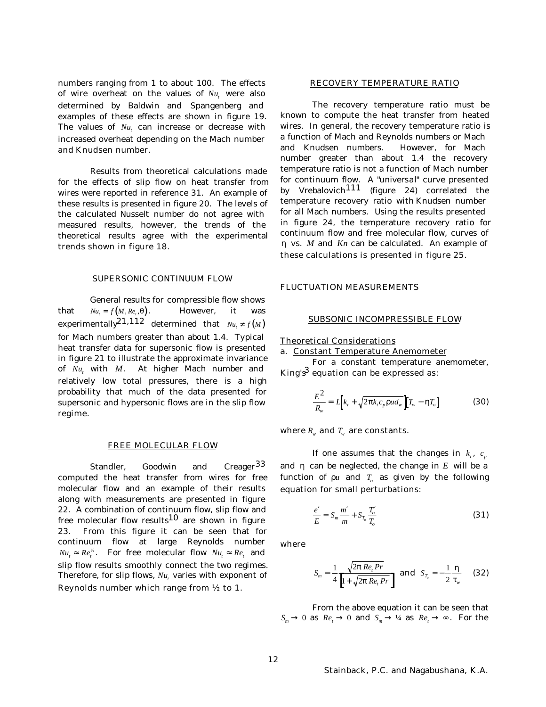numbers ranging from 1 to about 100. The effects of wire overheat on the values of  $Nu_t$  were also determined by Baldwin and Spangenberg and examples of these effects are shown in figure 19. The values of  $Nu_t$  can increase or decrease with increased overheat depending on the Mach number and Knudsen number.

Results from theoretical calculations made for the effects of slip flow on heat transfer from wires were reported in reference 31. An example of these results is presented in figure 20. The levels of the calculated Nusselt number do not agree with measured results, however, the trends of the theoretical results agree with the experimental trends shown in figure 18.

## SUPERSONIC CONTINUUM FLOW

General results for compressible flow shows **that**  $Nu = f(M, Re, q)$ . ,*<sup>q</sup>*). However, it was  $\textbf{experimentally}^{\textbf{21,112}}$  determined that  $\textit{Nu}_{t} \neq f(\textit{M})$ for Mach numbers greater than about 1.4. Typical heat transfer data for supersonic flow is presented in figure 21 to illustrate the approximate invariance of *Nu<sup>t</sup>* with *M*. At higher Mach number and relatively low total pressures, there is a high probability that much of the data presented for supersonic and hypersonic flows are in the slip flow regime.

### FREE MOLECULAR FLOW

Standler, Goodwin and Creager<sup>33</sup> computed the heat transfer from wires for free molecular flow and an example of their results along with measurements are presented in figure 22. A combination of continuum flow, slip flow and free molecular flow results<sup>10</sup> are shown in figure 23. From this figure it can be seen that for continuum flow at large Reynolds number  $Nu_t \approx Re_t^{\frac{1}{2}}$ . For free molecular flow  $Nu_t \approx Re_t$  and slip flow results smoothly connect the two regimes. Therefore, for slip flows,  $Nu_{t}$  varies with exponent of Reynolds number which range from ½ to 1.

#### RECOVERY TEMPERATURE RATIO

The recovery temperature ratio must be known to compute the heat transfer from heated wires. In general, the recovery temperature ratio is a function of Mach and Reynolds numbers or Mach and Knudsen numbers. However, for Mach number greater than about 1.4 the recovery temperature ratio is not a function of Mach number for continuum flow. A "*universal*" curve presented by Vrebalovich<sup>111</sup> (figure 24) correlated the temperature recovery ratio with Knudsen number for all Mach numbers. Using the results presented in figure 24, the temperature recovery ratio for continuum flow and free molecular flow, curves of *h* vs. *M* and *Kn* can be calculated. An example of these calculations is presented in figure 25.

#### FLUCTUATION MEASUREMENTS

#### SUBSONIC INCOMPRESSIBLE FLOW

#### Theoretical Considerations

a. Constant Temperature Anemometer

For a constant temperature anemometer, King's<sup>3</sup> equation can be expressed as:

$$
\frac{E^2}{R_w} = L\Big[k_r + \sqrt{2\mathbf{p}k_r c_p \mathbf{r} u d_w}\Big] \Big[T_w - \mathbf{h} T_o\Big] \tag{30}
$$

where  $R_{\scriptscriptstyle W}$  and  $T_{\scriptscriptstyle W}$  are constants.

If one assumes that the changes in  $k_t$ ,  $c_p$ and *h* can be neglected, the change in *E* will be a function of  $ru$  and  $T_o$  as given by the following equation for small perturbations:

$$
\frac{e'}{E} = S_m \frac{m'}{m} + S_{T_o} \frac{T'_o}{T_o}
$$
\n(31)

where

$$
S_m = \frac{1}{4} \frac{\sqrt{2p \, Re_i \, Pr}}{\left[1 + \sqrt{2p \, Re_i \, Pr}\right]} \text{ and } S_{T_o} = -\frac{1}{2} \frac{h}{t_w} \quad (32)
$$

From the above equation it can be seen that  $S_m \to 0$  as  $Re_t \to 0$  and  $S_m \to \frac{1}{4}$  as  $Re_t \to \infty$ . For the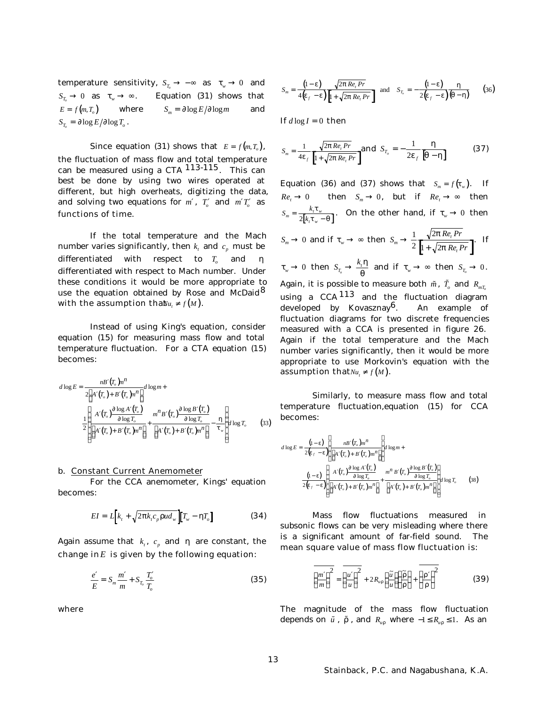temperature sensitivity,  $S_{T_a} \to -\infty$  as  $t_w \to 0$  and  $S_T \to 0$  as  $t_w \to \infty$ . Equation (31) shows that  $E = f(m, T_o)$  where  $S_m = \int \log E / \int \log m$  and  $S_{T_o} = \frac{f}{\sqrt{2}} \log E / \frac{f}{\sqrt{2}} \log T_o$ .

Since equation (31) shows that  $E = f(m, T_o)$ , the fluctuation of mass flow and total temperature can be measured using a CTA 113-115. This can best be done by using two wires operated at different, but high overheats, digitizing the data, and solving two equations for  $m'$ ,  $T'_o$  and  $m'T'_o$  as functions of time.

If the total temperature and the Mach number varies significantly, then  $k_{i}$  and  $c_{p}$  must be differentiated with respect to *T<sup>o</sup>* and *h* differentiated with respect to Mach number. Under these conditions it would be more appropriate to use the equation obtained by Rose and McDaid<sup>8</sup> with the assumption that  $u_t \neq f(M)$ .

Instead of using King's equation, consider equation (15) for measuring mass flow and total temperature fluctuation. For a CTA equation (15) becomes:

$$
d \log E = \frac{n B'(T_o) n^n}{2 \left[ A'(T_o) + B'(T_o) n^n \right]} d \log m +
$$
  

$$
\frac{1}{2} \left[ \frac{A'(T_o) \frac{\int \log A'(T_o)}{\log T_o} + m^n B'(T_o) \frac{\int \log B'(T_o)}{\log T_o} - \frac{1}{2} \left[ A'(T_o) + B'(T_o) n^n \right] + \left[ A'(T_o) + B'(T_o) n^n \right] - \frac{1}{t_w} \right] d \log T_o \tag{33}
$$

## b. Constant Current Anemometer

For the CCA anemometer, Kings' equation becomes:

$$
EI = L\Big[k_{t} + \sqrt{2\mathbf{p}k_{t}c_{p}\mathbf{r}ud_{w}}\Big]\Big[T_{w} - \mathbf{h}T_{o}\Big]
$$
 (34)

Again assume that  $k_t$ ,  $c_p$  and  $h$  are constant, the change in  $E$  is given by the following equation:

$$
\frac{e'}{E} = S_m \frac{m'}{m} + S_{T_o} \frac{T_o'}{T_o} \tag{35}
$$

where

$$
S_m = \frac{\left(1 - e\right)}{4\left(e_f - e\right)} \frac{\sqrt{2p \ Re_i Pr}}{\left[1 + \sqrt{2p \ Re_i Pr}\right]} \quad \text{and} \quad S_{T_c} = -\frac{\left(1 - e\right)}{2\left(e_f - e\right)} \frac{h}{\left(q - h\right)} \tag{36}
$$

If  $d \log I = 0$  then

$$
S_m = \frac{1}{4e_f} \frac{\sqrt{2p Re_i Pr}}{\left[1 + \sqrt{2p Re_i Pr}\right]} \text{ and } S_{T_o} = -\frac{1}{2e_f} \frac{h}{\left[q - h\right]}
$$
(37)

Equation (36) and (37) shows that  $S_m = f(t_w)$ . If  $Re_t \to 0$  then  $S_m \to 0$ , but if  $Re_t \to \infty$  then  $S_m = \frac{k_t \mathbf{t}_w}{2[k_t \mathbf{t}_w - \mathbf{q}]}$  $m = \frac{\kappa_t \epsilon_w}{2 \left[ k_t t_w \right]}$ *t w*  $=\frac{k_t \epsilon_w}{2[k_t t_w$ *t*  $\frac{\kappa_t \iota_w}{2[k,t_w - q]}$ . On the other hand, if  $t_w \to 0$  then

$$
S_m \to 0 \text{ and if } t_w \to \infty \text{ then } S_m \to \frac{1}{2} \frac{\sqrt{2p} Re_i Pr}{\left[1 + \sqrt{2p} Re_i Pr\right]} \text{ If }
$$

 $t_w \to 0$  then  $S_{T_o} \to \frac{k_t h}{g}$  $\frac{d}{dt}$  and if  $t_w \rightarrow \infty$  then  $S_{T_o} \rightarrow 0$ . Again, it is possible to measure both  $\tilde{m}$  ,  $\tilde{T_o}$  and  $R_{_{mT_o}}$ using a  $CCA$   $^{113}$  and the fluctuation diagram developed by Kovasznay $6$ . An example of fluctuation diagrams for two discrete frequencies measured with a CCA is presented in figure 26. Again if the total temperature and the Mach number varies significantly, then it would be more appropriate to use Morkovin's equation with the assumption that  $Nu_t \neq f(M)$ .

Similarly, to measure mass flow and total temperature fluctuation,equation (15) for CCA becomes:

$$
d \log E = \frac{(1 - e)}{2(e_f - e)} \left\{ \frac{n B'(T_o) m^n}{\left[ A'(T_o) + B'(T_o) m^n \right]} \right\} d \log m +
$$
  

$$
\frac{(1 - e)}{2(e_f - e)} \left\{ \frac{A'(T_o) \frac{\sqrt{\log A'(T_o)}}{\sqrt{\log T_o}}}{\left[ A'(T_o) + B'(T_o) m^n \right]} + \frac{m^n B'(T_o) \frac{\sqrt{\log B'(T_o)}}{\sqrt{\log T_o}}}{\left[ A'(T_o) + B'(T_o) m^n \right]} \right\} d \log T_o \tag{38}
$$

Mass flow fluctuations measured in subsonic flows can be very misleading where there is a significant amount of far-field sound. The mean square value of mass flow fluctuation is:

$$
\overline{\left(\frac{m'}{m}\right)^2} = \overline{\left(\frac{u'}{u}\right)^2} + 2R_{ur}\left(\frac{\tilde{u}}{u}\right)\left(\frac{\tilde{r}}{r}\right) + \overline{\left(\frac{r'}{r}\right)^2}
$$
(39)

The magnitude of the mass flow fluctuation depends on  $\tilde{u}$ ,  $\tilde{r}$ , and  $R_{ur}$  where  $-1 \le R_{ur} \le 1$ . As an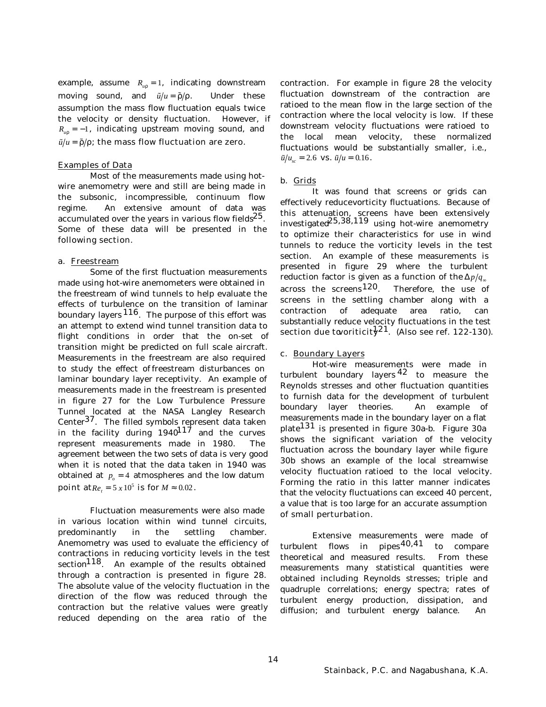example, assume  $R_{ur} = 1$ , indicating downstream moving sound, and  $\tilde{u}/u = \tilde{r}/r$ . Under these assumption the mass flow fluctuation equals twice the velocity or density fluctuation. However, if  $R_{ur} = -1$ , indicating upstream moving sound, and  $\tilde{u}/u = \tilde{r}/r$ ; the mass flow fluctuation are zero.

## Examples of Data

Most of the measurements made using hotwire anemometry were and still are being made in the subsonic, incompressible, continuum flow regime. An extensive amount of data was accumulated over the years in various flow fields $^{25}$ . Some of these data will be presented in the following section.

### a. Freestream

Some of the first fluctuation measurements made using hot-wire anemometers were obtained in the freestream of wind tunnels to help evaluate the effects of turbulence on the transition of laminar boundary layers  $116$ . The purpose of this effort was an attempt to extend wind tunnel transition data to flight conditions in order that the on-set of transition might be predicted on full scale aircraft. Measurements in the freestream are also required to study the effect of freestream disturbances on laminar boundary layer receptivity. An example of measurements made in the freestream is presented in figure 27 for the Low Turbulence Pressure Tunnel located at the NASA Langley Research Center<sup>37</sup>. The filled symbols represent data taken in the facility during  $1940^{117}$  and the curves represent measurements made in 1980. The agreement between the two sets of data is very good when it is noted that the data taken in 1940 was obtained at  $p<sub>a</sub> = 4$  atmospheres and the low datum **point at** $Re_t = 5 \times 10^5$  **is for**  $M \approx 0.02$ .

Fluctuation measurements were also made in various location within wind tunnel circuits, predominantly in the settling chamber. Anemometry was used to evaluate the efficiency of contractions in reducing vorticity levels in the test section<sup>118</sup>. An example of the results obtained through a contraction is presented in figure 28. The absolute value of the velocity fluctuation in the direction of the flow was reduced through the contraction but the relative values were greatly reduced depending on the area ratio of the

contraction. For example in figure 28 the velocity fluctuation downstream of the contraction are ratioed to the mean flow in the large section of the contraction where the local velocity is low. If these downstream velocity fluctuations were ratioed to the local mean velocity, these normalized fluctuations would be substantially smaller, i.e.,  $\tilde{u}/u_{sc} = 2.6$  **vs.**  $\tilde{u}/u = 0.16$ .

# b. Grids

It was found that screens or grids can effectively reduce vorticity fluctuations. Because of this attenuation, screens have been extensively investigated  $25,38,119$  using hot-wire anemometry to optimize their characteristics for use in wind tunnels to reduce the vorticity levels in the test section. An example of these measurements is presented in figure 29 where the turbulent reduction factor is given as a function of the  $\Delta p/q_{\infty}$ across the screens<sup>120</sup>. Therefore, the use of screens in the settling chamber along with a contraction of adequate area ratio, can substantially reduce velocity fluctuations in the test section due to voriticit $\frac{121}{2}$ . (Also see ref. 122-130).

# c. Boundary Layers

Hot-wire measurements were made in turbulent boundary layers  $42$  to measure the Reynolds stresses and other fluctuation quantities to furnish data for the development of turbulent boundary layer theories. An example of measurements made in the boundary layer on a flat plate131 is presented in figure 30a-b. Figure 30a shows the significant variation of the velocity fluctuation across the boundary layer while figure 30b shows an example of the local streamwise velocity fluctuation ratioed to the local velocity. Forming the ratio in this latter manner indicates that the velocity fluctuations can exceed 40 percent, a value that is too large for an accurate assumption of small perturbation.

Extensive measurements were made of turbulent flows in  $\mu$  pipes<sup>40,41</sup> to compare theoretical and measured results. From these measurements many statistical quantities were obtained including Reynolds stresses; triple and quadruple correlations; energy spectra; rates of turbulent energy production, dissipation, and diffusion; and turbulent energy balance. An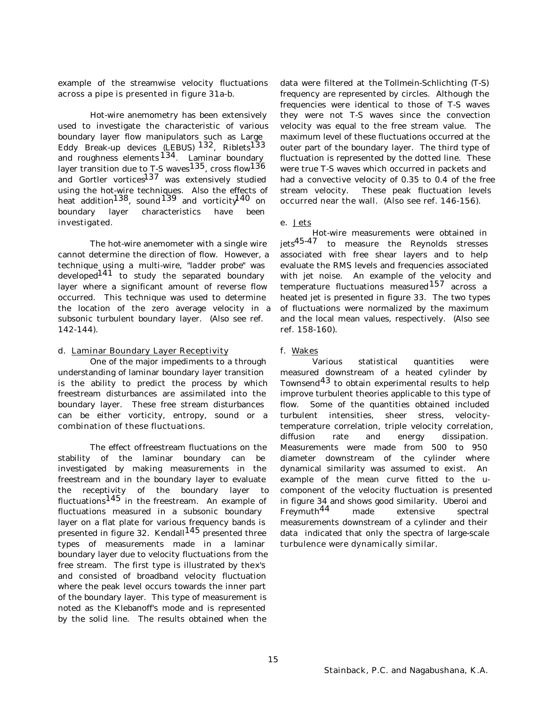example of the streamwise velocity fluctuations across a pipe is presented in figure 31a-b.

Hot-wire anemometry has been extensively used to investigate the characteristic of various boundary layer flow manipulators such as Large Eddy Break-up devices (LEBUS) <sup>132</sup>, Riblets<sup>133</sup> and roughness elements  $134$ . Laminar boundary layer transition due to T-S waves<sup>135</sup>, cross flow<sup>136</sup> and Gortler vortices<sup>137</sup> was extensively studied using the hot-wire techniques. Also the effects of heat addition<sup>138</sup>, sound<sup>139</sup> and vorticity<sup>140</sup> on boundary layer characteristics have been investigated.

The hot-wire anemometer with a single wire cannot determine the direction of flow. However, a technique using a multi-wire, "*ladder probe*" was developed<sup>141</sup> to study the separated boundary layer where a significant amount of reverse flow occurred. This technique was used to determine the location of the zero average velocity in a subsonic turbulent boundary layer. (Also see ref. 142-144).

## d. Laminar Boundary Layer Receptivity

One of the major impediments to a through understanding of laminar boundary layer transition is the ability to predict the process by which freestream disturbances are assimilated into the boundary layer. These free stream disturbances can be either vorticity, entropy, sound or a combination of these fluctuations.

The effect of freestream fluctuations on the stability of the laminar boundary can be investigated by making measurements in the freestream and in the boundary layer to evaluate the receptivity of the boundary layer to fluctuations $145$  in the freestream. An example of fluctuations measured in a subsonic boundary layer on a flat plate for various frequency bands is presented in figure 32. Kendall $145$  presented three types of measurements made in a laminar boundary layer due to velocity fluctuations from the free stream. The first type is illustrated by the x's and consisted of broadband velocity fluctuation where the peak level occurs towards the inner part of the boundary layer. This type of measurement is noted as the Klebanoff's mode and is represented by the solid line. The results obtained when the

data were filtered at the Tollmein-Schlichting (T-S) frequency are represented by circles. Although the frequencies were identical to those of T-S waves they were not T-S waves since the convection velocity was equal to the free stream value. The maximum level of these fluctuations occurred at the outer part of the boundary layer. The third type of fluctuation is represented by the dotted line. These were true T-S waves which occurred in packets and had a convective velocity of 0.35 to 0.4 of the free stream velocity. These peak fluctuation levels occurred near the wall. (Also see ref. 146-156).

## e. Jets

Hot-wire measurements were obtained in jets45-47 to measure the Reynolds stresses associated with free shear layers and to help evaluate the RMS levels and frequencies associated with jet noise. An example of the velocity and temperature fluctuations measured  $157$  across a heated jet is presented in figure 33. The two types of fluctuations were normalized by the maximum and the local mean values, respectively. (Also see ref. 158-160).

# f. Wakes

Various statistical quantities were measured downstream of a heated cylinder by Townsend<sup>43</sup> to obtain experimental results to help improve turbulent theories applicable to this type of flow. Some of the quantities obtained included turbulent intensities, sheer stress, velocitytemperature correlation, triple velocity correlation, diffusion rate and energy dissipation. Measurements were made from 500 to 950 diameter downstream of the cylinder where dynamical similarity was assumed to exist. An example of the mean curve fitted to the ucomponent of the velocity fluctuation is presented in figure 34 and shows good similarity. Uberoi and Freymuth44 made extensive spectral measurements downstream of a cylinder and their data indicated that only the spectra of large-scale turbulence were dynamically similar.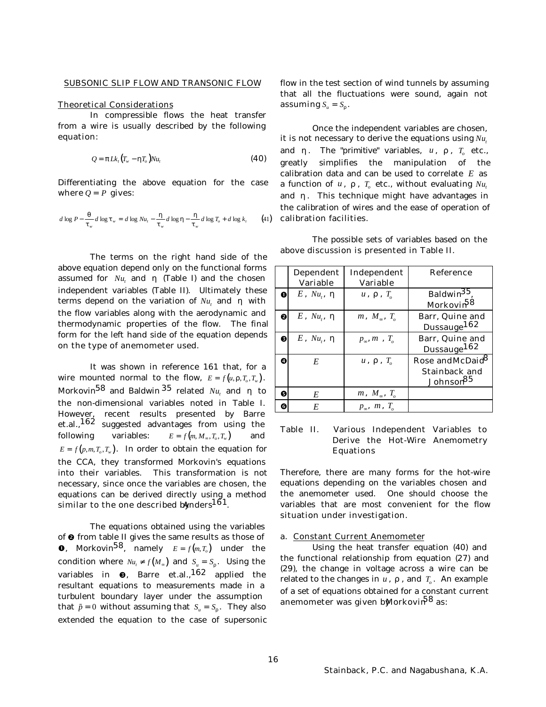# SUBSONIC SLIP FLOW AND TRANSONIC FLOW

#### Theoretical Considerations

In compressible flows the heat transfer from a wire is usually described by the following equation:

$$
Q = p L k_t (T_w - h T_o) N u_t
$$
\n(40)

Differentiating the above equation for the case where  $Q = P$  gives:

$$
d \log P - \frac{q}{t_w} d \log t_w = d \log Nu_t - \frac{h}{t_w} d \log h - \frac{h}{t_w} d \log T_o + d \log k_t \tag{41}
$$

The terms on the right hand side of the above equation depend only on the functional forms assumed for  $Nu_t$  and *h* (Table I) and the chosen independent variables (Table II). Ultimately these terms depend on the variation of *Nu<sup>t</sup>* and *h* with the flow variables along with the aerodynamic and thermodynamic properties of the flow. The final form for the left hand side of the equation depends on the type of anemometer used.

It was shown in reference 161 that, for a wire mounted normal to the flow,  $E = f(u, r, T_o, T_w)$ . Morkovin $^{58}$  and Baldwin $^{35}$  related  ${\it Nu}_t$  and  ${\it h}$  to the non-dimensional variables noted in Table I. However, recent results presented by Barre et.al.,162 suggested advantages from using the following variables:  $E = f(m, M_{\infty}, T_o, T_w)$  and  $E = f(p,m,T_o,T_w)$ . In order to obtain the equation for the CCA, they transformed Morkovin's equations into their variables. This transformation is not necessary, since once the variables are chosen, the equations can be derived directly using a method similar to the one described by nders<sup>161</sup>.

The equations obtained using the variables of  $\Theta$  from table II gives the same results as those of **0**, Morkovin<sup>58</sup>, namely  $E = f(m,T_o)$  under the condition where  $Nu_t \neq f(M_\infty)$  and  $S_u = S_r$ . Using the variables in  $\bm{\Theta}$ , Barre et.al.,  $^{162}$  applied the resultant equations to measurements made in a turbulent boundary layer under the assumption that  $\tilde{p} = 0$  without assuming that  $S_u = S_r$ . They also extended the equation to the case of supersonic flow in the test section of wind tunnels by assuming that all the fluctuations were sound, again not assuming  $S_u = S_r$ .

Once the independent variables are chosen, it is not necessary to derive the equations using  $Nu_{t}$ and  $h$ . The "*primitive*" variables,  $u$ ,  $r$ ,  $T_o$  etc., greatly simplifies the manipulation of the calibration data and can be used to correlate *E* as a function of  $u$ ,  $r$ ,  $T_o$  etc., without evaluating  $Nu_t$ and *h*. This technique might have advantages in the calibration of wires and the ease of operation of calibration facilities.

The possible sets of variables based on the above discussion is presented in Table II.

|   | Dependent                 | Independent                     | <b>Reference</b>                                  |
|---|---------------------------|---------------------------------|---------------------------------------------------|
|   | <b>Variable</b>           | <b>Variable</b>                 |                                                   |
| Л | $E$ , Nu <sub>t</sub> , h | $u$ , $r$ , $T_a$               | Baldwin <sup>35</sup> .                           |
|   |                           |                                 | Morkovin <sup>58</sup>                            |
| 0 | $E$ , $Nu_{i}$ , $h$      | $m, M_{\infty}, T_{\alpha}$     | <b>Barr, Quine and</b><br>Dussauge <sup>162</sup> |
| ❸ | $E$ , Nu., h              | $p_{\infty}, m$ , $T_{\circ}$   | Barr, Quine and<br>Dussauge <sup>162</sup>        |
| Ø | E                         | $u$ , $r$ , $T_a$               | Rose andMcDaid <sup>8</sup>                       |
|   |                           |                                 | <b>Stainback and</b><br>Johnson <sup>85</sup>     |
| Θ | E                         | $m, M_{\infty}, T_{\alpha}$     |                                                   |
| G | E                         | $p_{\infty}$ , $m$ , $T_{\sim}$ |                                                   |

# Table II. Various Independent Variables to Derive the Hot-Wire Anemometry Equations

Therefore, there are many forms for the hot-wire equations depending on the variables chosen and the anemometer used. One should choose the variables that are most convenient for the flow situation under investigation.

#### a. Constant Current Anemometer

Using the heat transfer equation (40) and the functional relationship from equation (27) and (29), the change in voltage across a wire can be related to the changes in  $u$  ,  $r$  , and  $T_o$  . An example of a set of equations obtained for a constant current anemometer was given b**M**orkovin<sup>58</sup> as: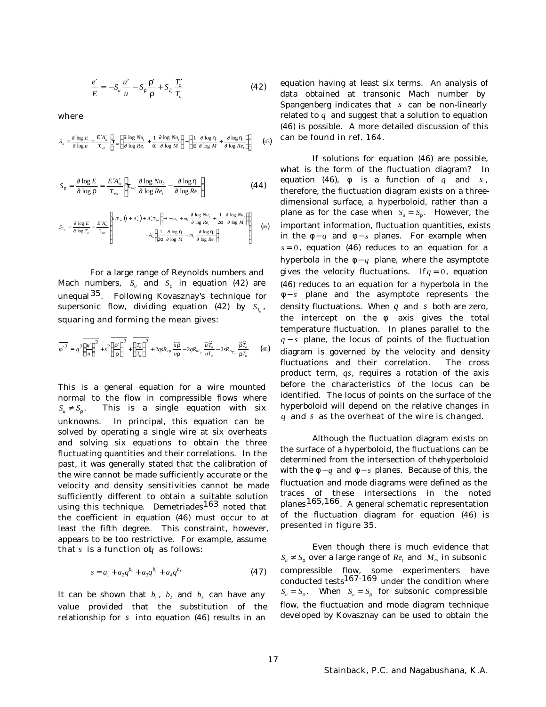$$
\frac{e'}{E} = -S_u \frac{u'}{u} - S_r \frac{r'}{r} + S_{T_o} \frac{T'_o}{T_o}
$$
(42)

where

$$
S_u = \frac{\P \log E}{\P \log u} = \frac{E'A'_w}{t_{wr}} \left[ t_{wr} \left( \frac{\P \log Nu_t}{\P \log Re_t} + \frac{1}{a} \frac{\P \log Nu_t}{\P \log M} \right) - \left( \frac{1}{a} \frac{\P \log h}{\P \log M} + \frac{\P \log h}{\P \log Re_t} \right) \right] \tag{43}
$$

$$
S_r = \frac{\P \log E}{\P \log r} = \frac{E'A_w'}{t_{wr}} \left[ t_{wr} \frac{\P \log Nu_t}{\P \log Re_t} - \frac{\P \log h}{\P \log Re_t} \right]
$$
(44)

$$
S_{T_v} = \frac{\int \log E}{\int \log T_v} = \frac{EA'_v}{t_{wr}} \left[ k_t t_{wr} \left( 1 + A'_v \right) + A'_v t_{wr} \left( -1 - n_t + m_t \frac{\int \log Nu_t}{\int \log Re_t} + \frac{1}{2a} \frac{\int \log Nu_t}{\int \log M} \right) \right]
$$
(45)

For a large range of Reynolds numbers and Mach numbers,  $S_u$  and  $S_r$  in equation (42) are unequal35. Following Kovasznay's technique for supersonic flow, dividing equation (42) by  $S_{T_o}$ , squaring and forming the mean gives:

$$
\overline{f^2} = q^2 \left(\frac{u'}{u}\right)^2 + s^2 \left(\frac{r'}{r}\right)^2 + \left(\frac{T'_o}{T_o}\right)^2 + 2qsR_{ur} \frac{\widetilde{u}\widetilde{r}}{ur} - 2qR_{u\widetilde{r}_o} \frac{\widetilde{u}\widetilde{T}_o}{u\widetilde{T}_o} - 2sR_{r\widetilde{r}_o} \frac{\widetilde{r}\widetilde{T}_o}{rT_o} \tag{46}
$$

This is a general equation for a wire mounted normal to the flow in compressible flows where  $S_u \neq S_r$ . . This is a single equation with six unknowns. In principal, this equation can be solved by operating a single wire at six overheats and solving six equations to obtain the three fluctuating quantities and their correlations. In the past, it was generally stated that the calibration of the wire cannot be made sufficiently accurate or the velocity and density sensitivities cannot be made sufficiently different to obtain a suitable solution using this technique. Demetriades<sup>163</sup> noted that the coefficient in equation (46) must occur to at least the fifth degree. This constraint, however, appears to be too restrictive. For example, assume that  $s$  is a function of *q* as follows:

$$
s = a_1 + a_2 q^{b_1} + a_3 q^{b_2} + a_4 q^{b_3}
$$
 (47)

It can be shown that  $b_1$ ,  $b_2$  and  $b_3$  can have any value provided that the substitution of the relationship for *s* into equation (46) results in an

equation having at least six terms. An analysis of data obtained at transonic Mach number by Spangenberg indicates that *s* can be non-linearly related to *q* and suggest that a solution to equation (46) is possible. A more detailed discussion of this can be found in ref. 164.

If solutions for equation (46) are possible, what is the form of the fluctuation diagram? In equation (46),  $f$  is a function of  $q$  and  $s$ , therefore, the fluctuation diagram exists on a threedimensional surface, a hyperboloid, rather than a plane as for the case when  $S_u = S_r$ . However, the important information, fluctuation quantities, exists in the *f* − *q* and *f* − *s* planes. For example when  $s = 0$ , equation (46) reduces to an equation for a hyperbola in the  $f - q$  plane, where the asymptote gives the velocity fluctuations. If  $q = 0$ , equation (46) reduces to an equation for a hyperbola in the *f* − *s* plane and the asymptote represents the density fluctuations. When *q* and *s* both are zero, the intercept on the *f* axis gives the total temperature fluctuation. In planes parallel to the *q* − *s* plane, the locus of points of the fluctuation diagram is governed by the velocity and density fluctuations and their correlation. The cross product term, *qs*, requires a rotation of the axis before the characteristics of the locus can be identified. The locus of points on the surface of the hyperboloid will depend on the relative changes in *q* and *s* as the overheat of the wire is changed.

Although the fluctuation diagram exists on the surface of a hyperboloid, the fluctuations can be determined from the intersection of the hyperboloid with the *f* − *q* and *f* − *s* planes. Because of this, the fluctuation and mode diagrams were defined as the traces of these intersections in the noted planes165,166. A general schematic representation of the fluctuation diagram for equation (46) is presented in figure 35.

Even though there is much evidence that  $S_u \neq S_r$  over a large range of  $Re_t$  and  $M_{\infty}$  in subsonic compressible flow, some experimenters have conducted tests<sup>167-169</sup> under the condition where  $S_u = S_r$ . When  $S_u = S_r$  for subsonic compressible flow, the fluctuation and mode diagram technique developed by Kovasznay can be used to obtain the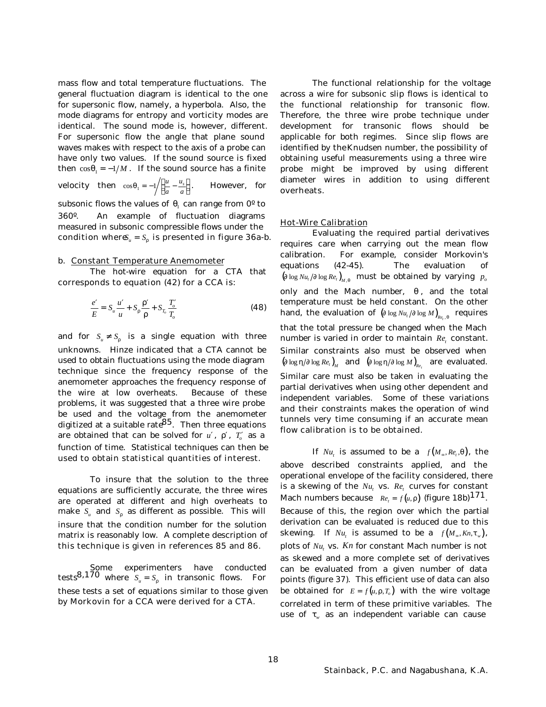mass flow and total temperature fluctuations. The general fluctuation diagram is identical to the one for supersonic flow, namely, a hyperbola. Also, the mode diagrams for entropy and vorticity modes are identical. The sound mode is, however, different. For supersonic flow the angle that plane sound waves makes with respect to the axis of a probe can have only two values. If the sound source is fixed then  $\cos q_1 = -1/M$ . If the sound source has a finite **velocity** then  $\cos q_1 = -1 / (\frac{u}{v_1} \left(\frac{u}{a} - \frac{u_s}{a}\right)$  $\frac{u}{a} - \frac{u_s}{a}$ *a u*  $rac{a_s}{a}$ . However, for subsonic flows the values of  $q_{\scriptscriptstyle\rm I}$  can range from 0° to 360º. An example of fluctuation diagrams measured in subsonic compressible flows under the condition where  $S_u = S_r$  is presented in figure 36a-b.

#### b. Constant Temperature Anemometer

The hot-wire equation for a CTA that corresponds to equation (42) for a CCA is:

$$
\frac{e'}{E} = S_u \frac{u'}{u} + S_r \frac{r'}{r} + S_{T_o} \frac{T'_o}{T_o}
$$
(48)

and for  $S_u \neq S_r$  is a single equation with three unknowns. Hinze indicated that a CTA cannot be used to obtain fluctuations using the mode diagram technique since the frequency response of the anemometer approaches the frequency response of the wire at low overheats. Because of these problems, it was suggested that a three wire probe be used and the voltage from the anemometer digitized at a suitable rate  $85$ . Then three equations are obtained that can be solved for  $u'$ ,  $r'$ ,  $T'_o$  as a function of time. Statistical techniques can then be used to obtain statistical quantities of interest.

To insure that the solution to the three equations are sufficiently accurate, the three wires are operated at different and high overheats to make  $S_u$  and  $S_r$  as different as possible. This will insure that the condition number for the solution matrix is reasonably low. A complete description of this technique is given in references 85 and 86.

Some experimenters have conducted tests<sup>8,170</sup> where  $S_u = S_r$  in transonic flows. For these tests a set of equations similar to those given by Morkovin for a CCA were derived for a CTA.

The functional relationship for the voltage across a wire for subsonic slip flows is identical to the functional relationship for transonic flow. Therefore, the three wire probe technique under development for transonic flows should be applicable for both regimes. Since slip flows are identified by the Knudsen number, the possibility of obtaining useful measurements using a three wire probe might be improved by using different diameter wires in addition to using different overheats.

### Hot-Wire Calibration

Evaluating the required partial derivatives requires care when carrying out the mean flow calibration. For example, consider Morkovin's equations (42-45). The evaluation of  $(\text{diag } Nu, \text{/} \text{diag } Re, \text{diag } Re)$ <sub>*M, q*</sub> must be obtained by varying  $p_o$ only and the Mach number, *q* , and the total temperature must be held constant. On the other hand, the evaluation of  $(\text{diag Nu}_t / \text{diag }M)_{_{Re_t, q}}$  requires that the total pressure be changed when the Mach number is varied in order to maintain  $Re_t$  constant. Similar constraints also must be observed when  $(\text{f} \log h / \text{f} \log Re_t)_M$  and  $(\text{f} \log h / \text{f} \log M)_{Re_t}$  are evaluated. Similar care must also be taken in evaluating the partial derivatives when using other dependent and independent variables. Some of these variations and their constraints makes the operation of wind tunnels very time consuming if an accurate mean flow calibration is to be obtained.

If  $Nu_t$  is assumed to be a  $f(M_\infty, Re_t, q)$ , the above described constraints applied, and the operational envelope of the facility considered, there is a skewing of the  $Nu_{t}$  vs.  $Re_{t}$  curves for constant Mach numbers because  $\left\| Re_{t} = f(u, r) \right\|$  (figure 18b)  $^{171}$ . Because of this, the region over which the partial derivation can be evaluated is reduced due to this skewing. If  $Nu_t$  is assumed to be a  $f(M_\infty, Kn, t_w)$ , plots of  $Nu_t$  vs.  $Kn$  for constant Mach number is not as skewed and a more complete set of derivatives can be evaluated from a given number of data points (figure 37). This efficient use of data can also be obtained for  $E = f(u, r, T_a)$  with the wire voltage correlated in term of these primitive variables. The use of *t<sup>w</sup>* as an independent variable can cause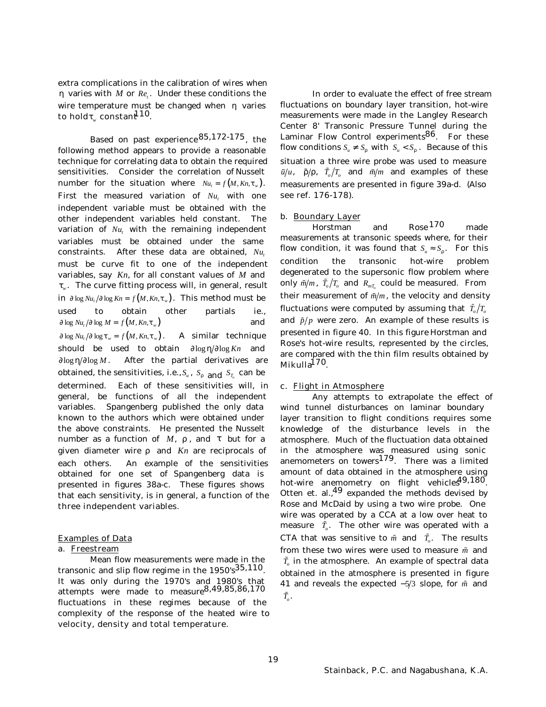extra complications in the calibration of wires when *h* varies with *M* or *Re<sup>t</sup>* . Under these conditions the wire temperature must be changed when *h* varies to hold $t_{w}$  constant<sup>110</sup>.

Based on past experience85,172-175, the following method appears to provide a reasonable technique for correlating data to obtain the required sensitivities. Consider the correlation of Nusselt number for the situation where  $Nu = f(M, Kn, t_w)$ . First the measured variation of  $Nu_{t}$  with one independent variable must be obtained with the other independent variables held constant. The variation of  $Nu_{t}$  with the remaining independent variables must be obtained under the same constraints. After these data are obtained, *Nu<sup>t</sup>* must be curve fit to one of the independent variables, say *Kn*, for all constant values of *M* and *tw* . The curve fitting process will, in general, result in  $\int \log Nu_t / \int \log Kn = f(M,Kn,t_w)$ . This method must be used to obtain other partials ie.,  $\int \log Nu_t / \int \log M = f(M, Kn, t_w)$  and  $\int \log Nu_t / \int \log t_w = f(M, Kn, t_w)$ . A similar technique should be used to obtain  $\int \log h / \int \log Kn$  and *¶*log*h ¶*log *M*. After the partial derivatives are obtained, the sensitivities, i.e.,  $S_u$  ,  $S_r$  <sub>and</sub>  $S_{T_o}$  can be determined. Each of these sensitivities will, in general, be functions of all the independent variables. Spangenberg published the only data known to the authors which were obtained under the above constraints. He presented the Nusselt number as a function of *M*, *r* , and *t* but for a given diameter wire *r* and *Kn* are reciprocals of each others. An example of the sensitivities obtained for one set of Spangenberg data is presented in figures 38a-c. These figures shows that each sensitivity, is in general, a function of the three independent variables.

### Examples of Data

# a. Freestream

Mean flow measurements were made in the transonic and slip flow regime in the  $1950's^{35,110}$ . It was only during the 1970's and 1980's that attempts were made to measure<sup>8,49,85,86,170</sup> fluctuations in these regimes because of the complexity of the response of the heated wire to velocity, density and total temperature.

In order to evaluate the effect of free stream fluctuations on boundary layer transition, hot-wire measurements were made in the Langley Research Center 8' Transonic Pressure Tunnel during the Laminar Flow Control experiments<sup>86</sup>. For these flow conditions  $S_u \neq S_r$  with  $S_u < S_p$ . Because of this situation a three wire probe was used to measure  $\tilde{u}/u$ ,  $\tilde{r}/r$ ,  $\tilde{T}_o/T_o$  and  $\tilde{m}/m$  and examples of these measurements are presented in figure 39a-d. (Also see ref. 176-178).

## b. Boundary Layer

Horstman and Rose 170 made measurements at transonic speeds where, for their flow condition, it was found that  $S_u \approx S_r$ . For this condition the transonic hot-wire problem degenerated to the supersonic flow problem where only  $\tilde{m}/m$ ,  $\tilde{T}_o/T_o$  and  $R_{mT_o}$  could be measured. From their measurement of  $\tilde{m}/m$ , the velocity and density fluctuations were computed by assuming that  $\tilde{T}_o/T_o$ and  $\tilde{p}/p$  were zero. An example of these results is presented in figure 40. In this figure Horstman and Rose's hot-wire results, represented by the circles, are compared with the thin film results obtained by Mikulla<sup>170</sup>.

#### c. Flight in Atmosphere

Any attempts to extrapolate the effect of wind tunnel disturbances on laminar boundary layer transition to flight conditions requires some knowledge of the disturbance levels in the atmosphere. Much of the fluctuation data obtained in the atmosphere was measured using sonic anemometers on towers<sup>179</sup>. There was a limited amount of data obtained in the atmosphere using hot-wire anemometry on flight vehicles<sup>49,180</sup>. Otten et. al., $49$  expanded the methods devised by Rose and McDaid by using a two wire probe. One wire was operated by a CCA at a low over heat to measure  $\tilde{T}_o$ . The other wire was operated with a CTA that was sensitive to  $\tilde{m}$  and  $\tilde{T}_o$ . The results from these two wires were used to measure *m* and  $\bar{T}_o$  in the atmosphere. An example of spectral data obtained in the atmosphere is presented in figure 41 and reveals the expected −5/3 slope, for  $\tilde{m}$  and  $\hat{T}_{o}$  .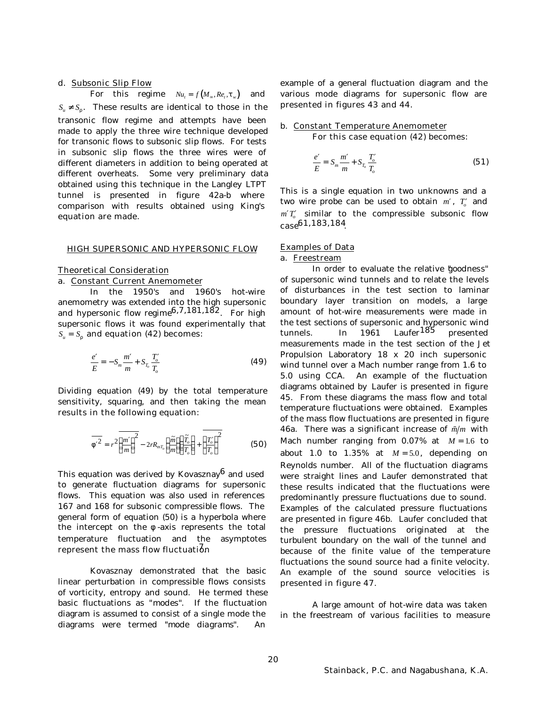# d. Subsonic Slip Flow

For this regime  $Nu_t = f(M_\infty, Re_t, t_w)$  and  $S_u \neq S_r$ . These results are identical to those in the transonic flow regime and attempts have been made to apply the three wire technique developed for transonic flows to subsonic slip flows. For tests in subsonic slip flows the three wires were of different diameters in addition to being operated at different overheats. Some very preliminary data obtained using this technique in the Langley LTPT tunnel is presented in figure 42a-b where comparison with results obtained using King's equation are made.

## HIGH SUPERSONIC AND HYPERSONIC FLOW

#### Theoretical Consideration

#### a. Constant Current Anemometer

In the 1950's and 1960's hot-wire anemometry was extended into the high supersonic and hypersonic flow regime  $6,7,181,182$ . For high supersonic flows it was found experimentally that  $S_u = S_r$  and equation (42) becomes:

$$
\frac{e'}{E} = -S_m \frac{m'}{m} + S_{T_o} \frac{T_o'}{T_o}
$$
\n(49)

Dividing equation (49) by the total temperature sensitivity, squaring, and then taking the mean results in the following equation:

$$
\overline{F^2} = r^2 \overline{\left(\frac{m'}{m}\right)^2} - 2rR_{mT_o} \left(\frac{\widetilde{m}}{m}\right) \left(\frac{\widetilde{T}_o}{T_o}\right) + \overline{\left(\frac{T'_o}{T_o}\right)^2}
$$
(50)

This equation was derived by Kovasznay $^6$  and used to generate fluctuation diagrams for supersonic flows. This equation was also used in references 167 and 168 for subsonic compressible flows. The general form of equation (50) is a hyperbola where the intercept on the *f* -axis represents the total temperature fluctuation and the asymptotes represent the mass flow fluctuation

Kovasznay demonstrated that the basic linear perturbation in compressible flows consists of vorticity, entropy and sound. He termed these basic fluctuations as "*modes*". If the fluctuation diagram is assumed to consist of a single mode the diagrams were termed "*mode diagrams*". An

example of a general fluctuation diagram and the various mode diagrams for supersonic flow are presented in figures 43 and 44.

# b. Constant Temperature Anemometer

For this case equation (42) becomes:

$$
\frac{e'}{E} = S_m \frac{m'}{m} + S_{T_o} \frac{T'_o}{T_o}
$$
(51)

This is a single equation in two unknowns and a two wire probe can be used to obtain  $m'$ ,  $T'_o$  and  $m'T'_{o}$  similar to the compressible subsonic flow  $\cos 61,183,184$ 

## Examples of Data

# a. Freestream

In order to evaluate the relative "*goodness*" of supersonic wind tunnels and to relate the levels of disturbances in the test section to laminar boundary layer transition on models, a large amount of hot-wire measurements were made in the test sections of supersonic and hypersonic wind tunnels. In 1961 Laufer<sup>185</sup> presented measurements made in the test section of the Jet Propulsion Laboratory 18 x 20 inch supersonic wind tunnel over a Mach number range from 1.6 to 5.0 using CCA. An example of the fluctuation diagrams obtained by Laufer is presented in figure 45. From these diagrams the mass flow and total temperature fluctuations were obtained. Examples of the mass flow fluctuations are presented in figure 46a. There was a significant increase of  $\tilde{m}/m$  with Mach number ranging from  $0.07\%$  at  $M = 1.6$  to about 1.0 to  $1.35\%$  at  $M = 5.0$ , depending on Reynolds number. All of the fluctuation diagrams were straight lines and Laufer demonstrated that these results indicated that the fluctuations were predominantly pressure fluctuations due to sound. Examples of the calculated pressure fluctuations are presented in figure 46b. Laufer concluded that the pressure fluctuations originated at the turbulent boundary on the wall of the tunnel and because of the finite value of the temperature fluctuations the sound source had a finite velocity. An example of the sound source velocities is presented in figure 47.

A large amount of hot-wire data was taken in the freestream of various facilities to measure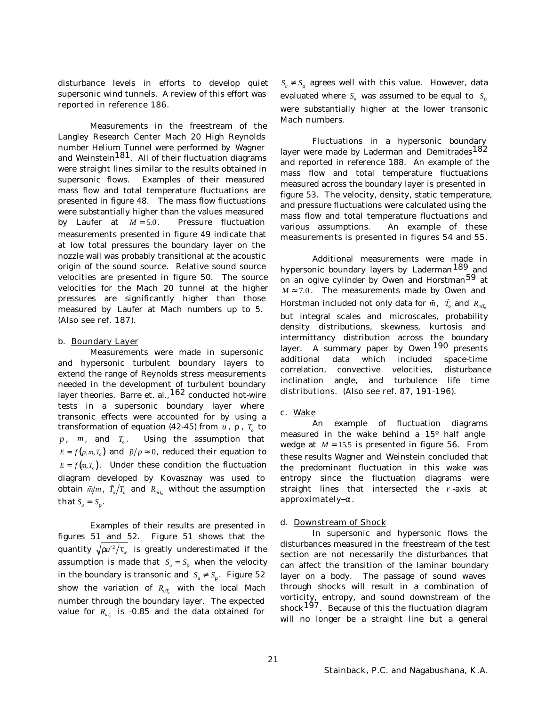disturbance levels in efforts to develop quiet supersonic wind tunnels. A review of this effort was reported in reference 186.

Measurements in the freestream of the Langley Research Center Mach 20 High Reynolds number Helium Tunnel were performed by Wagner and Weinstein<sup>181</sup>. All of their fluctuation diagrams were straight lines similar to the results obtained in supersonic flows. Examples of their measured mass flow and total temperature fluctuations are presented in figure 48. The mass flow fluctuations were substantially higher than the values measured by Laufer at  $M = 5.0$ . Pressure fluctuation measurements presented in figure 49 indicate that at low total pressures the boundary layer on the nozzle wall was probably transitional at the acoustic origin of the sound source. Relative sound source velocities are presented in figure 50. The source velocities for the Mach 20 tunnel at the higher pressures are significantly higher than those measured by Laufer at Mach numbers up to 5. (Also see ref. 187).

### b. Boundary Layer

Measurements were made in supersonic and hypersonic turbulent boundary layers to extend the range of Reynolds stress measurements needed in the development of turbulent boundary layer theories. Barre et. al., <sup>162</sup> conducted hot-wire tests in a supersonic boundary layer where transonic effects were accounted for by using a transformation of equation (42-45) from *u* , *r* , *T<sup>o</sup>* to  $p$ ,  $m$ , and  $T_o$ . . Using the assumption that  $E = f(p, m, T_o)$  and  $\tilde{p}/p \approx 0$ , reduced their equation to  $E = f(m, T_o)$ . Under these condition the fluctuation diagram developed by Kovasznay was used to obtain  $\tilde{m}/m$ ,  $\tilde{T}_o/T_o$  and  $R_{mT_o}$  without the assumption that  $S_u = S_r$ .

Examples of their results are presented in figures 51 and 52. Figure 51 shows that the quantity  $\sqrt{{r}{u'}^2}/{t_{_{\rm w}}}$  is greatly underestimated if the assumption is made that  $S_u = S_r$  when the velocity in the boundary is transonic and  $S_u \neq S_r$ . Figure 52 show the variation of  $R_{uT_o}$  with the local Mach number through the boundary layer. The expected value for  $R_{uT_o}$  is -0.85 and the data obtained for

 $S_u \neq S_r$  agrees well with this value. However, data evaluated where *S<sup>u</sup>* was assumed to be equal to *S<sup>r</sup>* were substantially higher at the lower transonic Mach numbers.

Fluctuations in a hypersonic boundary layer were made by Laderman and Demitrades<sup>182</sup> and reported in reference 188. An example of the mass flow and total temperature fluctuations measured across the boundary layer is presented in figure 53. The velocity, density, static temperature, and pressure fluctuations were calculated using the mass flow and total temperature fluctuations and various assumptions. An example of these measurements is presented in figures 54 and 55.

Additional measurements were made in hypersonic boundary layers by Laderman<sup>189</sup> and on an ogive cylinder by Owen and Horstman<sup>59</sup> at  $M \approx 7.0$ . The measurements made by Owen and Horstman included not only data for  $\tilde{m}$  ,  $\tilde{T}_o$  and  $R_{_{mT_o}}$ but integral scales and microscales, probability density distributions, skewness, kurtosis and intermittancy distribution across the boundary layer. A summary paper by Owen <sup>190</sup> presents additional data which included space-time correlation, convective velocities, disturbance inclination angle, and turbulence life time distributions. (Also see ref. 87, 191-196).

## c. Wake

An example of fluctuation diagrams measured in the wake behind a 15º half angle wedge at  $M = 15.5$  is presented in figure 56. From these results Wagner and Weinstein concluded that the predominant fluctuation in this wake was entropy since the fluctuation diagrams were straight lines that intersected the *r* -axis at approximately – *a*.

### d. Downstream of Shock

In supersonic and hypersonic flows the disturbances measured in the freestream of the test section are not necessarily the disturbances that can affect the transition of the laminar boundary layer on a body. The passage of sound waves through shocks will result in a combination of vorticity, entropy, and sound downstream of the shock  $197$ . Because of this the fluctuation diagram will no longer be a straight line but a general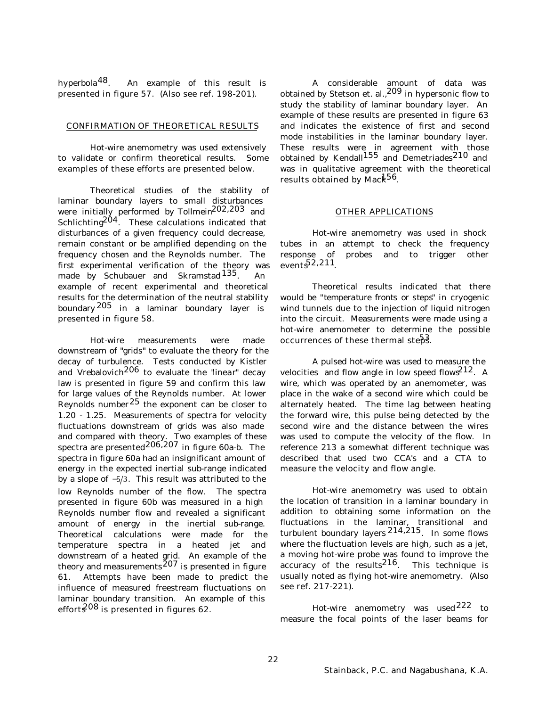hyperbola48. An example of this result is presented in figure 57. (Also see ref. 198-201).

### CONFIRMATION OF THEORETICAL RESULTS

Hot-wire anemometry was used extensively to validate or confirm theoretical results. Some examples of these efforts are presented below.

Theoretical studies of the stability of laminar boundary layers to small disturbances were initially performed by Tollmein $^{202,203}$  and Schlichting $^{204}$ . These calculations indicated that disturbances of a given frequency could decrease, remain constant or be amplified depending on the frequency chosen and the Reynolds number. The first experimental verification of the theory was made by Schubauer and Skramstad<sup>135</sup>. An example of recent experimental and theoretical results for the determination of the neutral stability boundary $^{205}\,$  in a laminar boundary layer is presented in figure 58.

Hot-wire measurements were made downstream of "*grids*" to evaluate the theory for the decay of turbulence. Tests conducted by Kistler and Vrebalovich206 to evaluate the "*linear*" decay law is presented in figure 59 and confirm this law for large values of the Reynolds number. At lower Reynolds number  $25$  the exponent can be closer to 1.20 - 1.25. Measurements of spectra for velocity fluctuations downstream of grids was also made and compared with theory. Two examples of these spectra are presented<sup>206,207</sup> in figure 60a-b. The spectra in figure 60a had an insignificant amount of energy in the expected inertial sub-range indicated by a slope of  $-5/3$ . This result was attributed to the low Reynolds number of the flow. The spectra presented in figure 60b was measured in a high Reynolds number flow and revealed a significant amount of energy in the inertial sub-range. Theoretical calculations were made for the temperature spectra in a heated jet and downstream of a heated grid. An example of the theory and measurements  $^{207}$  is presented in figure 61. Attempts have been made to predict the influence of measured freestream fluctuations on laminar boundary transition. An example of this effort $\mathcal{E}^{08}$  is presented in figures 62.

A considerable amount of data was obtained by Stetson et. al., <sup>209</sup> in hypersonic flow to study the stability of laminar boundary layer. An example of these results are presented in figure 63 and indicates the existence of first and second mode instabilities in the laminar boundary layer. These results were in agreement with those obtained by Kendall<sup>155</sup> and Demetriades<sup>210</sup> and was in qualitative agreement with the theoretical results obtained by Mack<sup>56</sup>.

# OTHER APPLICATIONS

Hot-wire anemometry was used in shock tubes in an attempt to check the frequency response of probes and to trigger other events52,211.

Theoretical results indicated that there would be "*temperature fronts or steps*" in cryogenic wind tunnels due to the injection of liquid nitrogen into the circuit. Measurements were made using a hot-wire anemometer to determine the possible occurrences of these thermal steps.

A pulsed hot-wire was used to measure the velocities and flow angle in low speed flows $212$ . A wire, which was operated by an anemometer, was place in the wake of a second wire which could be alternately heated. The time lag between heating the forward wire, this pulse being detected by the second wire and the distance between the wires was used to compute the velocity of the flow. In reference 213 a somewhat different technique was described that used two CCA's and a CTA to measure the velocity and flow angle.

Hot-wire anemometry was used to obtain the location of transition in a laminar boundary in addition to obtaining some information on the fluctuations in the laminar, transitional and turbulent boundary layers  $214,215$ . In some flows where the fluctuation levels are high, such as a jet, a moving hot-wire probe was found to improve the accuracy of the results<sup>216</sup>. This technique is usually noted as flying hot-wire anemometry. (Also see ref. 217-221).

Hot-wire anemometry was used222 to measure the focal points of the laser beams for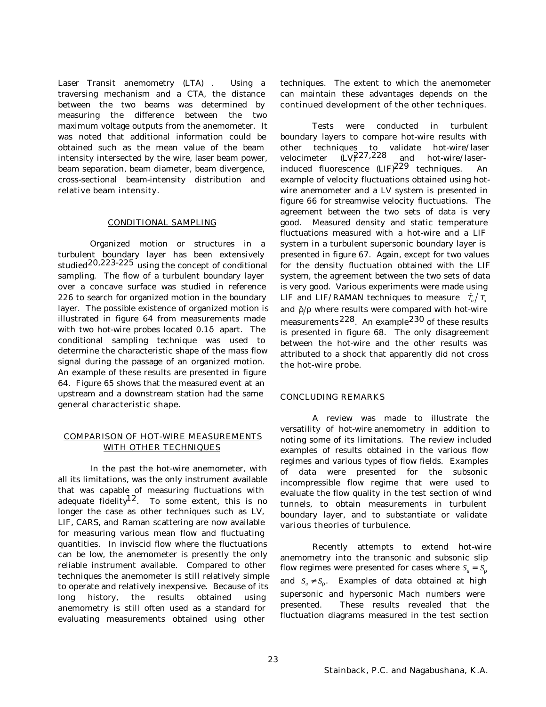Laser Transit anemometry (LTA) . Using a traversing mechanism and a CTA, the distance between the two beams was determined by measuring the difference between the two maximum voltage outputs from the anemometer. It was noted that additional information could be obtained such as the mean value of the beam intensity intersected by the wire, laser beam power, beam separation, beam diameter, beam divergence, cross-sectional beam-intensity distribution and relative beam intensity.

### CONDITIONAL SAMPLING

Organized motion or structures in a turbulent boundary layer has been extensively studied<sup>20,223-225</sup> using the concept of conditional sampling. The flow of a turbulent boundary layer over a concave surface was studied in reference 226 to search for organized motion in the boundary layer. The possible existence of organized motion is illustrated in figure 64 from measurements made with two hot-wire probes located 0.1*d* apart. The conditional sampling technique was used to determine the characteristic shape of the mass flow signal during the passage of an organized motion. An example of these results are presented in figure 64. Figure 65 shows that the measured event at an upstream and a downstream station had the same general characteristic shape.

# COMPARISON OF HOT-WIRE MEASUREMENTS WITH OTHER TECHNIQUES

In the past the hot-wire anemometer, with all its limitations, was the only instrument available that was capable of measuring fluctuations with adequate fidelity $12$ . To some extent, this is no longer the case as other techniques such as LV, LIF, CARS, and Raman scattering are now available for measuring various mean flow and fluctuating quantities. In inviscid flow where the fluctuations can be low, the anemometer is presently the only reliable instrument available. Compared to other techniques the anemometer is still relatively simple to operate and relatively inexpensive. Because of its long history, the results obtained using anemometry is still often used as a standard for evaluating measurements obtained using other

techniques. The extent to which the anemometer can maintain these advantages depends on the continued development of the other techniques.

Tests were conducted in turbulent boundary layers to compare hot-wire results with other techniques to validate hot-wire/laser velocimeter  $(LV)^{2.27,228}$  and hot-wire/laserinduced fluorescence (LIF)229 techniques. An example of velocity fluctuations obtained using hotwire anemometer and a LV system is presented in figure 66 for streamwise velocity fluctuations. The agreement between the two sets of data is very good. Measured density and static temperature fluctuations measured with a hot-wire and a LIF system in a turbulent supersonic boundary layer is presented in figure 67. Again, except for two values for the density fluctuation obtained with the LIF system, the agreement between the two sets of data is very good. Various experiments were made using LIF and LIF/RAMAN techniques to measure  $\tilde{T}_o/T_o$ and  $\tilde{r}/r$  where results were compared with hot-wire measurements<sup>228</sup>. An example<sup>230</sup> of these results is presented in figure 68. The only disagreement between the hot-wire and the other results was attributed to a shock that apparently did not cross the hot-wire probe.

# CONCLUDING REMARKS

A review was made to illustrate the versatility of hot-wire anemometry in addition to noting some of its limitations. The review included examples of results obtained in the various flow regimes and various types of flow fields. Examples of data were presented for the subsonic incompressible flow regime that were used to evaluate the flow quality in the test section of wind tunnels, to obtain measurements in turbulent boundary layer, and to substantiate or validate various theories of turbulence.

Recently attempts to extend hot-wire anemometry into the transonic and subsonic slip flow regimes were presented for cases where  $S_n = S_n$ . and  $S_u \neq S_r$ . Examples of data obtained at high supersonic and hypersonic Mach numbers were presented. These results revealed that the fluctuation diagrams measured in the test section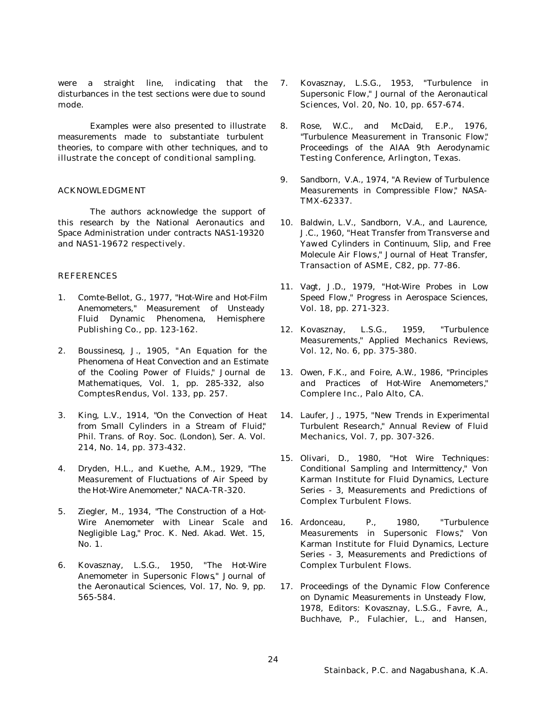were a straight line, indicating that the disturbances in the test sections were due to sound mode.

Examples were also presented to illustrate measurements made to substantiate turbulent theories, to compare with other techniques, and to illustrate the concept of conditional sampling.

# ACKNOWLEDGMENT

The authors acknowledge the support of this research by the National Aeronautics and Space Administration under contracts NAS1-19320 and NAS1-19672 respectively.

# REFERENCES

- 1. Comte-Bellot, G., 1977, "*Hot-Wire and Hot-Film Anemometers*," Measurement of Unsteady Fluid Dynamic Phenomena, Hemisphere Publishing Co., pp. 123-162.
- 2. Boussinesq, J., 1905, " *An Equation for the Phenomena of Heat Convection and an Estimate of the Cooling Power of Fluids,*" Journal de Mathematiques, Vol. 1, pp. 285-332, also Comptes Rendus, Vol. 133, pp. 257.
- 3. King, L.V., 1914, "*On the Convection of Heat from Small Cylinders in a Stream of Fluid,*" Phil. Trans. of Roy. Soc. (London), Ser. A. Vol. 214, No. 14, pp. 373-432.
- 4. Dryden, H.L., and Kuethe, A.M., 1929, "*The Measurement of Fluctuations of Air Speed by the Hot-Wire Anemometer,*" NACA-TR-320.
- 5. Ziegler, M., 1934, "*The Construction of a Hot-Wire Anemometer with Linear Scale and Negligible Lag,*" Proc. K. Ned. Akad. Wet. 15, No. 1.
- 6. Kovasznay, L.S.G., 1950, "*The Hot-Wire Anemometer in Supersonic Flows*," Journal of the Aeronautical Sciences, Vol. 17, No. 9, pp. 565-584.
- 7. Kovasznay, L.S.G., 1953, "*Turbulence in Supersonic Flow,*" Journal of the Aeronautical Sciences, Vol. 20, No. 10, pp. 657-674.
- 8. Rose, W.C., and McDaid, E.P., 1976, "*Turbulence Measurement in Transonic Flow,*" Proceedings of the AIAA 9th Aerodynamic Testing Conference, Arlington, Texas.
- 9. Sandborn, V.A., 1974, "*A Review of Turbulence Measurements in Compressible Flow,*" NASA-TMX-62337.
- 10. Baldwin, L.V., Sandborn, V.A., and Laurence, J.C., 1960, "*Heat Transfer from Transverse and Yawed Cylinders in Continuum, Slip, and Free Molecule Air Flows,*" Journal of Heat Transfer, Transaction of ASME, C82, pp. 77-86.
- 11. Vagt, J.D., 1979, "H*ot-Wire Probes in Low Speed Flow,*" Progress in Aerospace Sciences, Vol. 18, pp. 271-323.
- 12. Kovasznay, L.S.G., 1959, "*Turbulence Measurements,*" Applied Mechanics Reviews, Vol. 12, No. 6, pp. 375-380.
- 13. Owen, F.K., and Foire, A.W., 1986, "*Principles and Practices of Hot-Wire Anemometers,*" Complere Inc., Palo Alto, CA.
- 14. Laufer, J., 1975, "*New Trends in Experimental Turbulent Research,*" Annual Review of Fluid Mechanics, Vol. 7, pp. 307-326.
- 15. Olivari, D., 1980, "*Hot Wire Techniques: Conditional Sampling and Intermittency,*" Von Karman Institute for Fluid Dynamics, Lecture Series - 3, Measurements and Predictions of Complex Turbulent Flows.
- 16. Ardonceau, P., 1980, "*Turbulence Measurements in Supersonic Flows,*" Von Karman Institute for Fluid Dynamics, Lecture Series - 3, Measurements and Predictions of Complex Turbulent Flows.
- 17. Proceedings of the Dynamic Flow Conference on Dynamic Measurements in Unsteady Flow, 1978, Editors: Kovasznay, L.S.G., Favre, A., Buchhave, P., Fulachier, L., and Hansen,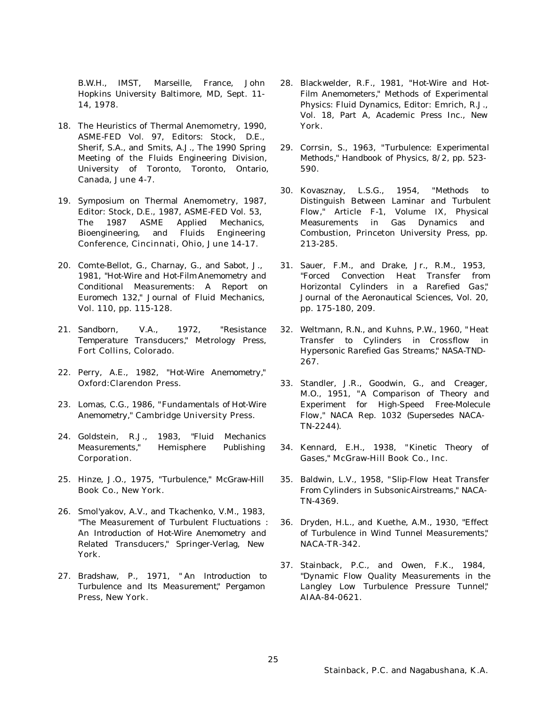B.W.H., IMST, Marseille, France, John Hopkins University Baltimore, MD, Sept. 11- 14, 1978.

- 18. The Heuristics of Thermal Anemometry, 1990, ASME-FED Vol. 97, Editors: Stock, D.E., Sherif, S.A., and Smits, A.J., The 1990 Spring Meeting of the Fluids Engineering Division, University of Toronto, Toronto, Ontario, Canada, June 4-7.
- 19. Symposium on Thermal Anemometry, 1987, Editor: Stock, D.E., 1987, ASME-FED Vol. 53, The 1987 ASME Applied Mechanics, Bioengineering, and Fluids Engineering Conference, Cincinnati, Ohio, June 14-17.
- 20. Comte-Bellot, G., Charnay, G., and Sabot, J., 1981, "*Hot-Wire and Hot-Film Anemometry and Conditional Measurements: A Report on Euromech 132,*" Journal of Fluid Mechanics, Vol. 110, pp. 115-128.
- 21. Sandborn, V.A., 1972, "*Resistance Temperature Transducers,*" Metrology Press, Fort Collins, Colorado.
- 22. Perry, A.E., 1982, "*Hot-Wire Anemometry,*" Oxford: Clarendon Press.
- 23. Lomas, C.G., 1986, "*Fundamentals of Hot-Wire Anemometry,*" Cambridge University Press.
- 24. Goldstein, R.J., 1983, "*Fluid Mechanics Measurements,*" Hemisphere Publishing Corporation.
- 25. Hinze, J.O., 1975, "*Turbulence,*" McGraw-Hill Book Co., New York.
- 26. Smol'yakov, A.V., and Tkachenko, V.M., 1983, "*The Measurement of Turbulent Fluctuations : An Introduction of Hot-Wire Anemometry and Related Transducers,*" Springer-Verlag, New York.
- 27. Bradshaw, P., 1971, " *An Introduction to Turbulence and Its Measurement,*" Pergamon Press, New York.
- 28. Blackwelder, R.F., 1981, "*Hot-Wire and Hot-Film Anemometers,*" Methods of Experimental Physics: Fluid Dynamics, Editor: Emrich, R.J., Vol. 18, Part A, Academic Press Inc., New York.
- 29. Corrsin, S., 1963, "*Turbulence: Experimental Methods,*" Handbook of Physics, 8/2, pp. 523- 590.
- 30. Kovasznay, L.S.G., 1954, "*Methods to Distinguish Between Laminar and Turbulent Flow,*" Article F-1, Volume IX, Physical Measurements in Gas Dynamics and Combustion, Princeton University Press, pp. 213-285.
- 31. Sauer, F.M., and Drake, Jr., R.M., 1953, "*Forced Convection Heat Transfer from Horizontal Cylinders in a Rarefied Gas,*" Journal of the Aeronautical Sciences, Vol. 20, pp. 175-180, 209.
- 32. Weltmann, R.N., and Kuhns, P.W., 1960, " *Heat Transfer to Cylinders in Crossflow in Hypersonic Rarefied Gas Streams,*" NASA-TND-267.
- 33. Standler, J.R., Goodwin, G., and Creager, M.O., 1951, "*A Comparison of Theory and Experiment for High-Speed Free-Molecule Flow,*" NACA Rep. 1032 (Supersedes NACA-TN-2244).
- 34. Kennard, E.H., 1938, "*Kinetic Theory of Gases,*" McGraw-Hill Book Co., Inc.
- 35. Baldwin, L.V., 1958, "*Slip-Flow Heat Transfer From Cylinders in Subsonic Airstreams,*" NACA-TN-4369.
- 36. Dryden, H.L., and Kuethe, A.M., 1930, "*Effect of Turbulence in Wind Tunnel Measurements,*" NACA-TR-342.
- 37. Stainback, P.C., and Owen, F.K., 1984, "*Dynamic Flow Quality Measurements in the Langley Low Turbulence Pressure Tunnel,*" AIAA-84-0621.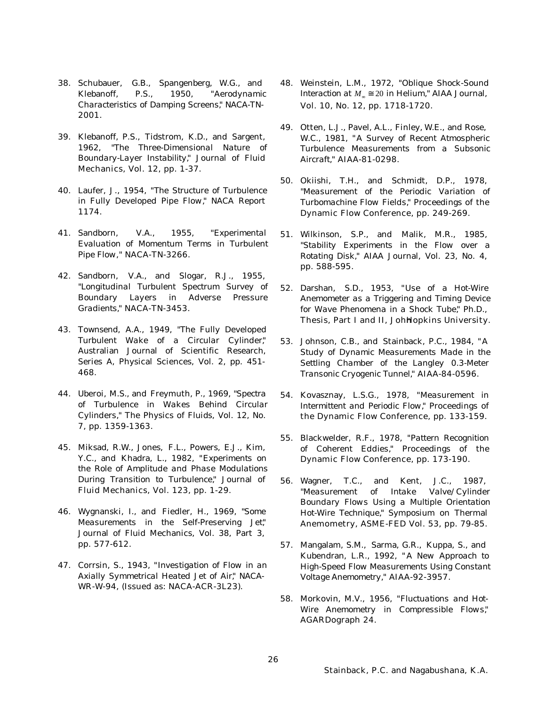- 38. Schubauer, G.B., Spangenberg, W.G., and Klebanoff, P.S., 1950, "*Aerodynamic Characteristics of Damping Screens,*" NACA-TN-2001.
- 39. Klebanoff, P.S., Tidstrom, K.D., and Sargent, 1962, "*The Three-Dimensional Nature of Boundary-Layer Instability,*" Journal of Fluid Mechanics, Vol. 12, pp. 1-37.
- 40. Laufer, J., 1954, "*The Structure of Turbulence in Fully Developed Pipe Flow,*" NACA Report 1174.
- 41. Sandborn, V.A., 1955, "*Experimental Evaluation of Momentum Terms in Turbulent Pipe Flow,*" NACA-TN-3266.
- 42. Sandborn, V.A., and Slogar, R.J., 1955, "*Longitudinal Turbulent Spectrum Survey of Boundary Layers in Adverse Pressure Gradients,*" NACA-TN-3453.
- 43. Townsend, A.A., 1949, "*The Fully Developed Turbulent Wake of a Circular Cylinder,*" Australian Journal of Scientific Research, Series A, Physical Sciences, Vol. 2, pp. 451- 468.
- 44. Uberoi, M.S., and Freymuth, P., 1969, "*Spectra of Turbulence in Wakes Behind Circular Cylinders,*" The Physics of Fluids, Vol. 12, No. 7, pp. 1359-1363.
- 45. Miksad, R.W., Jones, F.L., Powers, E.J., Kim, Y.C., and Khadra, L., 1982, "*Experiments on the Role of Amplitude and Phase Modulations During Transition to Turbulence,*" Journal of Fluid Mechanics, Vol. 123, pp. 1-29.
- 46. Wygnanski, I., and Fiedler, H., 1969, "*Some Measurements in the Self-Preserving Jet,*" Journal of Fluid Mechanics, Vol. 38, Part 3, pp. 577-612.
- 47. Corrsin, S., 1943, "*Investigation of Flow in an Axially Symmetrical Heated Jet of Air,*" NACA-WR-W-94, (Issued as: NACA-ACR-3L23).
- 48. Weinstein, L.M., 1972, "*Oblique Shock-Sound Interaction at*  $M_{\infty} \cong 20$  *in Helium*," **AIAA Journal**, Vol. 10, No. 12, pp. 1718-1720.
- 49. Otten, L.J., Pavel, A.L., Finley, W.E., and Rose, W.C., 1981, "*A Survey of Recent Atmospheric Turbulence Measurements from a Subsonic Aircraft,*" AIAA-81-0298.
- 50. Okiishi, T.H., and Schmidt, D.P., 1978, "*Measurement of the Periodic Variation of Turbomachine Flow Fields,*" Proceedings of the Dynamic Flow Conference, pp. 249-269.
- 51. Wilkinson, S.P., and Malik, M.R., 1985, "*Stability Experiments in the Flow over a Rotating Disk,*" AIAA Journal, Vol. 23, No. 4, pp. 588-595.
- 52. Darshan, S.D., 1953, "*Use of a Hot-Wire Anemometer as a Triggering and Timing Device for Wave Phenomena in a Shock Tube,*" Ph.D., Thesis, Part I and II, JohHopkins University.
- 53. Johnson, C.B., and Stainback, P.C., 1984, "*A Study of Dynamic Measurements Made in the Settling Chamber of the Langley 0.3-Meter Transonic Cryogenic Tunnel,*" AIAA-84-0596.
- 54. Kovasznay, L.S.G., 1978, "*Measurement in Intermittent and Periodic Flow,*" Proceedings of the Dynamic Flow Conference, pp. 133-159.
- 55. Blackwelder, R.F., 1978, "*Pattern Recognition of Coherent Eddies,*" Proceedings of the Dynamic Flow Conference, pp. 173-190.
- 56. Wagner, T.C., and Kent, J.C., 1987, "*Measurement of Intake Valve/Cylinder Boundary Flows Using a Multiple Orientation Hot-Wire Technique,*" Symposium on Thermal Anemometry, ASME-FED Vol. 53, pp. 79-85.
- 57. Mangalam, S.M., Sarma, G.R., Kuppa, S., and Kubendran, L.R., 1992, " *A New Approach to High-Speed Flow Measurements Using Constant Voltage Anemometry,*" AIAA-92-3957.
- 58. Morkovin, M.V., 1956, "*Fluctuations and Hot-Wire Anemometry in Compressible Flows,*" AGARDograph 24.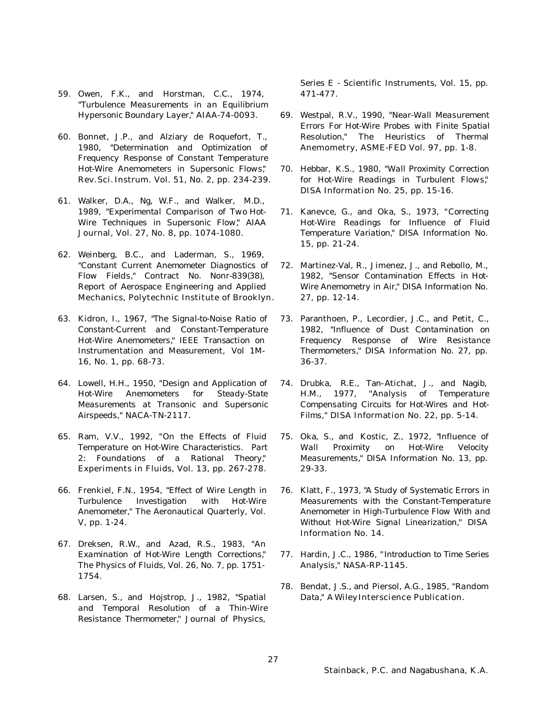- 59. Owen, F.K., and Horstman, C.C., 1974, "*Turbulence Measurements in an Equilibrium Hypersonic Boundary Layer,*" AIAA-74-0093.
- 60. Bonnet, J.P., and Alziary de Roquefort, T., 1980, "*Determination and Optimization of Frequency Response of Constant Temperature Hot-Wire Anemometers in Supersonic Flows,*" Rev. Sci. Instrum. Vol. 51, No. 2, pp. 234-239.
- 61. Walker, D.A., Ng, W.F., and Walker, M.D., 1989, "*Experimental Comparison of Two Hot-Wire Techniques in Supersonic Flow,*" AIAA Journal, Vol. 27, No. 8, pp. 1074-1080.
- 62. Weinberg, B.C., and Laderman, S., 1969, "*Constant Current Anemometer Diagnostics of Flow Fields,*" Contract No. Nonr-839(38), Report of Aerospace Engineering and Applied Mechanics, Polytechnic Institute of Brooklyn.
- 63. Kidron, I., 1967, "*The Signal-to-Noise Ratio of Constant-Current and Constant-Temperature Hot-Wire Anemometers,*" IEEE Transaction on Instrumentation and Measurement, Vol 1M-16, No. 1, pp. 68-73.
- 64. Lowell, H.H., 1950, "*Design and Application of Hot-Wire Anemometers for Steady-State Measurements at Transonic and Supersonic Airspeeds,*" NACA-TN-2117.
- 65. Ram, V.V., 1992, "*On the Effects of Fluid Temperature on Hot-Wire Characteristics. Part 2: Foundations of a Rational Theory,*" Experiments in Fluids, Vol. 13, pp. 267-278.
- 66. Frenkiel, F.N., 1954, "*Effect of Wire Length in Turbulence Investigation with Hot-Wire Anemometer,*" The Aeronautical Quarterly, Vol. V, pp. 1-24.
- 67. Dreksen, R.W., and Azad, R.S., 1983, "*An Examination of Hot-Wire Length Corrections,*" The Physics of Fluids, Vol. 26, No. 7, pp. 1751- 1754.
- 68. Larsen, S., and Hojstrop, J., 1982, "*Spatial and Temporal Resolution of a Thin-Wire Resistance Thermometer,*" Journal of Physics,

Series E - Scientific Instruments, Vol. 15, pp. 471-477.

- 69. Westpal, R.V., 1990, "*Near-Wall Measurement Errors For Hot-Wire Probes with Finite Spatial Resolution,*" The Heuristics of Thermal Anemometry, ASME-FED Vol. 97, pp. 1-8.
- 70. Hebbar, K.S., 1980, "*Wall Proximity Correction for Hot-Wire Readings in Turbulent Flows,*" DISA Information No. 25, pp. 15-16.
- 71. Kanevce, G., and Oka, S., 1973, "*Correcting Hot-Wire Readings for Influence of Fluid Temperature Variation,*" DISA Information No. 15, pp. 21-24.
- 72. Martinez-Val, R., Jimenez, J., and Rebollo, M., 1982, "*Sensor Contamination Effects in Hot-Wire Anemometry in Air,*" DISA Information No. 27, pp. 12-14.
- 73. Paranthoen, P., Lecordier, J.C., and Petit, C., 1982, "*Influence of Dust Contamination on Frequency Response of Wire Resistance Thermometers,*" DISA Information No. 27, pp. 36-37.
- 74. Drubka, R.E., Tan-Atichat, J., and Nagib, H.M., 1977, "*Analysis of Temperature Compensating Circuits for Hot-Wires and Hot-Films,*" DISA Information No. 22, pp. 5-14.
- 75. Oka, S., and Kostic, Z., 1972, "*Influence of Wall Proximity on Hot-Wire Velocity Measurements,*" DISA Information No. 13, pp. 29-33.
- 76. Klatt, F., 1973, "*A Study of Systematic Errors in Measurements with the Constant-Temperature Anemometer in High-Turbulence Flow With and Without Hot-Wire Signal Linearization,*" DISA Information No. 14.
- 77. Hardin, J.C., 1986, " *Introduction to Time Series Analysis,*" NASA-RP-1145.
- 78. Bendat, J.S., and Piersol, A.G., 1985, "*Random Data,*" A Wiley Interscience Publication.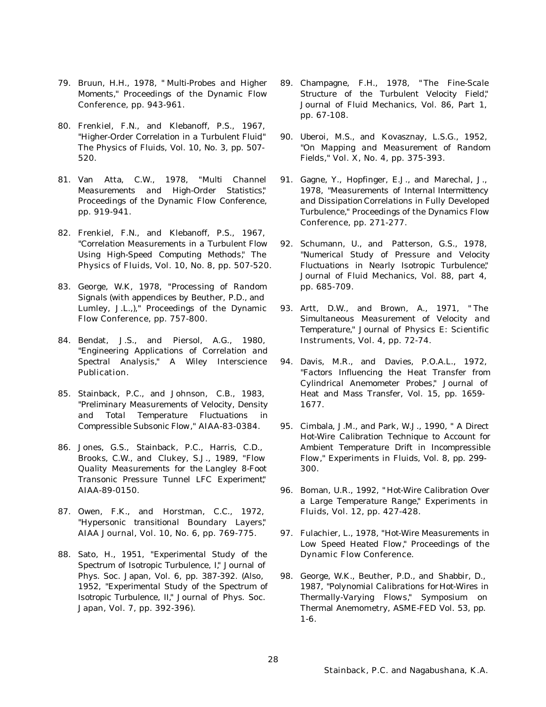- 79. Bruun, H.H., 1978, " *Multi-Probes and Higher Moments,*" Proceedings of the Dynamic Flow Conference, pp. 943-961.
- 80. Frenkiel, F.N., and Klebanoff, P.S., 1967, "*Higher-Order Correlation in a Turbulent Fluid*," The Physics of Fluids, Vol. 10, No. 3, pp. 507- 520.
- 81. Van Atta, C.W., 1978, "*Multi Channel Measurements and High-Order Statistics,*" Proceedings of the Dynamic Flow Conference, pp. 919-941.
- 82. Frenkiel, F.N., and Klebanoff, P.S., 1967, "*Correlation Measurements in a Turbulent Flow Using High-Speed Computing Methods,*" The Physics of Fluids, Vol. 10, No. 8, pp. 507-520.
- 83. George, W.K, 1978, "*Processing of Random Signals* (with appendices by Beuther, P.D., and Lumley, J.L.,)," Proceedings of the Dynamic Flow Conference, pp. 757-800.
- 84. Bendat, J.S., and Piersol, A.G., 1980, "*Engineering Applications of Correlation and Spectral Analysis,*" A Wiley Interscience Publication.
- 85. Stainback, P.C., and Johnson, C.B., 1983, "*Preliminary Measurements of Velocity, Density and Total Temperature Fluctuations in Compressible Subsonic Flow,*" AIAA-83-0384.
- 86. Jones, G.S., Stainback, P.C., Harris, C.D., Brooks, C.W., and Clukey, S.J., 1989, "*Flow Quality Measurements for the Langley 8-Foot Transonic Pressure Tunnel LFC Experiment,*" AIAA-89-0150.
- 87. Owen, F.K., and Horstman, C.C., 1972, "*Hypersonic transitional Boundary Layers,*" AIAA Journal, Vol. 10, No. 6, pp. 769-775.
- 88. Sato, H., 1951, "*Experimental Study of the Spectrum of Isotropic Turbulence, I,*" Journal of Phys. Soc. Japan, Vol. 6, pp. 387-392. (Also, 1952, "*Experimental Study of the Spectrum of Isotropic Turbulence, II,*" Journal of Phys. Soc. Japan, Vol. 7, pp. 392-396).
- 89. Champagne, F.H., 1978, " *The Fine-Scale Structure of the Turbulent Velocity Field,*" Journal of Fluid Mechanics, Vol. 86, Part 1, pp. 67-108.
- 90. Uberoi, M.S., and Kovasznay, L.S.G., 1952, "*On Mapping and Measurement of Random Fields,*" Vol. X, No. 4, pp. 375-393.
- 91. Gagne, Y., Hopfinger, E.J., and Marechal, J., 1978, "*Measurements of Internal Intermittency and Dissipation Correlations in Fully Developed Turbulence,*" Proceedings of the Dynamics Flow Conference, pp. 271-277.
- 92. Schumann, U., and Patterson, G.S., 1978, "*Numerical Study of Pressure and Velocity Fluctuations in Nearly Isotropic Turbulence,*" Journal of Fluid Mechanics, Vol. 88, part 4, pp. 685-709.
- 93. Artt, D.W., and Brown, A., 1971, " *The Simultaneous Measurement of Velocity and Temperature,*" Journal of Physics E: Scientific Instruments, Vol. 4, pp. 72-74.
- 94. Davis, M.R., and Davies, P.O.A.L., 1972, "*Factors Influencing the Heat Transfer from Cylindrical Anemometer Probes,*" Journal of Heat and Mass Transfer, Vol. 15, pp. 1659- 1677.
- 95. Cimbala, J.M., and Park, W.J., 1990, " *A Direct Hot-Wire Calibration Technique to Account for Ambient Temperature Drift in Incompressible Flow,*" Experiments in Fluids, Vol. 8, pp. 299- 300.
- 96. Boman, U.R., 1992, " *Hot-Wire Calibration Over a Large Temperature Range,*" Experiments in Fluids, Vol. 12, pp. 427-428.
- 97. Fulachier, L., 1978, "*Hot-Wire Measurements in Low Speed Heated Flow,*" Proceedings of the Dynamic Flow Conference.
- 98. George, W.K., Beuther, P.D., and Shabbir, D., 1987, "*Polynomial Calibrations for Hot-Wires in Thermally-Varying Flows,*" Symposium on Thermal Anemometry, ASME-FED Vol. 53, pp. 1-6.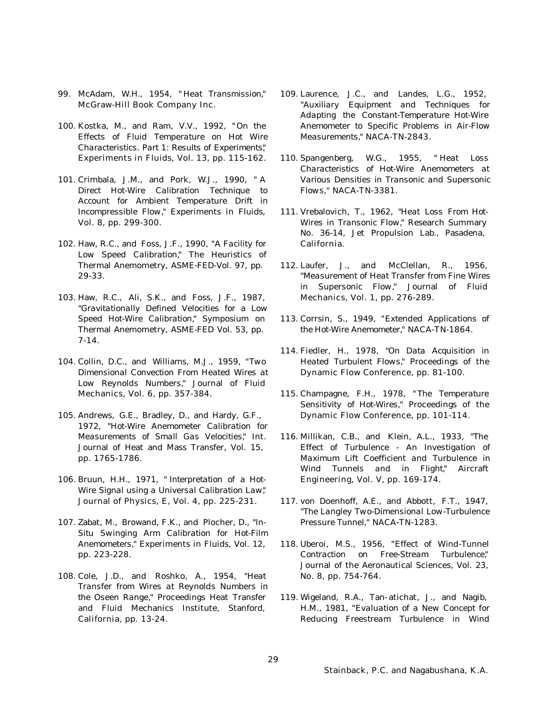- 99. McAdam, W.H., 1954, " *Heat Transmission,*" McGraw-Hill Book Company Inc.
- 100. Kostka, M., and Ram, V.V., 1992, " *On the Effects of Fluid Temperature on Hot Wire Characteristics. Part 1: Results of Experiments,*" Experiments in Fluids, Vol. 13, pp. 115-162.
- 101. Crimbala, J.M., and Pork, W.J., 1990, " *A Direct Hot-Wire Calibration Technique to Account for Ambient Temperature Drift in Incompressible Flow,*" Experiments in Fluids, Vol. 8, pp. 299-300.
- 102. Haw, R.C., and Foss, J.F., 1990, "*A Facility for Low Speed Calibration,*" The Heuristics of Thermal Anemometry, ASME-FED-Vol. 97, pp. 29-33.
- 103. Haw, R.C., Ali, S.K., and Foss, J.F., 1987, "*Gravitationally Defined Velocities for a Low Speed Hot-Wire Calibration,*" Symposium on Thermal Anemometry, ASME-FED Vol. 53, pp. 7-14.
- 104. Collin, D.C., and Williams, M.J., 1959, "*Two Dimensional Convection From Heated Wires at Low Reynolds Numbers,*" Journal of Fluid Mechanics, Vol. 6, pp. 357-384.
- 105. Andrews, G.E., Bradley, D., and Hardy, G.F., 1972, "*Hot-Wire Anemometer Calibration for Measurements of Small Gas Velocities,*" Int. Journal of Heat and Mass Transfer, Vol. 15, pp. 1765-1786.
- 106. Bruun, H.H., 1971, " *Interpretation of a Hot-Wire Signal using a Universal Calibration Law,*" Journal of Physics, E, Vol. 4, pp. 225-231.
- 107. Zabat, M., Browand, F.K., and Plocher, D., "*In-Situ Swinging Arm Calibration for Hot-Film Anemometers,*" Experiments in Fluids, Vol. 12, pp. 223-228.
- 108. Cole, J.D., and Roshko, A., 1954, "*Heat Transfer from Wires at Reynolds Numbers in the Oseen Range,*" Proceedings Heat Transfer and Fluid Mechanics Institute, Stanford, California, pp. 13-24.
- 109. Laurence, J.C., and Landes, L.G., 1952, "*Auxiliary Equipment and Techniques for Adapting the Constant-Temperature Hot-Wire Anemometer to Specific Problems in Air-Flow Measurements,*" NACA-TN-2843.
- 110. Spangenberg, W.G., 1955, " *Heat Loss Characteristics of Hot-Wire Anemometers at Various Densities in Transonic and Supersonic Flows,*" NACA-TN-3381.
- 111. Vrebalovich, T., 1962, "*Heat Loss From Hot-Wires in Transonic Flow,*" Research Summary No. 36-14, Jet Propulsion Lab., Pasadena, California.
- 112. Laufer, J., and McClellan, R., 1956, "*Measurement of Heat Transfer from Fine Wires in Supersonic Flow,*" Journal of Fluid Mechanics, Vol. 1, pp. 276-289.
- 113. Corrsin, S., 1949, "*Extended Applications of the Hot-Wire Anemometer,*" NACA-TN-1864.
- 114. Fiedler, H., 1978, "*On Data Acquisition in Heated Turbulent Flows,*" Proceedings of the Dynamic Flow Conference, pp. 81-100.
- 115. Champagne, F.H., 1978, " *The Temperature Sensitivity of Hot-Wires,*" Proceedings of the Dynamic Flow Conference, pp. 101-114.
- 116. Millikan, C.B., and Klein, A.L., 1933, "*The Effect of Turbulence - An Investigation of Maximum Lift Coefficient and Turbulence in Wind Tunnels and in Flight,*" Aircraft Engineering, Vol. V, pp. 169-174.
- 117. von Doenhoff, A.E., and Abbott, F.T., 1947, "*The Langley Two-Dimensional Low-Turbulence Pressure Tunnel,*" NACA-TN-1283.
- 118. Uberoi, M.S., 1956, "*Effect of Wind-Tunnel Contraction on Free-Stream Turbulence,*" Journal of the Aeronautical Sciences, Vol. 23, No. 8, pp. 754-764.
- 119. Wigeland, R.A., Tan-atichat, J., and Nagib, H.M., 1981, "*Evaluation of a New Concept for Reducing Freestream Turbulence in Wind*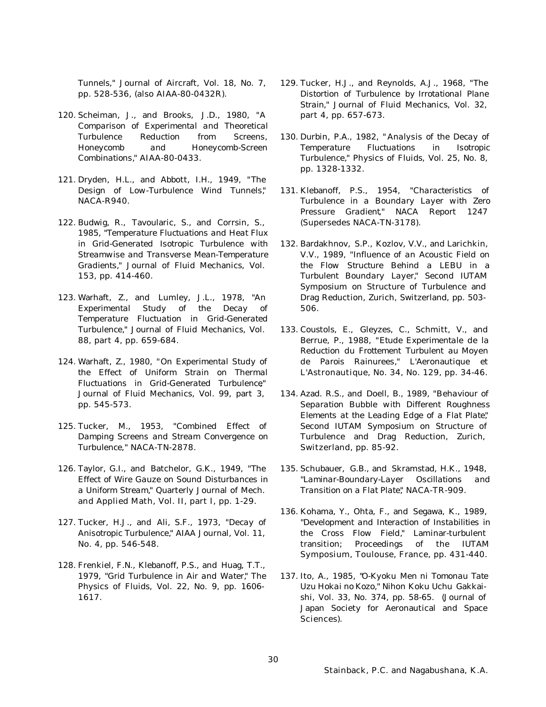*Tunnels*," Journal of Aircraft, Vol. 18, No. 7, pp. 528-536, (also AIAA-80-0432R).

- 120. Scheiman, J., and Brooks, J.D., 1980, "*A Comparison of Experimental and Theoretical Turbulence Reduction from Screens, Honeycomb and Honeycomb-Screen Combinations,*" AIAA-80-0433.
- 121. Dryden, H.L., and Abbott, I.H., 1949, "*The Design of Low-Turbulence Wind Tunnels,*" NACA-R940.
- 122. Budwig, R., Tavoularic, S., and Corrsin, S., 1985, "*Temperature Fluctuations and Heat Flux in Grid-Generated Isotropic Turbulence with Streamwise and Transverse Mean-Temperature Gradients,*" Journal of Fluid Mechanics, Vol. 153, pp. 414-460.
- 123. Warhaft, Z., and Lumley, J.L., 1978, "*An Experimental Study of the Decay of Temperature Fluctuation in Grid-Generated Turbulence,*" Journal of Fluid Mechanics, Vol. 88, part 4, pp. 659-684.
- 124. Warhaft, Z., 1980, "*On Experimental Study of the Effect of Uniform Strain on Thermal Fluctuations in Grid-Generated Turbulence*," Journal of Fluid Mechanics, Vol. 99, part 3, pp. 545-573.
- 125. Tucker, M., 1953, "*Combined Effect of Damping Screens and Stream Convergence on Turbulence*," NACA-TN-2878.
- 126. Taylor, G.I., and Batchelor, G.K., 1949, "*The Effect of Wire Gauze on Sound Disturbances in a Uniform Stream,*" Quarterly Journal of Mech. and Applied Math, Vol. II, part I, pp. 1-29.
- 127. Tucker, H.J., and Ali, S.F., 1973, "*Decay of Anisotropic Turbulence,*" AIAA Journal, Vol. 11, No. 4, pp. 546-548.
- 128. Frenkiel, F.N., Klebanoff, P.S., and Huag, T.T., 1979, "*Grid Turbulence in Air and Water,*" The Physics of Fluids, Vol. 22, No. 9, pp. 1606- 1617.
- 129. Tucker, H.J., and Reynolds, A.J., 1968, "*The Distortion of Turbulence by Irrotational Plane Strain,*" Journal of Fluid Mechanics, Vol. 32, part 4, pp. 657-673.
- 130. Durbin, P.A., 1982, " *Analysis of the Decay of Temperature Fluctuations in Isotropic Turbulence,*" Physics of Fluids, Vol. 25, No. 8, pp. 1328-1332.
- 131. Klebanoff, P.S., 1954, "*Characteristics of Turbulence in a Boundary Layer with Zero Pressure Gradient*," NACA Report 1247 (Supersedes NACA-TN-3178).
- 132. Bardakhnov, S.P., Kozlov, V.V., and Larichkin, V.V., 1989, "*Influence of an Acoustic Field on the Flow Structure Behind a LEBU in a Turbulent Boundary Layer,*" Second IUTAM Symposium on Structure of Turbulence and Drag Reduction, Zurich, Switzerland, pp. 503- 506.
- 133. Coustols, E., Gleyzes, C., Schmitt, V., and Berrue, P., 1988, "*Etude Experimentale de la Reduction du Frottement Turbulent au Moyen de Parois Rainurees,*" L'Aeronautique et L'Astronautique, No. 34, No. 129, pp. 34-46.
- 134. Azad. R.S., and Doell, B., 1989, "*Behaviour of Separation Bubble with Different Roughness Elements at the Leading Edge of a Flat Plate,*" Second IUTAM Symposium on Structure of Turbulence and Drag Reduction, Zurich, Switzerland, pp. 85-92.
- 135. Schubauer, G.B., and Skramstad, H.K., 1948, "*Laminar-Boundary-Layer Oscillations and Transition on a Flat Plate,*" NACA-TR-909.
- 136. Kohama, Y., Ohta, F., and Segawa, K., 1989, "*Development and Interaction of Instabilities in the Cross Flow Field,*" Laminar-turbulent transition; Proceedings of the IUTAM Symposium, Toulouse, France, pp. 431-440.
- 137. Ito, A., 1985, "*O-Kyoku Men ni Tomonau Tate Uzu Hokai no Kozo,*" Nihon Koku Uchu Gakkaishi, Vol. 33, No. 374, pp. 58-65. (Journal of Japan Society for Aeronautical and Space Sciences).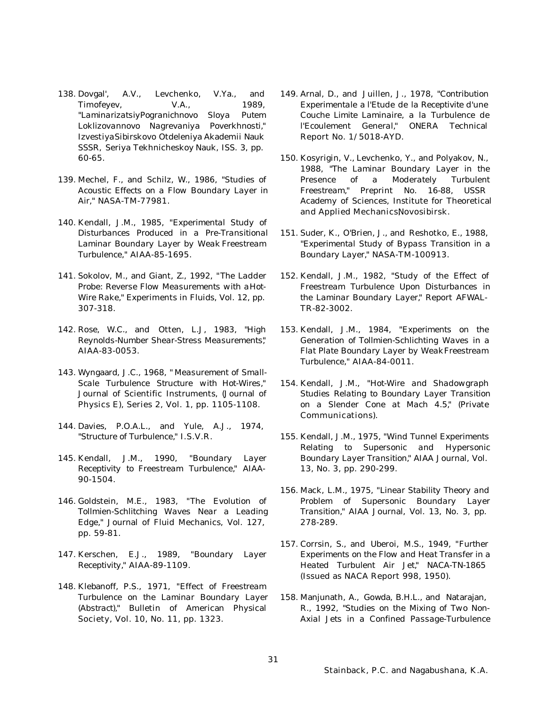- 138. Dovgal', A.V., Levchenko, V.Ya., and Timofeyev,  $V.A.,$  1989, "*LaminarizatsiyPogranichnovo Sloya Putem Loklizovannovo Nagrevaniya Poverkhnosti,*" Izvestiya Sibirskovo Otdeleniya Akademii Nauk SSSR, Seriya Tekhnicheskoy Nauk, ISS. 3, pp. 60-65.
- 139. Mechel, F., and Schilz, W., 1986, "*Studies of Acoustic Effects on a Flow Boundary Layer in Air,*" NASA-TM-77981.
- 140. Kendall, J.M., 1985, "*Experimental Study of Disturbances Produced in a Pre-Transitional Laminar Boundary Layer by Weak Freestream Turbulence,*" AIAA-85-1695.
- 141. Sokolov, M., and Giant, Z., 1992, "*The Ladder Probe: Reverse Flow Measurements with a Hot-Wire Rake,*" Experiments in Fluids, Vol. 12, pp. 307-318.
- 142. Rose, W.C., and Otten, L.J, 1983, "*High Reynolds-Number Shear-Stress Measurements,*" AIAA-83-0053.
- 143. Wyngaard, J.C., 1968, " *Measurement of Small-Scale Turbulence Structure with Hot-Wires,*" Journal of Scientific Instruments, (Journal of Physics E), Series 2, Vol. 1, pp. 1105-1108.
- 144. Davies, P.O.A.L., and Yule, A.J., 1974, "*Structure of Turbulence,*" I.S.V.R.
- 145. Kendall, J.M., 1990, "*Boundary Layer Receptivity to Freestream Turbulence,*" AIAA-90-1504.
- 146. Goldstein, M.E., 1983, "*The Evolution of Tollmien-Schlitching Waves Near a Leading Edge,*" Journal of Fluid Mechanics, Vol. 127, pp. 59-81.
- 147. Kerschen, E.J., 1989, "*Boundary Layer Receptivity,*" AIAA-89-1109.
- 148. Klebanoff, P.S., 1971, "*Effect of Freestream Turbulence on the Laminar Boundary Layer (Abstract),*" Bulletin of American Physical Society, Vol. 10, No. 11, pp. 1323.
- 149. Arnal, D., and Juillen, J., 1978, "*Contribution Experimentale a l'Etude de la Receptivite d'une Couche Limite Laminaire, a la Turbulence de l'Ecoulement General,*" ONERA Technical Report No. 1/5018-AYD.
- 150. Kosyrigin, V., Levchenko, Y., and Polyakov, N., 1988, "*The Laminar Boundary Layer in the Presence of a Moderately Turbulent Freestream,*" Preprint No. 16-88, USSR Academy of Sciences, Institute for Theoretical and Applied Mechanics, Novosibirsk.
- 151. Suder, K., O'Brien, J., and Reshotko, E., 1988, "*Experimental Study of Bypass Transition in a Boundary Layer,*" NASA-TM-100913.
- 152. Kendall, J.M., 1982, "*Study of the Effect of Freestream Turbulence Upon Disturbances in the Laminar Boundary Layer,*" Report AFWAL-TR-82-3002.
- 153. Kendall, J.M., 1984, "*Experiments on the Generation of Tollmien-Schlichting Waves in a Flat Plate Boundary Layer by Weak Freestream Turbulence,*" AIAA-84-0011.
- 154. Kendall, J.M., "*Hot-Wire and Shadowgraph Studies Relating to Boundary Layer Transition on a Slender Cone at Mach 4.5,*" (Private Communications).
- 155. Kendall, J.M., 1975, "*Wind Tunnel Experiments Relating to Supersonic and Hypersonic Boundary Layer Transition,*" AIAA Journal, Vol. 13, No. 3, pp. 290-299.
- 156. Mack, L.M., 1975, "*Linear Stability Theory and Problem of Supersonic Boundary Layer Transition,*" AIAA Journal, Vol. 13, No. 3, pp. 278-289.
- 157. Corrsin, S., and Uberoi, M.S., 1949, "*Further Experiments on the Flow and Heat Transfer in a Heated Turbulent Air Jet,*" NACA-TN-1865 (Issued as NACA Report 998, 1950).
- 158. Manjunath, A., Gowda, B.H.L., and Natarajan, R., 1992, "*Studies on the Mixing of Two Non-Axial Jets in a Confined Passage-Turbulence*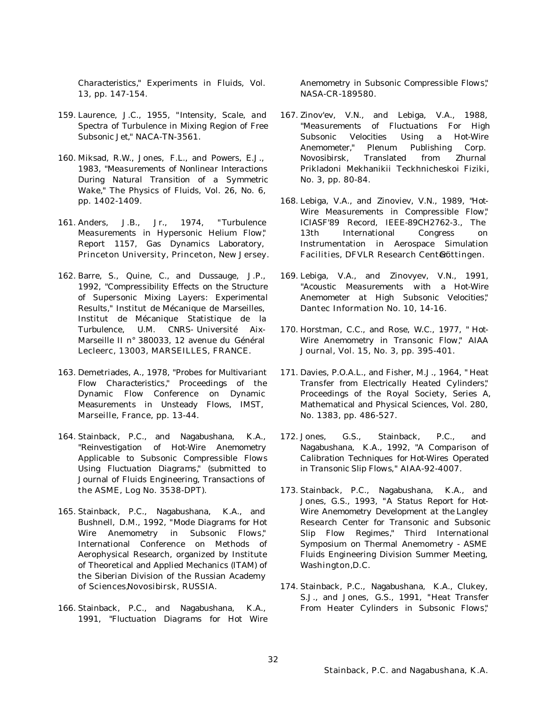*Characteristics,*" Experiments in Fluids, Vol. 13, pp. 147-154.

- 159. Laurence, J.C., 1955, "*Intensity, Scale, and Spectra of Turbulence in Mixing Region of Free Subsonic Jet,*" NACA-TN-3561.
- 160. Miksad, R.W., Jones, F.L., and Powers, E.J., 1983, "*Measurements of Nonlinear Interactions During Natural Transition of a Symmetric Wake,*" The Physics of Fluids, Vol. 26, No. 6, pp. 1402-1409.
- 161. Anders, J.B., Jr., 1974, "*Turbulence Measurements in Hypersonic Helium Flow,*" Report 1157, Gas Dynamics Laboratory, Princeton University, Princeton, New Jersey.
- 162. Barre, S., Quine, C., and Dussauge, J.P., 1992, "*Compressibility Effects on the Structure of Supersonic Mixing Layers: Experimental Results,*" Institut de Mécanique de Marseilles, Institut de Mécanique Statistique de la Turbulence, U.M. CNRS- Université Aix-Marseille II n° 380033, 12 avenue du Général Lecleerc, 13003, MARSEILLES, FRANCE.
- 163. Demetriades, A., 1978, "*Probes for Multivariant Flow Characteristics,*" Proceedings of the Dynamic Flow Conference on Dynamic Measurements in Unsteady Flows, IMST, Marseille, France, pp. 13-44.
- 164. Stainback, P.C., and Nagabushana, K.A., "*Reinvestigation of Hot-Wire Anemometry Applicable to Subsonic Compressible Flows Using Fluctuation Diagrams,*" (submitted to Journal of Fluids Engineering, Transactions of the ASME, Log No. 3538-DPT).
- 165. Stainback, P.C., Nagabushana, K.A., and Bushnell, D.M., 1992, "*Mode Diagrams for Hot Wire Anemometry in Subsonic Flows,*" International Conference on Methods of Aerophysical Research, organized by Institute of Theoretical and Applied Mechanics (ITAM) of the Siberian Division of the Russian Academy of Sciences, Novosibirsk, RUSSIA.
- 166. Stainback, P.C., and Nagabushana, K.A., 1991, "*Fluctuation Diagrams for Hot Wire*

*Anemometry in Subsonic Compressible Flows,*" NASA-CR-189580.

- 167. Zinov'ev, V.N., and Lebiga, V.A., 1988, "*Measurements of Fluctuations For High Subsonic Velocities Using a Hot-Wire Anemometer,*" Plenum Publishing Corp. Novosibirsk, Translated from Zhurnal Prikladoni Mekhanikii Teckhnicheskoi Fiziki, No. 3, pp. 80-84.
- 168. Lebiga, V.A., and Zinoviev, V.N., 1989, "*Hot-Wire Measurements in Compressible Flow,*" ICIASF'89 Record, IEEE-89CH2762-3., The 13th International Congress on Instrumentation in Aerospace Simulation Facilities, DFVLR Research Centedöttingen.
- 169. Lebiga, V.A., and Zinovyev, V.N., 1991, "*Acoustic Measurements with a Hot-Wire Anemometer at High Subsonic Velocities,*" Dantec Information No. 10, 14-16.
- 170. Horstman, C.C., and Rose, W.C., 1977, " *Hot-Wire Anemometry in Transonic Flow,*" AIAA Journal, Vol. 15, No. 3, pp. 395-401.
- 171. Davies, P.O.A.L., and Fisher, M.J., 1964, " *Heat Transfer from Electrically Heated Cylinders,*" Proceedings of the Royal Society, Series A, Mathematical and Physical Sciences, Vol. 280, No. 1383, pp. 486-527.
- 172. Jones, G.S., Stainback, P.C., and Nagabushana, K.A., 1992, "*A Comparison of Calibration Techniques for Hot-Wires Operated in Transonic Slip Flows*," AIAA-92-4007.
- 173. Stainback, P.C., Nagabushana, K.A., and Jones, G.S., 1993, "*A Status Report for Hot-Wire Anemometry Development at the Langley Research Center for Transonic and Subsonic Slip Flow Regimes,*" Third International Symposium on Thermal Anemometry - ASME Fluids Engineering Division Summer Meeting, Washington, D.C.
- 174. Stainback, P.C., Nagabushana, K.A., Clukey, S.J., and Jones, G.S., 1991, "*Heat Transfer From Heater Cylinders in Subsonic Flows,*"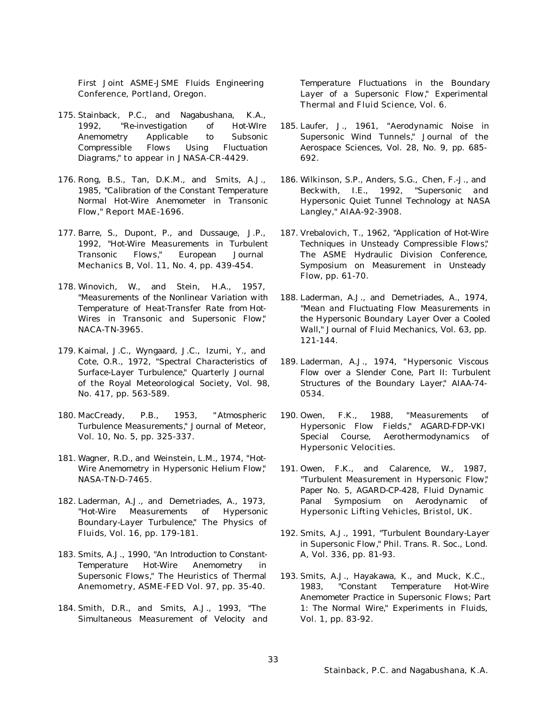First Joint ASME-JSME Fluids Engineering Conference, Portland, Oregon.

- 175. Stainback, P.C., and Nagabushana, K.A., 1992, "*Re-investigation of Hot-WIre Anemometry Applicable to Subsonic Compressible Flows Using Fluctuation Diagrams,*" to appear in JNASA-CR-4429.
- 176. Rong, B.S., Tan, D.K.M., and Smits, A.J., 1985, "*Calibration of the Constant Temperature Normal Hot-Wire Anemometer in Transonic Flow,*" Report MAE-1696.
- 177. Barre, S., Dupont, P., and Dussauge, J.P., 1992, "*Hot-Wire Measurements in Turbulent Transonic Flows,*" European Journal Mechanics B, Vol. 11, No. 4, pp. 439-454.
- 178. Winovich, W., and Stein, H.A., 1957, "*Measurements of the Nonlinear Variation with Temperature of Heat-Transfer Rate from Hot-Wires in Transonic and Supersonic Flow,*" NACA-TN-3965.
- 179. Kaimal, J.C., Wyngaard, J.C., Izumi, Y., and Cote, O.R., 1972, "*Spectral Characteristics of Surface-Layer Turbulence,*" Quarterly Journal of the Royal Meteorological Society, Vol. 98, No. 417, pp. 563-589.
- 180. MacCready, P.B., 1953, " *Atmospheric Turbulence Measurements,*" Journal of Meteor, Vol. 10, No. 5, pp. 325-337.
- 181. Wagner, R.D., and Weinstein, L.M., 1974, "*Hot-Wire Anemometry in Hypersonic Helium Flow,*" NASA-TN-D-7465.
- 182. Laderman, A.J., and Demetriades, A., 1973, "*Hot-Wire Measurements of Hypersonic Boundary-Layer Turbulence,*" The Physics of Fluids, Vol. 16, pp. 179-181.
- 183. Smits, A.J., 1990, "*An Introduction to Constant-Temperature Hot-Wire Anemometry in Supersonic Flows,*" The Heuristics of Thermal Anemometry, ASME-FED Vol. 97, pp. 35-40.
- 184. Smith, D.R., and Smits, A.J., 1993, "*The Simultaneous Measurement of Velocity and*

*Temperature Fluctuations in the Boundary Layer of a Supersonic Flow,*" Experimental Thermal and Fluid Science, Vol. 6.

- 185. Laufer, J., 1961, "*Aerodynamic Noise in Supersonic Wind Tunnels,*" Journal of the Aerospace Sciences, Vol. 28, No. 9, pp. 685- 692.
- 186. Wilkinson, S.P., Anders, S.G., Chen, F.-J., and Beckwith, I.E., 1992, "*Supersonic and Hypersonic Quiet Tunnel Technology at NASA Langley,*" AIAA-92-3908.
- 187. Vrebalovich, T., 1962, "*Application of Hot-Wire Techniques in Unsteady Compressible Flows,*" The ASME Hydraulic Division Conference, Symposium on Measurement in Unsteady Flow, pp. 61-70.
- 188. Laderman, A.J., and Demetriades, A., 1974, "*Mean and Fluctuating Flow Measurements in the Hypersonic Boundary Layer Over a Cooled Wall,*" Journal of Fluid Mechanics, Vol. 63, pp. 121-144.
- 189. Laderman, A.J., 1974, "*Hypersonic Viscous Flow over a Slender Cone, Part II: Turbulent Structures of the Boundary Layer,*" AIAA-74- 0534.
- 190. Owen, F.K., 1988, "*Measurements of Hypersonic Flow Fields,*" AGARD-FDP-VKI Special Course, Aerothermodynamics of Hypersonic Velocities.
- 191. Owen, F.K., and Calarence, W., 1987, "*Turbulent Measurement in Hypersonic Flow,*" Paper No. 5, AGARD-CP-428, Fluid Dynamic Panal Symposium on Aerodynamic of Hypersonic Lifting Vehicles, Bristol, UK.
- 192. Smits, A.J., 1991, "*Turbulent Boundary-Layer in Supersonic Flow,*" Phil. Trans. R. Soc., Lond. A, Vol. 336, pp. 81-93.
- 193. Smits, A.J., Hayakawa, K., and Muck, K.C., 1983, "*Constant Temperature Hot-Wire Anemometer Practice in Supersonic Flows; Part 1: The Normal Wire,*" Experiments in Fluids, Vol. 1, pp. 83-92.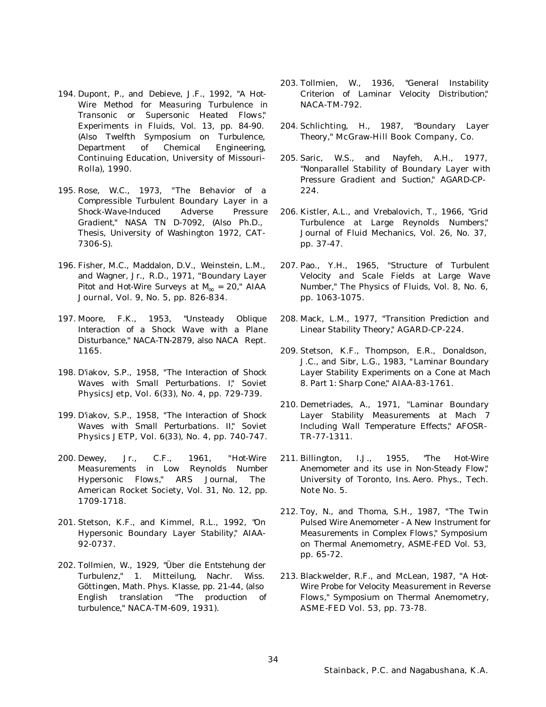- 194. Dupont, P., and Debieve, J.F., 1992, "*A Hot-Wire Method for Measuring Turbulence in Transonic or Supersonic Heated Flows,*" Experiments in Fluids, Vol. 13, pp. 84-90. (Also Twelfth Symposium on Turbulence, Department of Chemical Engineering, Continuing Education, University of Missouri-Rolla), 1990.
- 195. Rose, W.C., 1973, "*The Behavior of a Compressible Turbulent Boundary Layer in a Shock-Wave-Induced Adverse Pressure Gradient,*" NASA TN D-7092, (Also Ph.D., Thesis, University of Washington 1972, CAT-7306-S).
- 196. Fisher, M.C., Maddalon, D.V., Weinstein, L.M., and Wagner, Jr., R.D., 1971, "*Boundary Layer Pitot and Hot-Wire Surveys at*  $M_{\mathbf{Y}} = 20$ *, " AIAA* Journal, Vol. 9, No. 5, pp. 826-834.
- 197. Moore, F.K., 1953, "*Unsteady Oblique Interaction of a Shock Wave with a Plane Disturbance,*" NACA-TN-2879, also NACA Rept. 1165.
- 198. D'iakov, S.P., 1958, "*The Interaction of Shock* Waves with Small Perturbations. I," **Soviet** Physics Jetp, Vol. 6(33), No. 4, pp. 729-739.
- 199. D'iakov, S.P., 1958, "*The Interaction of Shock* Waves with Small Perturbations. II," **Soviet** Physics JETP, Vol. 6(33), No. 4, pp. 740-747.
- 200. Dewey, Jr., C.F., 1961, "*Hot-Wire Measurements in Low Reynolds Number Hypersonic Flows,*" ARS Journal, The American Rocket Society, Vol. 31, No. 12, pp. 1709-1718.
- 201. Stetson, K.F., and Kimmel, R.L., 1992, "*On Hypersonic Boundary Layer Stability,*" AIAA-92-0737.
- 202. Tollmien, W., 1929, "*Über die Entstehung der Turbulenz,*" 1. Mitteilung, Nachr. Wiss. Göttingen, Math. Phys. Klasse, pp. 21-44, (also English translation "*The production of turbulence,*" NACA-TM-609, 1931).
- 203. Tollmien, W., 1936, "*General Instability Criterion of Laminar Velocity Distribution,*" NACA-TM-792.
- 204. Schlichting, H., 1987, "*Boundary Layer Theory,*" McGraw-Hill Book Company, Co.
- 205. Saric, W.S., and Nayfeh, A.H., 1977, "*Nonparallel Stability of Boundary Layer with Pressure Gradient and Suction,*" AGARD-CP-224.
- 206. Kistler, A.L., and Vrebalovich, T., 1966, "*Grid Turbulence at Large Reynolds Numbers,*" Journal of Fluid Mechanics, Vol. 26, No. 37, pp. 37-47.
- 207. Pao., Y.H., 1965, "*Structure of Turbulent Velocity and Scale Fields at Large Wave Number,*" The Physics of Fluids, Vol. 8, No. 6, pp. 1063-1075.
- 208. Mack, L.M., 1977, "*Transition Prediction and Linear Stability Theory,*" AGARD-CP-224.
- 209. Stetson, K.F., Thompson, E.R., Donaldson, J.C., and Sibr, L.G., 1983, "*Laminar Boundary Layer Stability Experiments on a Cone at Mach 8. Part 1: Sharp Cone,*" AIAA-83-1761.
- 210. Demetriades, A., 1971, "*Laminar Boundary Layer Stability Measurements at Mach 7 Including Wall Temperature Effects,*" AFOSR-TR-77-1311.
- 211. Billington, I.J., 1955, "*The Hot-Wire Anemometer and its use in Non-Steady Flow,*" University of Toronto, Ins. Aero. Phys., Tech. Note No. 5.
- 212. Toy, N., and Thoma, S.H., 1987, "*The Twin Pulsed Wire Anemometer - A New Instrument for Measurements in Complex Flows,*" Symposium on Thermal Anemometry, ASME-FED Vol. 53, pp. 65-72.
- 213. Blackwelder, R.F., and McLean, 1987, "*A Hot-Wire Probe for Velocity Measurement in Reverse Flows,*" Symposium on Thermal Anemometry, ASME-FED Vol. 53, pp. 73-78.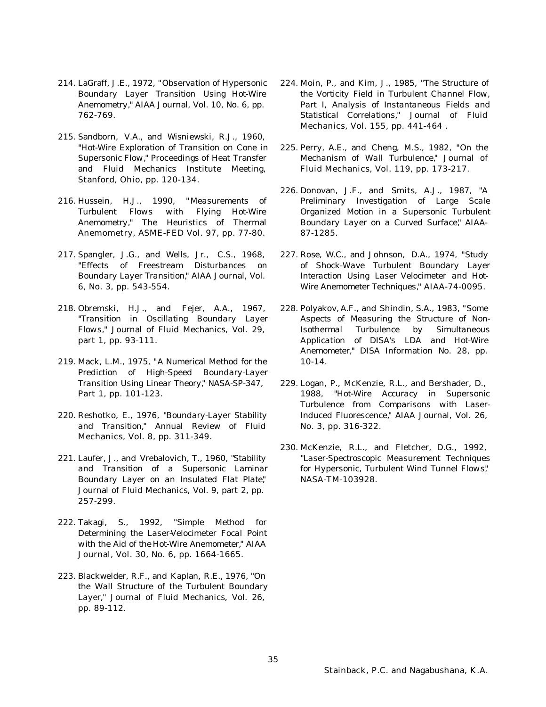- 214. LaGraff, J.E., 1972, "*Observation of Hypersonic Boundary Layer Transition Using Hot-Wire Anemometry,*" AIAA Journal, Vol. 10, No. 6, pp. 762-769.
- 215. Sandborn, V.A., and Wisniewski, R.J., 1960, "*Hot-Wire Exploration of Transition on Cone in Supersonic Flow,*" Proceedings of Heat Transfer and Fluid Mechanics Institute Meeting, Stanford, Ohio, pp. 120-134.
- 216. Hussein, H.J., 1990, "*Measurements of Turbulent Flows with Flying Hot-Wire Anemometry,*" The Heuristics of Thermal Anemometry, ASME-FED Vol. 97, pp. 77-80.
- 217. Spangler, J.G., and Wells, Jr., C.S., 1968, "*Effects of Freestream Disturbances on Boundary Layer Transition,*" AIAA Journal, Vol. 6, No. 3, pp. 543-554.
- 218. Obremski, H.J., and Fejer, A.A., 1967, "*Transition in Oscillating Boundary Layer Flows,*" Journal of Fluid Mechanics, Vol. 29, part 1, pp. 93-111.
- 219. Mack, L.M., 1975, "*A Numerical Method for the Prediction of High-Speed Boundary-Layer Transition Using Linear Theory,*" NASA-SP-347, Part 1, pp. 101-123.
- 220. Reshotko, E., 1976, "*Boundary-Layer Stability and Transition,*" Annual Review of Fluid Mechanics, Vol. 8, pp. 311-349.
- 221. Laufer, J., and Vrebalovich, T., 1960, "*Stability and Transition of a Supersonic Laminar Boundary Layer on an Insulated Flat Plate,*" Journal of Fluid Mechanics, Vol. 9, part 2, pp. 257-299.
- 222. Takagi, S., 1992, "*Simple Method for Determining the Laser-Velocimeter Focal Point with the Aid of the Hot-Wire Anemometer,*" AIAA Journal, Vol. 30, No. 6, pp. 1664-1665.
- 223. Blackwelder, R.F., and Kaplan, R.E., 1976, "*On the Wall Structure of the Turbulent Boundary Layer,*" Journal of Fluid Mechanics, Vol. 26, pp. 89-112.
- 224. Moin, P., and Kim, J., 1985, "*The Structure of the Vorticity Field in Turbulent Channel Flow, Part I, Analysis of Instantaneous Fields and Statistical Correlations,*" Journal of Fluid Mechanics, Vol. 155, pp. 441-464 .
- 225. Perry, A.E., and Cheng, M.S., 1982, "*On the Mechanism of Wall Turbulence,*" Journal of Fluid Mechanics, Vol. 119, pp. 173-217.
- 226. Donovan, J.F., and Smits, A.J., 1987, "*A Preliminary Investigation of Large Scale Organized Motion in a Supersonic Turbulent Boundary Layer on a Curved Surface,*" AIAA-87-1285.
- 227. Rose, W.C., and Johnson, D.A., 1974, "*Study of Shock-Wave Turbulent Boundary Layer Interaction Using Laser Velocimeter and Hot-Wire Anemometer Techniques,*" AIAA-74-0095.
- 228. Polyakov, A.F., and Shindin, S.A., 1983, "*Some Aspects of Measuring the Structure of Non-Isothermal Turbulence by Simultaneous Application of DISA's LDA and Hot-Wire Anemometer,*" DISA Information No. 28, pp. 10-14.
- 229. Logan, P., McKenzie, R.L., and Bershader, D., 1988, "*Hot-Wire Accuracy in Supersonic Turbulence from Comparisons with Laser-Induced Fluorescence,*" AIAA Journal, Vol. 26, No. 3, pp. 316-322.
- 230. McKenzie, R.L., and Fletcher, D.G., 1992, "*Laser-Spectroscopic Measurement Techniques for Hypersonic, Turbulent Wind Tunnel Flows,*" NASA-TM-103928.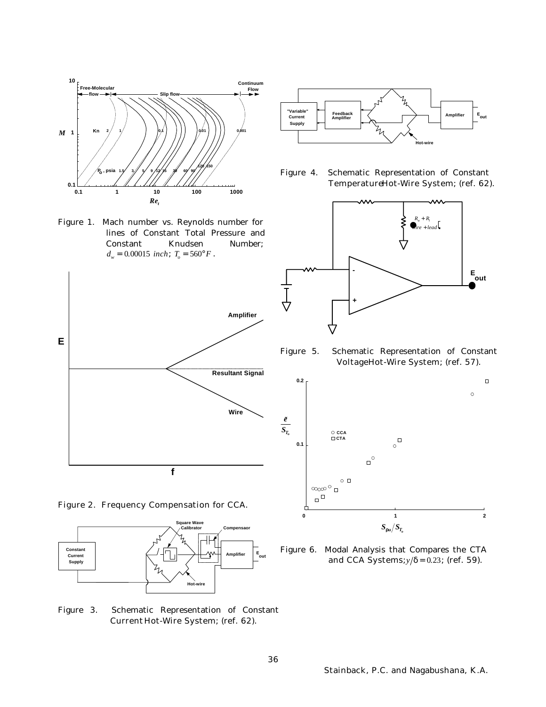

Figure 1. Mach number vs. Reynolds number for lines of Constant Total Pressure and Constant Knudsen Number;  $d_w = 0.00015$  *inch*;  $T_o = 560^\circ F$ .















Figure 5. Schematic Representation of Constant Voltage Hot-Wire System; (ref. 57).



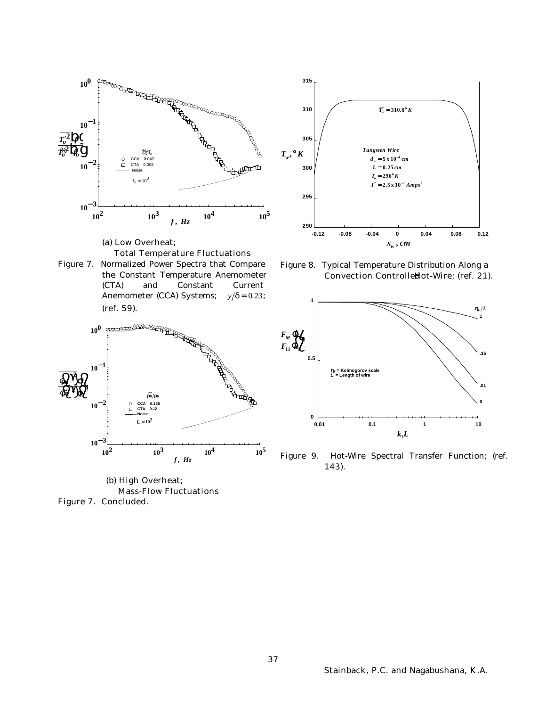

*f* **,** *Hz*

**104**

**105**

**<sup>10</sup><sup>3</sup>**

Mass-Flow Fluctuations

(b) High Overheat;



Figure 8. Typical Temperature Distribution Along a Convection ControlleHot-Wire; (ref. 21).



Figure 9. Hot-Wire Spectral Transfer Function; (ref. 143).

Figure 7. Concluded.

**<sup>10</sup><sup>2</sup>**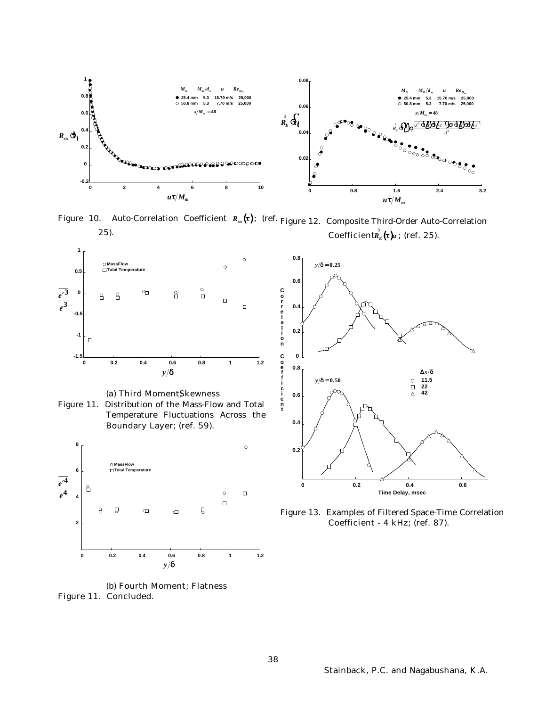

Figure 10. Auto-Correlation Coefficient *Rxx* (*<sup>t</sup>* ); (ref. Figure 12. Composite Third-Order Auto-Correlation 25).  $\textbf{Coefficient}_E^3(t)u$  ; (ref. 25).





Figure 11. Distribution of the Mass-Flow and Total Temperature Fluctuations Across the Boundary Layer; (ref. 59).



(b) Fourth Moment; Flatness Figure 11. Concluded.



Figure 13. Examples of Filtered Space-Time Correlation Coefficient - 4 kHz; (ref. 87).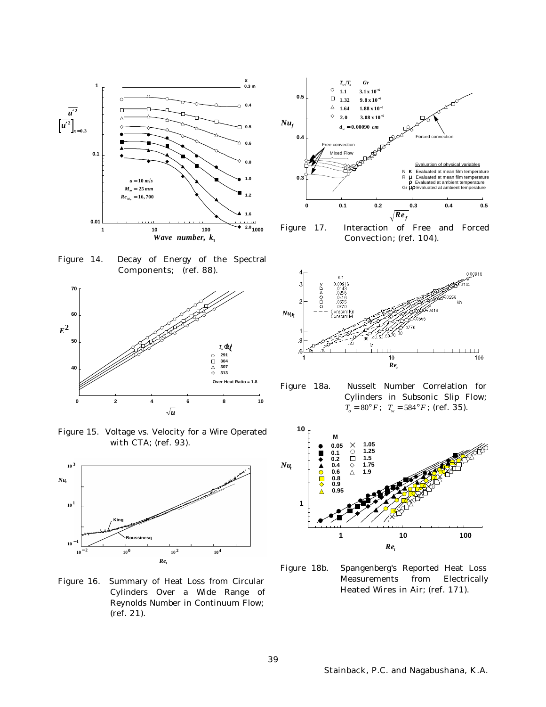

 $\circ$ − **6 1 1 3 1 10 . . x 0.5**  $\Box$  $1.32$  **9 .8**  $x10^-$ **6** Δ  $1.64$   $1.88 \times 10$ − **5** ◇ **2.0 3.08**  $\times$   $10^{-5}$ *Nu<sup>f</sup> dw* = **0.00090** *cm* **0.4** Forced ee convection Mixed Flow Evaluation of ph κ N K Evaluated at mean film temperature<br>R  $\mu$  Evaluated at mean film temperature **0.3** μ  $\rho$  Evaluated at ambient temperature<br>Gr  $\mu$  Evaluated at ambient temperature ρ Evaluated at ambient te μρ **0 0.1 0.2 0.3 0.4 0.5**  $\sqrt{Re_f}$ 

 $T_w/T_o$  *Gr* 

Figure 17. Interaction of Free and Forced Convection; (ref. 104).

Figure 14. Decay of Energy of the Spectral Components; (ref. 88).



Figure 15. Voltage vs. Velocity for a Wire Operated with CTA; (ref. 93).



Figure 16. Summary of Heat Loss from Circular Cylinders Over a Wide Range of Reynolds Number in Continuum Flow; (ref. 21).





Figure 18a. Nusselt Number Correlation for Cylinders in Subsonic Slip Flow;  $T_o = 80^\circ F$ ;  $T_w = 584^\circ F$ ; (ref. 35).



Figure 18b. Spangenberg's Reported Heat Loss Measurements from Electrically Heated Wires in Air; (ref. 171).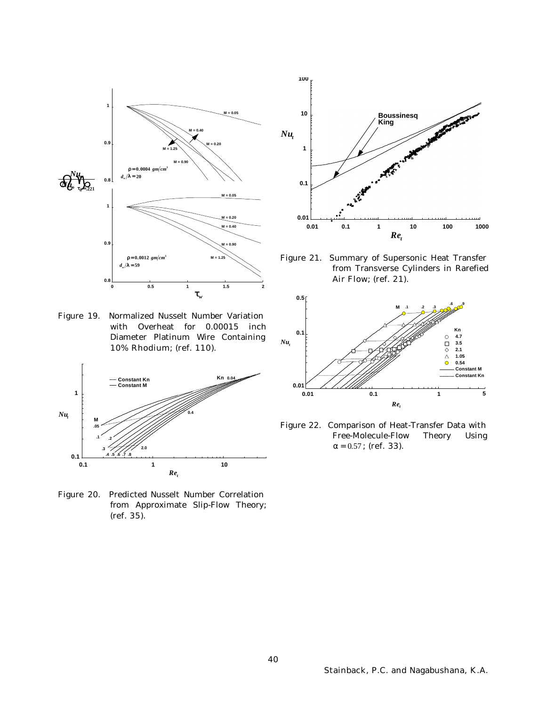

Figure 19. Normalized Nusselt Number Variation with Overheat for 0.00015 inch Diameter Platinum Wire Containing 10% Rhodium; (ref. 110).



Figure 20. Predicted Nusselt Number Correlation from Approximate Slip-Flow Theory; (ref. 35).



Figure 21. Summary of Supersonic Heat Transfer from Transverse Cylinders in Rarefied Air Flow; (ref. 21).



Figure 22. Comparison of Heat-Transfer Data with Free-Molecule-Flow Theory Using *a* = 0.57 ; (ref. 33).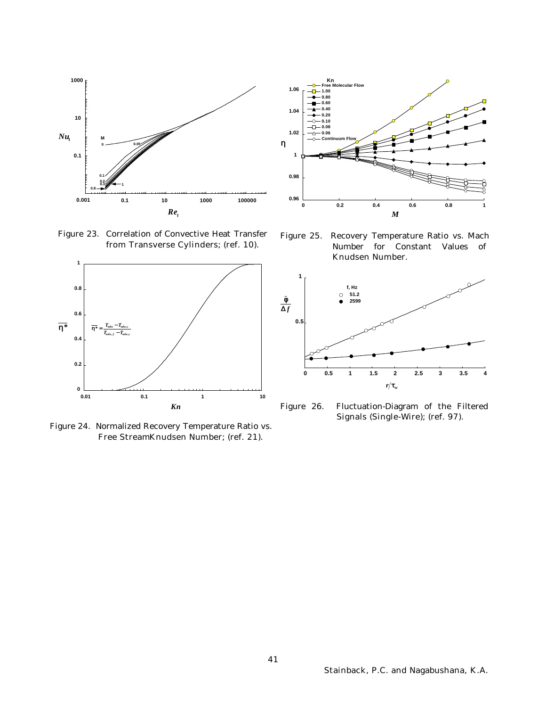

Figure 23. Correlation of Convective Heat Transfer from Transverse Cylinders; (ref. 10).



Figure 24. Normalized Recovery Temperature Ratio vs. Free StreamKnudsen Number; (ref. 21).



Figure 25. Recovery Temperature Ratio vs. Mach Number for Constant Values of Knudsen Number.



Figure 26. Fluctuation-Diagram of the Filtered Signals (Single-Wire); (ref. 97).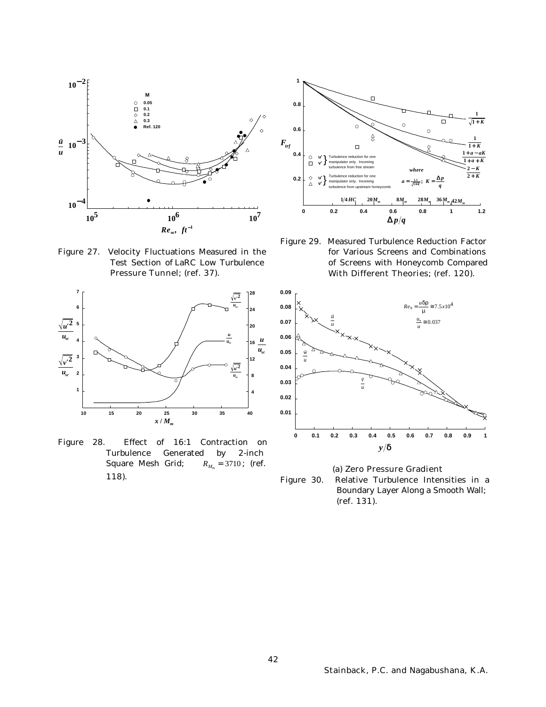

Figure 27. Velocity Fluctuations Measured in the Test Section of LaRC Low Turbulence Pressure Tunnel; (ref. 37).



Figure 28. Effect of 16:1 Contraction on Turbulence Generated by 2-inch Square Mesh Grid;  $R_{M_m}$  = 3710; (ref. 118).



Figure 29. Measured Turbulence Reduction Factor for Various Screens and Combinations of Screens with Honeycomb Compared With Different Theories; (ref. 120).



(a) Zero Pressure Gradient Figure 30. Relative Turbulence Intensities in a Boundary Layer Along a Smooth Wall; (ref. 131).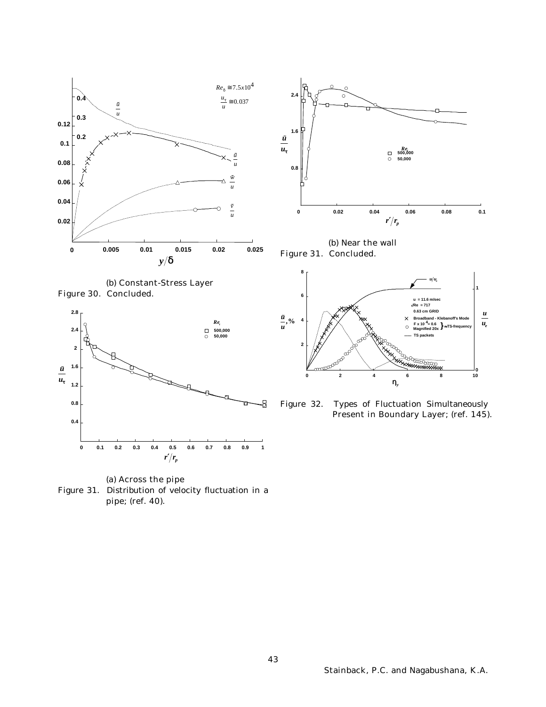





(a) Across the pipe Figure 31. Distribution of velocity fluctuation in a pipe; (ref. 40).



(b) Near the wall Figure 31. Concluded.



Figure 32. Types of Fluctuation Simultaneously Present in Boundary Layer; (ref. 145).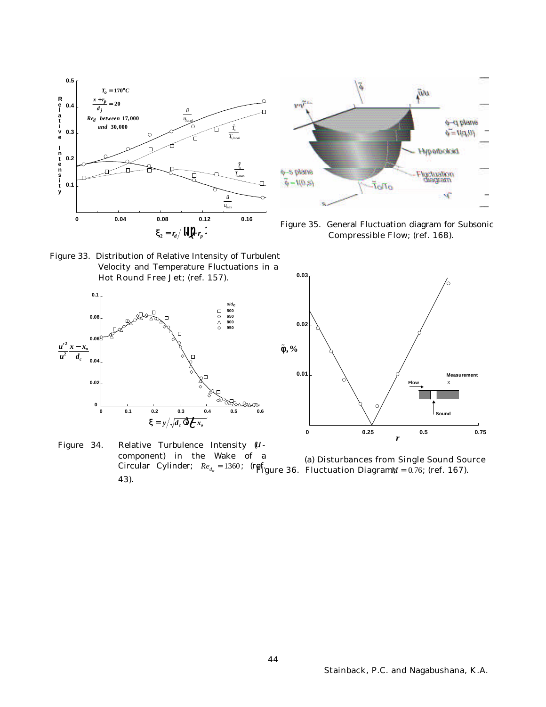



Figure 35. General Fluctuation diagram for Subsonic Compressible Flow; (ref. 168).

Figure 33. Distribution of Relative Intensity of Turbulent Velocity and Temperature Fluctuations in a Hot Round Free Jet; (ref. 157).





Figure 34. Relative Turbulence Intensity (*u*component) in the Wake of a Circular Cylinder;  $Re_{d_w} = 1360$ ; (ref.  $g_{\text{Figure 36}}$ . Fluctuation Diagram $\psi = 0.76$ ; (ref. 167). 43). (a) Disturbances from Single Sound Source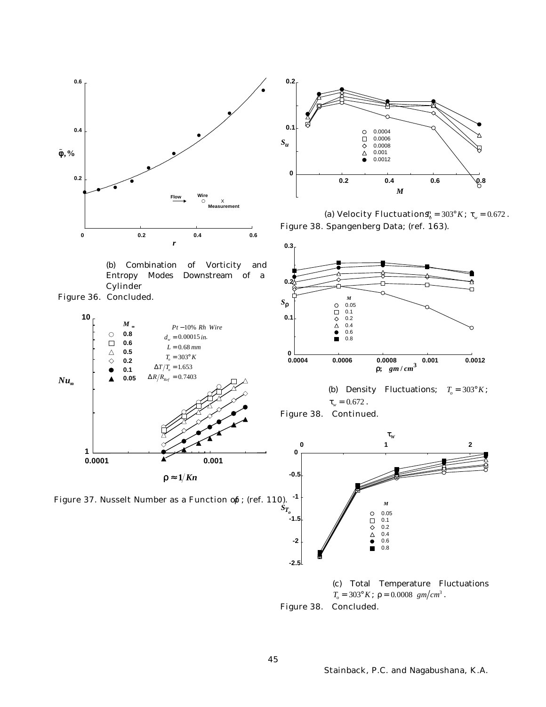

(b) Combination of Vorticity and Entropy Modes Downstream of a **Cylinder** 









(a) Velocity Fluctuation $\mathbf{S}_{b}^{i} = 303^{\circ} K$ ;  $t_{w} = 0.672$ . Figure 38. Spangenberg Data; (ref. 163).











Figure 38. Concluded.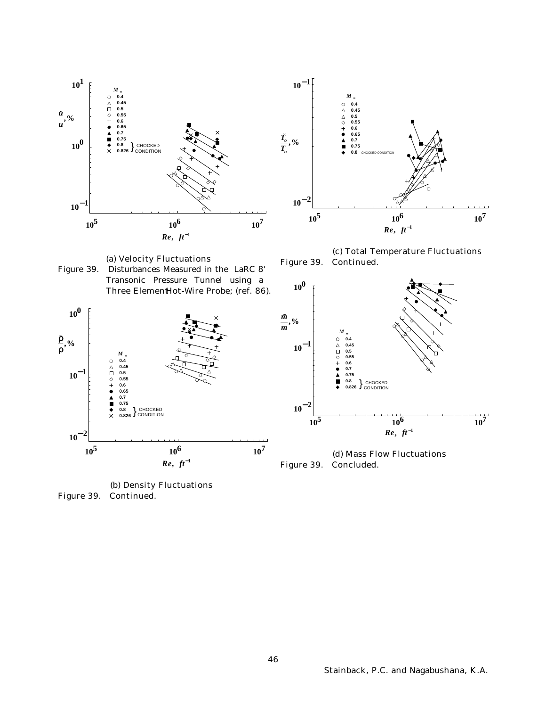

(a) Velocity Fluctuations Figure 39. Disturbances Measured in the LaRC 8'

Transonic Pressure Tunnel using a



(c) Total Temperature Fluctuations Figure 39. Continued.





(d) Mass Flow Fluctuations Figure 39. Concluded.

(b) Density Fluctuations Figure 39. Continued.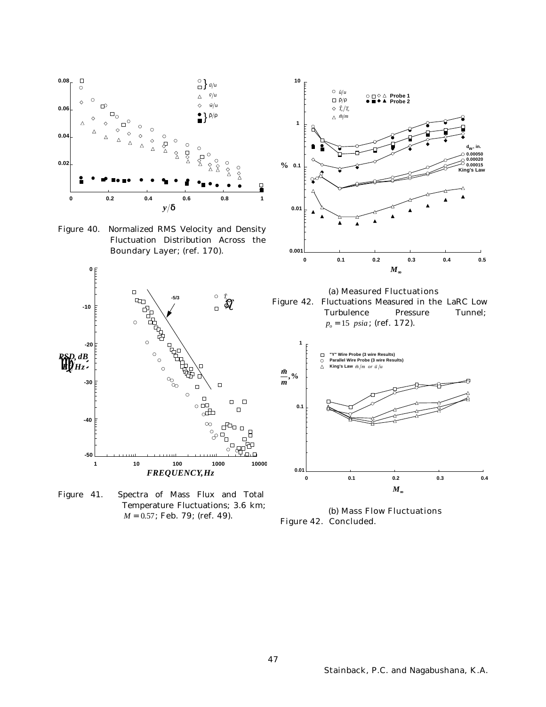

Figure 41. Spectra of Mass Flux and Total Temperature Fluctuations; 3.6 km; *M* = 0.57; **Feb. 79; (ref. 49).** 

(b) Mass Flow Fluctuations Figure 42. Concluded.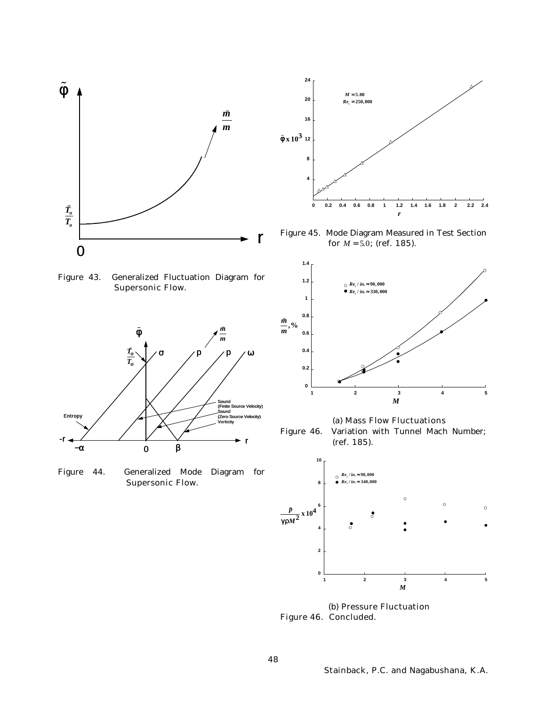

**4 8**  $\tilde{f}$  **x**  $10^3$  12 **16 20 24 0 0.2 0.4 0.6 0.8 1 1.2 1.4 1.6 1.8 2 2.2 2.4** *r*  $M = 5.00$  $Re<sub>t</sub> = 250,000$ 

Figure 45. Mode Diagram Measured in Test Section for *M* = 5.0; (ref. 185).

Figure 43. Generalized Fluctuation Diagram for Supersonic Flow.



Figure 44. Generalized Mode Diagram for Supersonic Flow.



(a) Mass Flow Fluctuations

Figure 46. Variation with Tunnel Mach Number; (ref. 185).



(b) Pressure Fluctuation Figure 46. Concluded.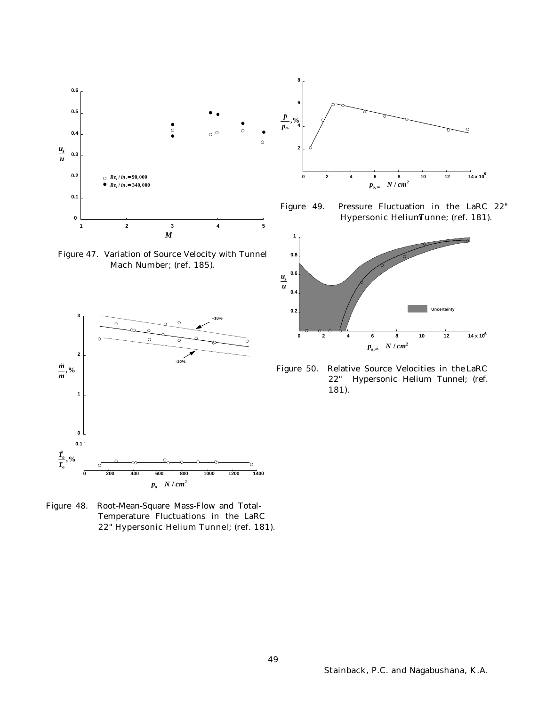

Figure 47. Variation of Source Velocity with Tunnel Mach Number; (ref. 185).



Figure 48. Root-Mean-Square Mass-Flow and Total-Temperature Fluctuations in the LaRC 22" Hypersonic Helium Tunnel; (ref. 181).



Figure 49. Pressure Fluctuation in the LaRC 22" Hypersonic Helium Tunne; (ref. 181).



Figure 50. Relative Source Velocities in the LaRC 22" Hypersonic Helium Tunnel; (ref. 181).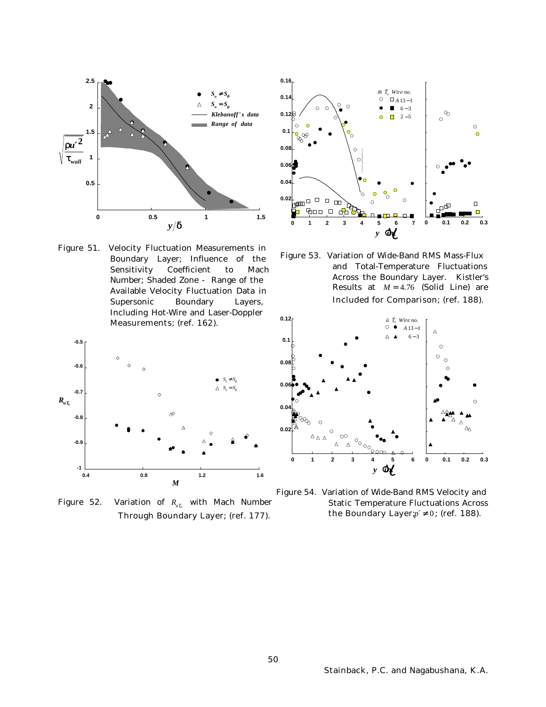

Figure 51. Velocity Fluctuation Measurements in Boundary Layer; Influence of the Sensitivity Coefficient to Mach Number; Shaded Zone - Range of the Available Velocity Fluctuation Data in Supersonic Boundary Layers, Including Hot-Wire and Laser-Doppler Measurements; (ref. 162).



Figure 52. Variation of *RuT<sup>o</sup>* with Mach Number Through Boundary Layer; (ref. 177).



Figure 53. Variation of Wide-Band RMS Mass-Flux and Total-Temperature Fluctuations Across the Boundary Layer. Kistler's Results at *M* = 4.76 (Solid Line) are Included for Comparison; (ref. 188).



Figure 54. Variation of Wide-Band RMS Velocity and Static Temperature Fluctuations Across the Boundary Layer; $p' \neq 0$ ; (ref. 188).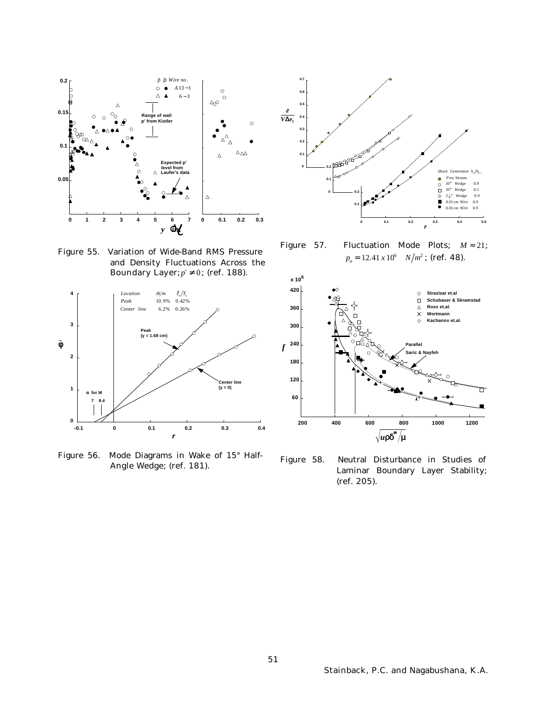

Figure 55. Variation of Wide-Band RMS Pressure and Density Fluctuations Across the Boundary Layer;  $p' \neq 0$ ; (ref. 188).



Figure 56. Mode Diagrams in Wake of 15° Half-Angle Wedge; (ref. 181).



Figure 57. Fluctuation Mode Plots; *M* ≈ 21;  $p_o = 12.41 \times 10^6 \quad N/m^2$ ; (ref. 48).



Figure 58. Neutral Disturbance in Studies of Laminar Boundary Layer Stability; (ref. 205).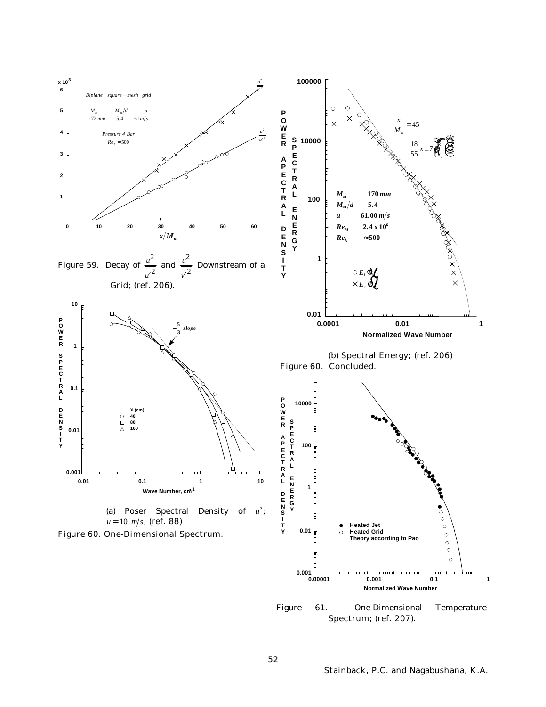

Figure 61. One-Dimensional Temperature Spectrum; (ref. 207).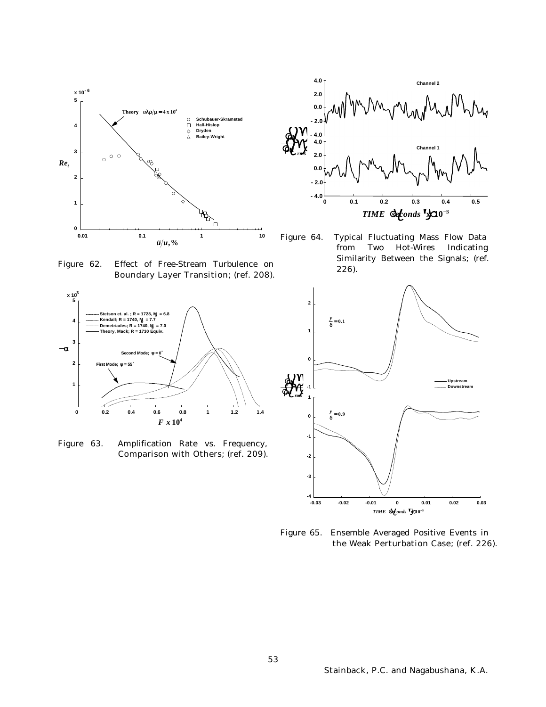

Figure 62. Effect of Free-Stream Turbulence on Boundary Layer Transition; (ref. 208).



Figure 63. Amplification Rate vs. Frequency, Comparison with Others; (ref. 209).



Figure 64. Typical Fluctuating Mass Flow Data from Two Hot-Wires Indicating Similarity Between the Signals; (ref. 226).



Figure 65. Ensemble Averaged Positive Events in the Weak Perturbation Case; (ref. 226).